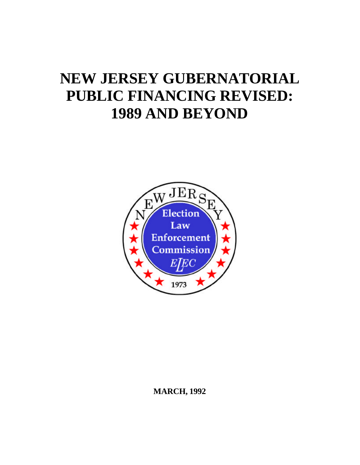# **NEW JERSEY GUBERNATORIAL PUBLIC FINANCING REVISED: 1989 AND BEYOND**



**MARCH, 1992**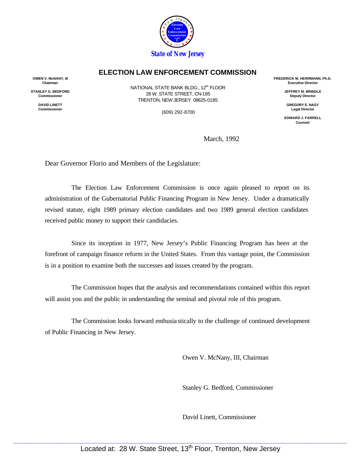

#### **ELECTION LAW ENFORCEMENT COMMISSION**

**OWEN V. McNANY, III Chairman**

**STANLEY G. BEDFORD Commissioner**

> **DAVID LINETT Commissioner**

NATIONAL STATE BANK BLDG., 12<sup>th</sup> FLOOR 28 W. STATE STREET, CN-185 TRENTON, NEW JERSEY 08625-0185

(609) 292-8700

**FREDERICK M. HERRMANN, Ph.D. Executive Director**

> **JEFFREY M. BRINDLE Deputy Director**

**GREGORY E. NAGY Legal Director**

**EDWARD J. FARRELL Counsel**

March, 1992

Dear Governor Florio and Members of the Legislature:

The Election Law Enforcement Commission is once again pleased to report on its administration of the Gubernatorial Public Financing Program in New Jersey. Under a dramatically revised statute, eight 1989 primary election candidates and two 1989 general election candidates received public money to support their candidacies.

Since its inception in 1977, New Jersey's Public Financing Program has been at the forefront of campaign finance reform in the United States. From this vantage point, the Commission is in a position to examine both the successes and issues created by the program.

The Commission hopes that the analysis and recommendations contained within this report will assist you and the public in understanding the seminal and pivotal role of this program.

The Commission looks forward enthusia stically to the challenge of continued development of Public Financing in New Jersey.

Owen V. McNany, III, Chairman

Stanley G. Bedford, Commissioner

David Linett, Commissioner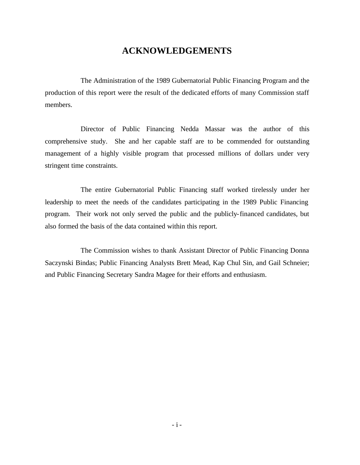### **ACKNOWLEDGEMENTS**

The Administration of the 1989 Gubernatorial Public Financing Program and the production of this report were the result of the dedicated efforts of many Commission staff members.

Director of Public Financing Nedda Massar was the author of this comprehensive study. She and her capable staff are to be commended for outstanding management of a highly visible program that processed millions of dollars under very stringent time constraints.

The entire Gubernatorial Public Financing staff worked tirelessly under her leadership to meet the needs of the candidates participating in the 1989 Public Financing program. Their work not only served the public and the publicly-financed candidates, but also formed the basis of the data contained within this report.

The Commission wishes to thank Assistant Director of Public Financing Donna Saczynski Bindas; Public Financing Analysts Brett Mead, Kap Chul Sin, and Gail Schneier; and Public Financing Secretary Sandra Magee for their efforts and enthusiasm.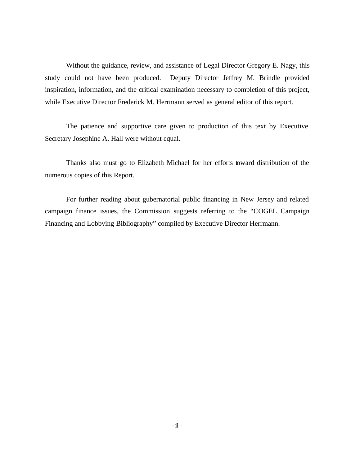Without the guidance, review, and assistance of Legal Director Gregory E. Nagy, this study could not have been produced. Deputy Director Jeffrey M. Brindle provided inspiration, information, and the critical examination necessary to completion of this project, while Executive Director Frederick M. Herrmann served as general editor of this report.

The patience and supportive care given to production of this text by Executive Secretary Josephine A. Hall were without equal.

Thanks also must go to Elizabeth Michael for her efforts toward distribution of the numerous copies of this Report.

For further reading about gubernatorial public financing in New Jersey and related campaign finance issues, the Commission suggests referring to the "COGEL Campaign Financing and Lobbying Bibliography" compiled by Executive Director Herrmann.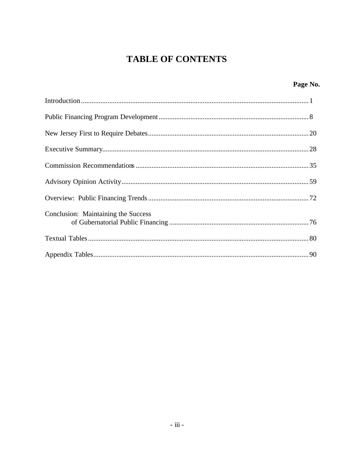## **TABLE OF CONTENTS**

### Page No.

| Conclusion: Maintaining the Success |  |
|-------------------------------------|--|
|                                     |  |
|                                     |  |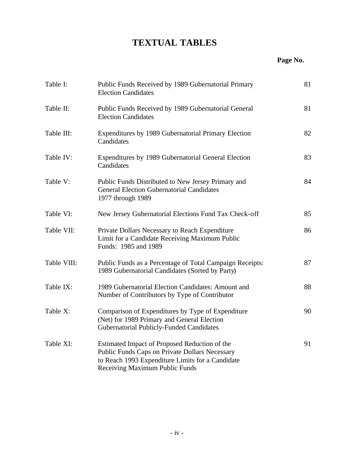### **TEXTUAL TABLES**

| Table I:    | Public Funds Received by 1989 Gubernatorial Primary<br><b>Election Candidates</b>                                                                                                     | 81 |
|-------------|---------------------------------------------------------------------------------------------------------------------------------------------------------------------------------------|----|
| Table II:   | Public Funds Received by 1989 Gubernatorial General<br><b>Election Candidates</b>                                                                                                     | 81 |
| Table III:  | Expenditures by 1989 Gubernatorial Primary Election<br>Candidates                                                                                                                     | 82 |
| Table IV:   | Expenditures by 1989 Gubernatorial General Election<br>Candidates                                                                                                                     | 83 |
| Table V:    | Public Funds Distributed to New Jersey Primary and<br><b>General Election Gubernatorial Candidates</b><br>1977 through 1989                                                           | 84 |
| Table VI:   | New Jersey Gubernatorial Elections Fund Tax Check-off                                                                                                                                 | 85 |
| Table VII:  | Private Dollars Necessary to Reach Expenditure<br>Limit for a Candidate Receiving Maximum Public<br>Funds: 1985 and 1989                                                              | 86 |
| Table VIII: | Public Funds as a Percentage of Total Campaign Receipts:<br>1989 Gubernatorial Candidates (Sorted by Party)                                                                           | 87 |
| Table IX:   | 1989 Gubernatorial Election Candidates: Amount and<br>Number of Contributors by Type of Contributor                                                                                   | 88 |
| Table X:    | Comparison of Expenditures by Type of Expenditure<br>(Net) for 1989 Primary and General Election<br><b>Gubernatorial Publicly-Funded Candidates</b>                                   | 90 |
| Table XI:   | Estimated Impact of Proposed Reduction of the<br>Public Funds Caps on Private Dollars Necessary<br>to Reach 1993 Expenditure Limits for a Candidate<br>Receiving Maximum Public Funds | 91 |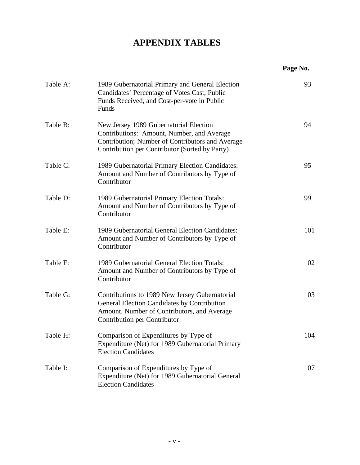### **APPENDIX TABLES**

|          |                                                                                                                                                                                            | Page No. |
|----------|--------------------------------------------------------------------------------------------------------------------------------------------------------------------------------------------|----------|
| Table A: | 1989 Gubernatorial Primary and General Election<br>Candidates' Percentage of Votes Cast, Public<br>Funds Received, and Cost-per-vote in Public<br>Funds                                    | 93       |
| Table B: | New Jersey 1989 Gubernatorial Election<br>Contributions: Amount, Number, and Average<br>Contribution; Number of Contributors and Average<br>Contribution per Contributor (Sorted by Party) | 94       |
| Table C: | 1989 Gubernatorial Primary Election Candidates:<br>Amount and Number of Contributors by Type of<br>Contributor                                                                             | 95       |
| Table D: | 1989 Gubernatorial Primary Election Totals:<br>Amount and Number of Contributors by Type of<br>Contributor                                                                                 | 99       |
| Table E: | 1989 Gubernatorial General Election Candidates:<br>Amount and Number of Contributors by Type of<br>Contributor                                                                             | 101      |
| Table F: | 1989 Gubernatorial General Election Totals:<br>Amount and Number of Contributors by Type of<br>Contributor                                                                                 | 102      |
| Table G: | Contributions to 1989 New Jersey Gubernatorial<br>General Election Candidates by Contribution<br>Amount, Number of Contributors, and Average<br>Contribution per Contributor               | 103      |
| Table H: | Comparison of Expenditures by Type of<br>Expenditure (Net) for 1989 Gubernatorial Primary<br><b>Election Candidates</b>                                                                    | 104      |
| Table I: | Comparison of Expenditures by Type of<br>Expenditure (Net) for 1989 Gubernatorial General<br><b>Election Candidates</b>                                                                    | 107      |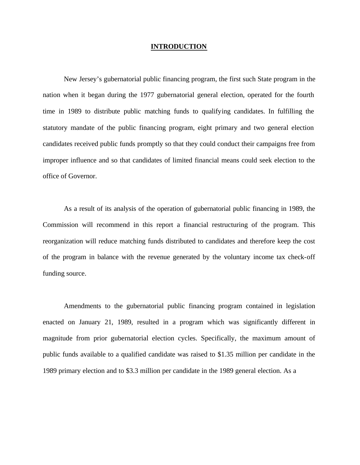#### **INTRODUCTION**

New Jersey's gubernatorial public financing program, the first such State program in the nation when it began during the 1977 gubernatorial general election, operated for the fourth time in 1989 to distribute public matching funds to qualifying candidates. In fulfilling the statutory mandate of the public financing program, eight primary and two general election candidates received public funds promptly so that they could conduct their campaigns free from improper influence and so that candidates of limited financial means could seek election to the office of Governor.

As a result of its analysis of the operation of gubernatorial public financing in 1989, the Commission will recommend in this report a financial restructuring of the program. This reorganization will reduce matching funds distributed to candidates and therefore keep the cost of the program in balance with the revenue generated by the voluntary income tax check-off funding source.

Amendments to the gubernatorial public financing program contained in legislation enacted on January 21, 1989, resulted in a program which was significantly different in magnitude from prior gubernatorial election cycles. Specifically, the maximum amount of public funds available to a qualified candidate was raised to \$1.35 million per candidate in the 1989 primary election and to \$3.3 million per candidate in the 1989 general election. As a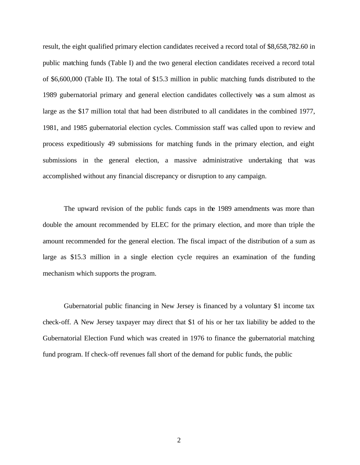result, the eight qualified primary election candidates received a record total of \$8,658,782.60 in public matching funds (Table I) and the two general election candidates received a record total of \$6,600,000 (Table II). The total of \$15.3 million in public matching funds distributed to the 1989 gubernatorial primary and general election candidates collectively was a sum almost as large as the \$17 million total that had been distributed to all candidates in the combined 1977, 1981, and 1985 gubernatorial election cycles. Commission staff was called upon to review and process expeditiously 49 submissions for matching funds in the primary election, and eight submissions in the general election, a massive administrative undertaking that was accomplished without any financial discrepancy or disruption to any campaign.

The upward revision of the public funds caps in the 1989 amendments was more than double the amount recommended by ELEC for the primary election, and more than triple the amount recommended for the general election. The fiscal impact of the distribution of a sum as large as \$15.3 million in a single election cycle requires an examination of the funding mechanism which supports the program.

Gubernatorial public financing in New Jersey is financed by a voluntary \$1 income tax check-off. A New Jersey taxpayer may direct that \$1 of his or her tax liability be added to the Gubernatorial Election Fund which was created in 1976 to finance the gubernatorial matching fund program. If check-off revenues fall short of the demand for public funds, the public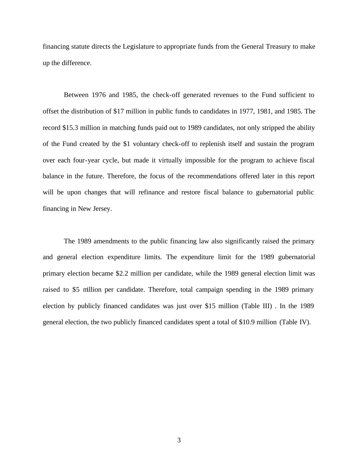financing statute directs the Legislature to appropriate funds from the General Treasury to make up the difference.

Between 1976 and 1985, the check-off generated revenues to the Fund sufficient to offset the distribution of \$17 million in public funds to candidates in 1977, 1981, and 1985. The record \$15.3 million in matching funds paid out to 1989 candidates, not only stripped the ability of the Fund created by the \$1 voluntary check-off to replenish itself and sustain the program over each four-year cycle, but made it virtually impossible for the program to achieve fiscal balance in the future. Therefore, the focus of the recommendations offered later in this report will be upon changes that will refinance and restore fiscal balance to gubernatorial public financing in New Jersey.

The 1989 amendments to the public financing law also significantly raised the primary and general election expenditure limits. The expenditure limit for the 1989 gubernatorial primary election became \$2.2 million per candidate, while the 1989 general election limit was raised to \$5 million per candidate. Therefore, total campaign spending in the 1989 primary election by publicly financed candidates was just over \$15 million (Table III) . In the 1989 general election, the two publicly financed candidates spent a total of \$10.9 million (Table IV).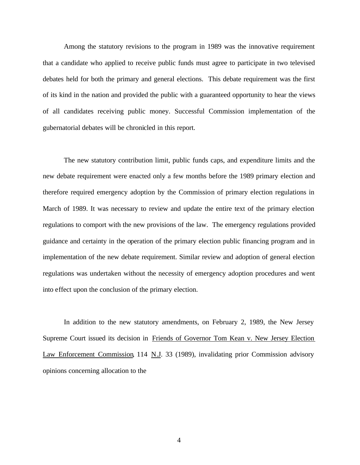Among the statutory revisions to the program in 1989 was the innovative requirement that a candidate who applied to receive public funds must agree to participate in two televised debates held for both the primary and general elections. This debate requirement was the first of its kind in the nation and provided the public with a guaranteed opportunity to hear the views of all candidates receiving public money. Successful Commission implementation of the gubernatorial debates will be chronicled in this report.

The new statutory contribution limit, public funds caps, and expenditure limits and the new debate requirement were enacted only a few months before the 1989 primary election and therefore required emergency adoption by the Commission of primary election regulations in March of 1989. It was necessary to review and update the entire text of the primary election regulations to comport with the new provisions of the law. The emergency regulations provided guidance and certainty in the operation of the primary election public financing program and in implementation of the new debate requirement. Similar review and adoption of general election regulations was undertaken without the necessity of emergency adoption procedures and went into effect upon the conclusion of the primary election.

In addition to the new statutory amendments, on February 2, 1989, the New Jersey Supreme Court issued its decision in Friends of Governor Tom Kean v. New Jersey Election Law Enforcement Commission, 114 N.J. 33 (1989), invalidating prior Commission advisory opinions concerning allocation to the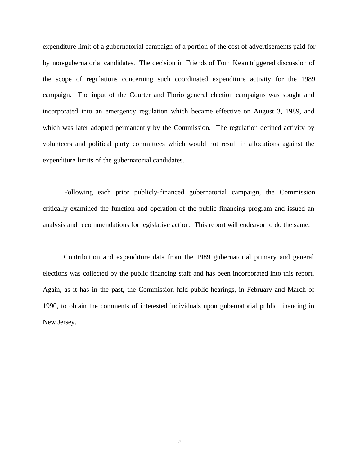expenditure limit of a gubernatorial campaign of a portion of the cost of advertisements paid for by non-gubernatorial candidates. The decision in Friends of Tom Kean triggered discussion of the scope of regulations concerning such coordinated expenditure activity for the 1989 campaign. The input of the Courter and Florio general election campaigns was sought and incorporated into an emergency regulation which became effective on August 3, 1989, and which was later adopted permanently by the Commission. The regulation defined activity by volunteers and political party committees which would not result in allocations against the expenditure limits of the gubernatorial candidates.

Following each prior publicly-financed gubernatorial campaign, the Commission critically examined the function and operation of the public financing program and issued an analysis and recommendations for legislative action. This report will endeavor to do the same.

Contribution and expenditure data from the 1989 gubernatorial primary and general elections was collected by the public financing staff and has been incorporated into this report. Again, as it has in the past, the Commission held public hearings, in February and March of 1990, to obtain the comments of interested individuals upon gubernatorial public financing in New Jersey.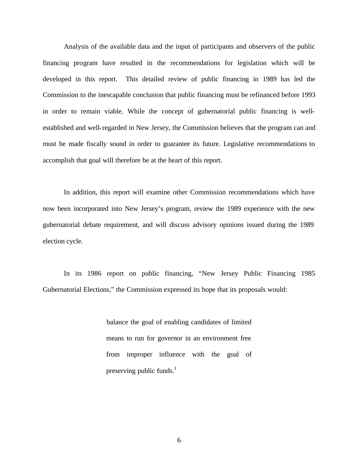Analysis of the available data and the input of participants and observers of the public financing program have resulted in the recommendations for legislation which will be developed in this report. This detailed review of public financing in 1989 has led the Commission to the inescapable conclusion that public financing must be refinanced before 1993 in order to remain viable. While the concept of gubernatorial public financing is wellestablished and well-regarded in New Jersey, the Commission believes that the program can and must be made fiscally sound in order to guarantee its future. Legislative recommendations to accomplish that goal will therefore be at the heart of this report.

In addition, this report will examine other Commission recommendations which have now been incorporated into New Jersey's program, review the 1989 experience with the new gubernatorial debate requirement, and will discuss advisory opinions issued during the 1989 election cycle.

In its 1986 report on public financing, "New Jersey Public Financing 1985 Gubernatorial Elections," the Commission expressed its hope that its proposals would:

> balance the goal of enabling candidates of limited means to run for governor in an environment free from improper influence with the goal of preserving public funds. $<sup>1</sup>$ </sup>

> > 6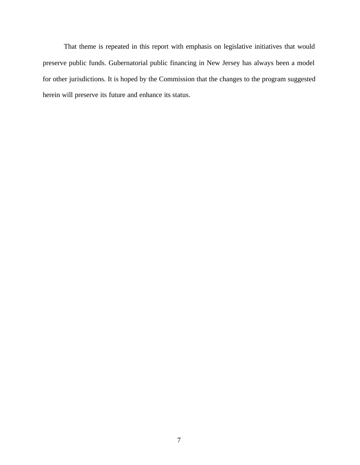That theme is repeated in this report with emphasis on legislative initiatives that would preserve public funds. Gubernatorial public financing in New Jersey has always been a model for other jurisdictions. It is hoped by the Commission that the changes to the program suggested herein will preserve its future and enhance its status.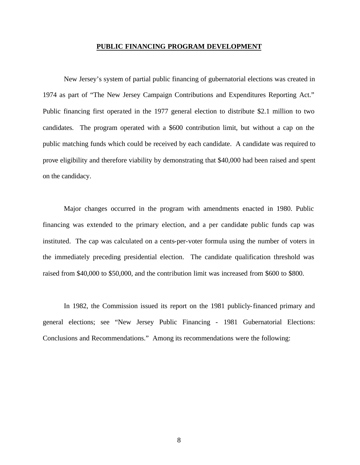#### **PUBLIC FINANCING PROGRAM DEVELOPMENT**

New Jersey's system of partial public financing of gubernatorial elections was created in 1974 as part of "The New Jersey Campaign Contributions and Expenditures Reporting Act." Public financing first operated in the 1977 general election to distribute \$2.1 million to two candidates. The program operated with a \$600 contribution limit, but without a cap on the public matching funds which could be received by each candidate. A candidate was required to prove eligibility and therefore viability by demonstrating that \$40,000 had been raised and spent on the candidacy.

Major changes occurred in the program with amendments enacted in 1980. Public financing was extended to the primary election, and a per candidate public funds cap was instituted. The cap was calculated on a cents-per-voter formula using the number of voters in the immediately preceding presidential election. The candidate qualification threshold was raised from \$40,000 to \$50,000, and the contribution limit was increased from \$600 to \$800.

In 1982, the Commission issued its report on the 1981 publicly-financed primary and general elections; see "New Jersey Public Financing - 1981 Gubernatorial Elections: Conclusions and Recommendations." Among its recommendations were the following: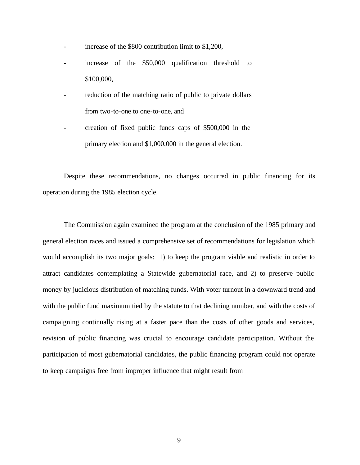- increase of the \$800 contribution limit to \$1,200,
- increase of the \$50,000 qualification threshold to \$100,000,
- reduction of the matching ratio of public to private dollars from two-to-one to one-to-one, and
- creation of fixed public funds caps of \$500,000 in the primary election and \$1,000,000 in the general election.

Despite these recommendations, no changes occurred in public financing for its operation during the 1985 election cycle.

The Commission again examined the program at the conclusion of the 1985 primary and general election races and issued a comprehensive set of recommendations for legislation which would accomplish its two major goals: 1) to keep the program viable and realistic in order to attract candidates contemplating a Statewide gubernatorial race, and 2) to preserve public money by judicious distribution of matching funds. With voter turnout in a downward trend and with the public fund maximum tied by the statute to that declining number, and with the costs of campaigning continually rising at a faster pace than the costs of other goods and services, revision of public financing was crucial to encourage candidate participation. Without the participation of most gubernatorial candidates, the public financing program could not operate to keep campaigns free from improper influence that might result from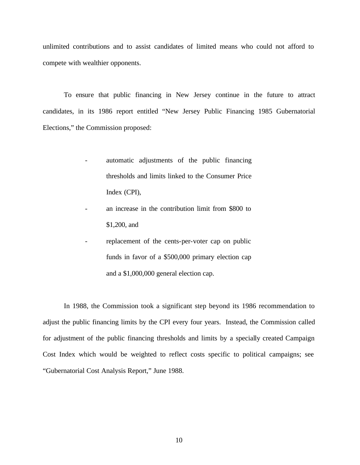unlimited contributions and to assist candidates of limited means who could not afford to compete with wealthier opponents.

To ensure that public financing in New Jersey continue in the future to attract candidates, in its 1986 report entitled "New Jersey Public Financing 1985 Gubernatorial Elections," the Commission proposed:

- automatic adjustments of the public financing thresholds and limits linked to the Consumer Price Index (CPI),
- an increase in the contribution limit from \$800 to \$1,200, and
- replacement of the cents-per-voter cap on public funds in favor of a \$500,000 primary election cap and a \$1,000,000 general election cap.

In 1988, the Commission took a significant step beyond its 1986 recommendation to adjust the public financing limits by the CPI every four years. Instead, the Commission called for adjustment of the public financing thresholds and limits by a specially created Campaign Cost Index which would be weighted to reflect costs specific to political campaigns; see "Gubernatorial Cost Analysis Report," June 1988.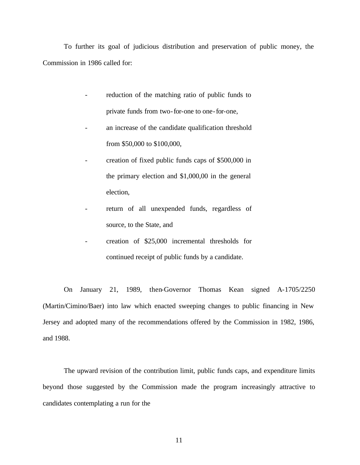To further its goal of judicious distribution and preservation of public money, the Commission in 1986 called for:

- reduction of the matching ratio of public funds to private funds from two-for-one to one-for-one,
- an increase of the candidate qualification threshold from \$50,000 to \$100,000,
- creation of fixed public funds caps of \$500,000 in the primary election and \$1,000,00 in the general election,
- return of all unexpended funds, regardless of source, to the State, and
- creation of \$25,000 incremental thresholds for continued receipt of public funds by a candidate.

On January 21, 1989, then-Governor Thomas Kean signed A-1705/2250 (Martin/Cimino/Baer) into law which enacted sweeping changes to public financing in New Jersey and adopted many of the recommendations offered by the Commission in 1982, 1986, and 1988.

The upward revision of the contribution limit, public funds caps, and expenditure limits beyond those suggested by the Commission made the program increasingly attractive to candidates contemplating a run for the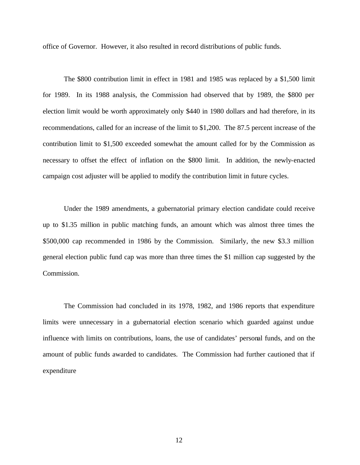office of Governor. However, it also resulted in record distributions of public funds.

The \$800 contribution limit in effect in 1981 and 1985 was replaced by a \$1,500 limit for 1989. In its 1988 analysis, the Commission had observed that by 1989, the \$800 per election limit would be worth approximately only \$440 in 1980 dollars and had therefore, in its recommendations, called for an increase of the limit to \$1,200. The 87.5 percent increase of the contribution limit to \$1,500 exceeded somewhat the amount called for by the Commission as necessary to offset the effect of inflation on the \$800 limit. In addition, the newly-enacted campaign cost adjuster will be applied to modify the contribution limit in future cycles.

Under the 1989 amendments, a gubernatorial primary election candidate could receive up to \$1.35 million in public matching funds, an amount which was almost three times the \$500,000 cap recommended in 1986 by the Commission. Similarly, the new \$3.3 million general election public fund cap was more than three times the \$1 million cap suggested by the Commission.

The Commission had concluded in its 1978, 1982, and 1986 reports that expenditure limits were unnecessary in a gubernatorial election scenario which guarded against undue influence with limits on contributions, loans, the use of candidates' personal funds, and on the amount of public funds awarded to candidates. The Commission had further cautioned that if expenditure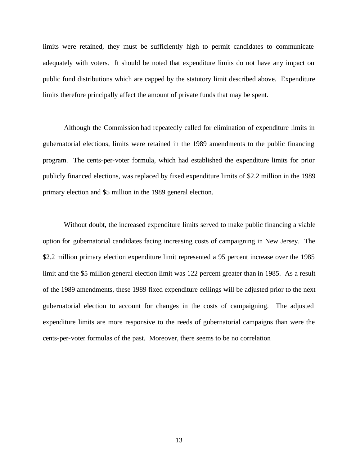limits were retained, they must be sufficiently high to permit candidates to communicate adequately with voters. It should be noted that expenditure limits do not have any impact on public fund distributions which are capped by the statutory limit described above. Expenditure limits therefore principally affect the amount of private funds that may be spent.

Although the Commission had repeatedly called for elimination of expenditure limits in gubernatorial elections, limits were retained in the 1989 amendments to the public financing program. The cents-per-voter formula, which had established the expenditure limits for prior publicly financed elections, was replaced by fixed expenditure limits of \$2.2 million in the 1989 primary election and \$5 million in the 1989 general election.

Without doubt, the increased expenditure limits served to make public financing a viable option for gubernatorial candidates facing increasing costs of campaigning in New Jersey. The \$2.2 million primary election expenditure limit represented a 95 percent increase over the 1985 limit and the \$5 million general election limit was 122 percent greater than in 1985. As a result of the 1989 amendments, these 1989 fixed expenditure ceilings will be adjusted prior to the next gubernatorial election to account for changes in the costs of campaigning. The adjusted expenditure limits are more responsive to the needs of gubernatorial campaigns than were the cents-per-voter formulas of the past. Moreover, there seems to be no correlation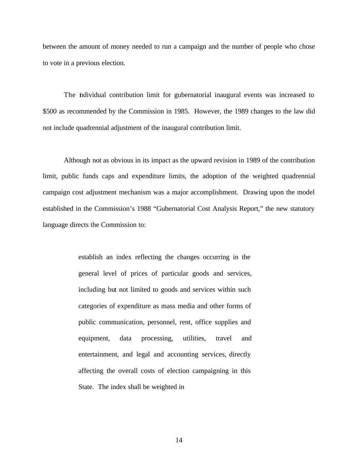between the amount of money needed to run a campaign and the number of people who chose to vote in a previous election.

The individual contribution limit for gubernatorial inaugural events was increased to \$500 as recommended by the Commission in 1985. However, the 1989 changes to the law did not include quadrennial adjustment of the inaugural contribution limit.

Although not as obvious in its impact as the upward revision in 1989 of the contribution limit, public funds caps and expenditure limits, the adoption of the weighted quadrennial campaign cost adjustment mechanism was a major accomplishment. Drawing upon the model established in the Commission's 1988 "Gubernatorial Cost Analysis Report," the new statutory language directs the Commission to:

> establish an index reflecting the changes occurring in the general level of prices of particular goods and services, including but not limited to goods and services within such categories of expenditure as mass media and other forms of public communication, personnel, rent, office supplies and equipment, data processing, utilities, travel and entertainment, and legal and accounting services, directly affecting the overall costs of election campaigning in this State. The index shall be weighted in

> > 14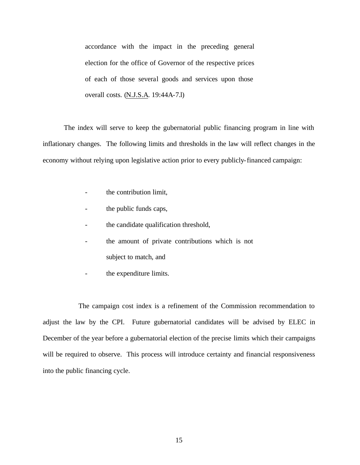accordance with the impact in the preceding general election for the office of Governor of the respective prices of each of those several goods and services upon those overall costs. (N.J.S.A. 19:44A-7.l)

The index will serve to keep the gubernatorial public financing program in line with inflationary changes. The following limits and thresholds in the law will reflect changes in the economy without relying upon legislative action prior to every publicly-financed campaign:

- the contribution limit,
- the public funds caps,
- the candidate qualification threshold,
- the amount of private contributions which is not subject to match, and
- the expenditure limits.

The campaign cost index is a refinement of the Commission recommendation to adjust the law by the CPI. Future gubernatorial candidates will be advised by ELEC in December of the year before a gubernatorial election of the precise limits which their campaigns will be required to observe. This process will introduce certainty and financial responsiveness into the public financing cycle.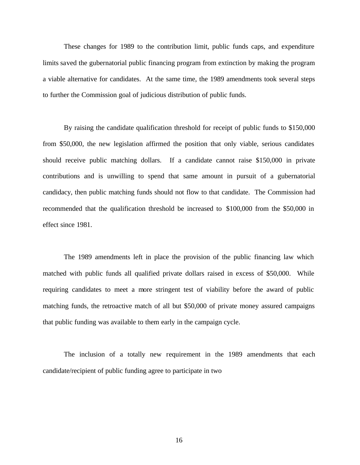These changes for 1989 to the contribution limit, public funds caps, and expenditure limits saved the gubernatorial public financing program from extinction by making the program a viable alternative for candidates. At the same time, the 1989 amendments took several steps to further the Commission goal of judicious distribution of public funds.

By raising the candidate qualification threshold for receipt of public funds to \$150,000 from \$50,000, the new legislation affirmed the position that only viable, serious candidates should receive public matching dollars. If a candidate cannot raise \$150,000 in private contributions and is unwilling to spend that same amount in pursuit of a gubernatorial candidacy, then public matching funds should not flow to that candidate. The Commission had recommended that the qualification threshold be increased to \$100,000 from the \$50,000 in effect since 1981.

The 1989 amendments left in place the provision of the public financing law which matched with public funds all qualified private dollars raised in excess of \$50,000. While requiring candidates to meet a more stringent test of viability before the award of public matching funds, the retroactive match of all but \$50,000 of private money assured campaigns that public funding was available to them early in the campaign cycle.

The inclusion of a totally new requirement in the 1989 amendments that each candidate/recipient of public funding agree to participate in two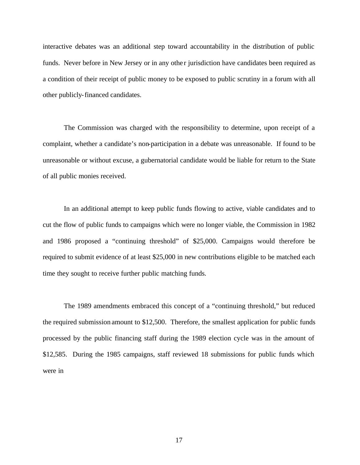interactive debates was an additional step toward accountability in the distribution of public funds. Never before in New Jersey or in any other jurisdiction have candidates been required as a condition of their receipt of public money to be exposed to public scrutiny in a forum with all other publicly-financed candidates.

The Commission was charged with the responsibility to determine, upon receipt of a complaint, whether a candidate's non-participation in a debate was unreasonable. If found to be unreasonable or without excuse, a gubernatorial candidate would be liable for return to the State of all public monies received.

In an additional attempt to keep public funds flowing to active, viable candidates and to cut the flow of public funds to campaigns which were no longer viable, the Commission in 1982 and 1986 proposed a "continuing threshold" of \$25,000. Campaigns would therefore be required to submit evidence of at least \$25,000 in new contributions eligible to be matched each time they sought to receive further public matching funds.

The 1989 amendments embraced this concept of a "continuing threshold," but reduced the required submission amount to \$12,500. Therefore, the smallest application for public funds processed by the public financing staff during the 1989 election cycle was in the amount of \$12,585. During the 1985 campaigns, staff reviewed 18 submissions for public funds which were in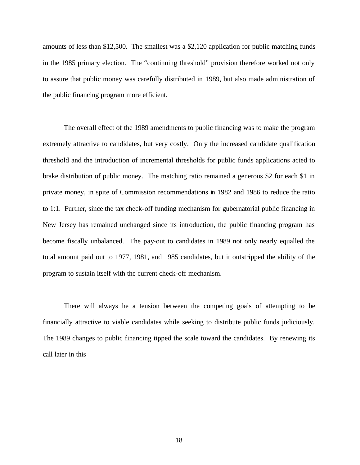amounts of less than \$12,500. The smallest was a \$2,120 application for public matching funds in the 1985 primary election. The "continuing threshold" provision therefore worked not only to assure that public money was carefully distributed in 1989, but also made administration of the public financing program more efficient.

The overall effect of the 1989 amendments to public financing was to make the program extremely attractive to candidates, but very costly. Only the increased candidate qualification threshold and the introduction of incremental thresholds for public funds applications acted to brake distribution of public money. The matching ratio remained a generous \$2 for each \$1 in private money, in spite of Commission recommendations in 1982 and 1986 to reduce the ratio to 1:1. Further, since the tax check-off funding mechanism for gubernatorial public financing in New Jersey has remained unchanged since its introduction, the public financing program has become fiscally unbalanced. The pay-out to candidates in 1989 not only nearly equalled the total amount paid out to 1977, 1981, and 1985 candidates, but it outstripped the ability of the program to sustain itself with the current check-off mechanism.

There will always he a tension between the competing goals of attempting to be financially attractive to viable candidates while seeking to distribute public funds judiciously. The 1989 changes to public financing tipped the scale toward the candidates. By renewing its call later in this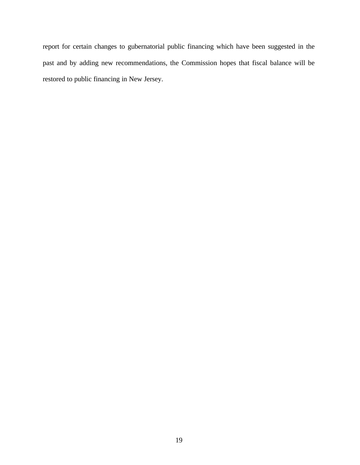report for certain changes to gubernatorial public financing which have been suggested in the past and by adding new recommendations, the Commission hopes that fiscal balance will be restored to public financing in New Jersey.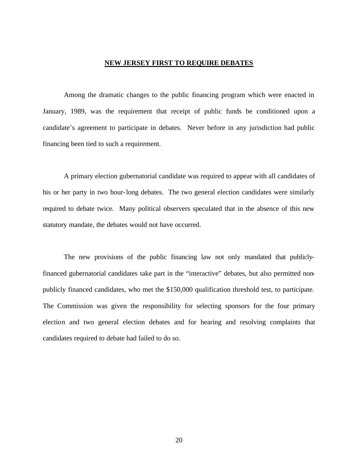#### **NEW JERSEY FIRST TO REQUIRE DEBATES**

Among the dramatic changes to the public financing program which were enacted in January, 1989, was the requirement that receipt of public funds be conditioned upon a candidate's agreement to participate in debates. Never before in any jurisdiction had public financing been tied to such a requirement.

A primary election gubernatorial candidate was required to appear with all candidates of his or her party in two hour-long debates. The two general election candidates were similarly required to debate twice. Many political observers speculated that in the absence of this new statutory mandate, the debates would not have occurred.

The new provisions of the public financing law not only mandated that publiclyfinanced gubernatorial candidates take part in the "interactive" debates, but also permitted nonpublicly financed candidates, who met the \$150,000 qualification threshold test, to participate. The Commission was given the responsibility for selecting sponsors for the four primary election and two general election debates and for hearing and resolving complaints that candidates required to debate had failed to do so.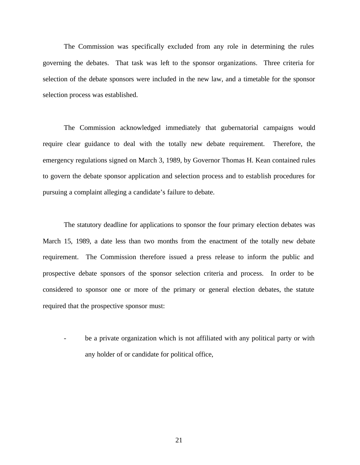The Commission was specifically excluded from any role in determining the rules governing the debates. That task was left to the sponsor organizations. Three criteria for selection of the debate sponsors were included in the new law, and a timetable for the sponsor selection process was established.

The Commission acknowledged immediately that gubernatorial campaigns would require clear guidance to deal with the totally new debate requirement. Therefore, the emergency regulations signed on March 3, 1989, by Governor Thomas H. Kean contained rules to govern the debate sponsor application and selection process and to establish procedures for pursuing a complaint alleging a candidate's failure to debate.

The statutory deadline for applications to sponsor the four primary election debates was March 15, 1989, a date less than two months from the enactment of the totally new debate requirement. The Commission therefore issued a press release to inform the public and prospective debate sponsors of the sponsor selection criteria and process. In order to be considered to sponsor one or more of the primary or general election debates, the statute required that the prospective sponsor must:

> be a private organization which is not affiliated with any political party or with any holder of or candidate for political office,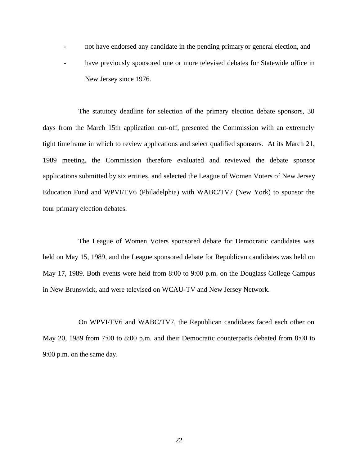- not have endorsed any candidate in the pending primary or general election, and have previously sponsored one or more televised debates for Statewide office in New Jersey since 1976.

The statutory deadline for selection of the primary election debate sponsors, 30 days from the March 15th application cut-off, presented the Commission with an extremely tight timeframe in which to review applications and select qualified sponsors. At its March 21, 1989 meeting, the Commission therefore evaluated and reviewed the debate sponsor applications submitted by six entities, and selected the League of Women Voters of New Jersey Education Fund and WPVI/TV6 (Philadelphia) with WABC/TV7 (New York) to sponsor the four primary election debates.

The League of Women Voters sponsored debate for Democratic candidates was held on May 15, 1989, and the League sponsored debate for Republican candidates was held on May 17, 1989. Both events were held from 8:00 to 9:00 p.m. on the Douglass College Campus in New Brunswick, and were televised on WCAU-TV and New Jersey Network.

On WPVI/TV6 and WABC/TV7, the Republican candidates faced each other on May 20, 1989 from 7:00 to 8:00 p.m. and their Democratic counterparts debated from 8:00 to 9:00 p.m. on the same day.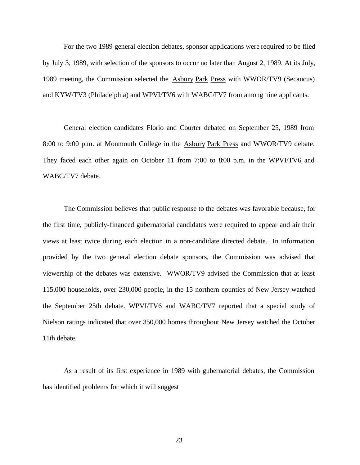For the two 1989 general election debates, sponsor applications were required to be filed by July 3, 1989, with selection of the sponsors to occur no later than August 2, 1989. At its July, 1989 meeting, the Commission selected the Asbury Park Press with WWOR/TV9 (Secaucus) and KYW/TV3 (Philadelphia) and WPVI/TV6 with WABC/TV7 from among nine applicants.

General election candidates Florio and Courter debated on September 25, 1989 from 8:00 to 9:00 p.m. at Monmouth College in the Asbury Park Press and WWOR/TV9 debate. They faced each other again on October 11 from 7:00 to 8:00 p.m. in the WPVI/TV6 and WABC/TV7 debate.

The Commission believes that public response to the debates was favorable because, for the first time, publicly-financed gubernatorial candidates were required to appear and air their views at least twice during each election in a non-candidate directed debate. In information provided by the two general election debate sponsors, the Commission was advised that viewership of the debates was extensive. WWOR/TV9 advised the Commission that at least 115,000 households, over 230,000 people, in the 15 northern counties of New Jersey watched the September 25th debate. WPVI/TV6 and WABC/TV7 reported that a special study of Nielson ratings indicated that over 350,000 homes throughout New Jersey watched the October 11th debate.

As a result of its first experience in 1989 with gubernatorial debates, the Commission has identified problems for which it will suggest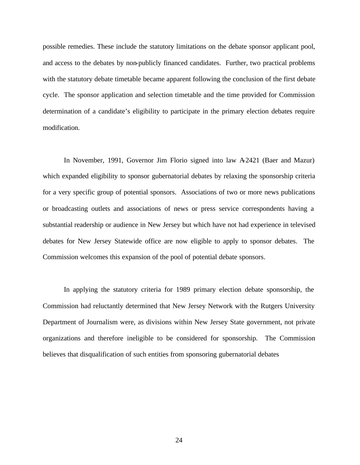possible remedies. These include the statutory limitations on the debate sponsor applicant pool, and access to the debates by non-publicly financed candidates. Further, two practical problems with the statutory debate timetable became apparent following the conclusion of the first debate cycle. The sponsor application and selection timetable and the time provided for Commission determination of a candidate's eligibility to participate in the primary election debates require modification.

In November, 1991, Governor Jim Florio signed into law A2421 (Baer and Mazur) which expanded eligibility to sponsor gubernatorial debates by relaxing the sponsorship criteria for a very specific group of potential sponsors. Associations of two or more news publications or broadcasting outlets and associations of news or press service correspondents having a substantial readership or audience in New Jersey but which have not had experience in televised debates for New Jersey Statewide office are now eligible to apply to sponsor debates. The Commission welcomes this expansion of the pool of potential debate sponsors.

In applying the statutory criteria for 1989 primary election debate sponsorship, the Commission had reluctantly determined that New Jersey Network with the Rutgers University Department of Journalism were, as divisions within New Jersey State government, not private organizations and therefore ineligible to be considered for sponsorship. The Commission believes that disqualification of such entities from sponsoring gubernatorial debates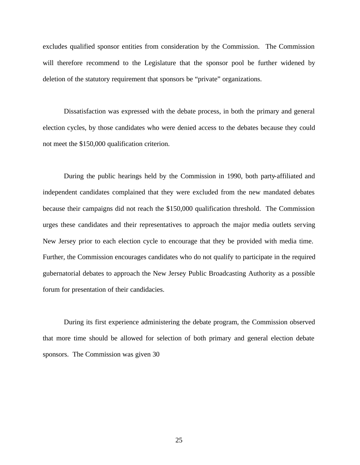excludes qualified sponsor entities from consideration by the Commission. The Commission will therefore recommend to the Legislature that the sponsor pool be further widened by deletion of the statutory requirement that sponsors be "private" organizations.

Dissatisfaction was expressed with the debate process, in both the primary and general election cycles, by those candidates who were denied access to the debates because they could not meet the \$150,000 qualification criterion.

During the public hearings held by the Commission in 1990, both party-affiliated and independent candidates complained that they were excluded from the new mandated debates because their campaigns did not reach the \$150,000 qualification threshold. The Commission urges these candidates and their representatives to approach the major media outlets serving New Jersey prior to each election cycle to encourage that they be provided with media time. Further, the Commission encourages candidates who do not qualify to participate in the required gubernatorial debates to approach the New Jersey Public Broadcasting Authority as a possible forum for presentation of their candidacies.

During its first experience administering the debate program, the Commission observed that more time should be allowed for selection of both primary and general election debate sponsors. The Commission was given 30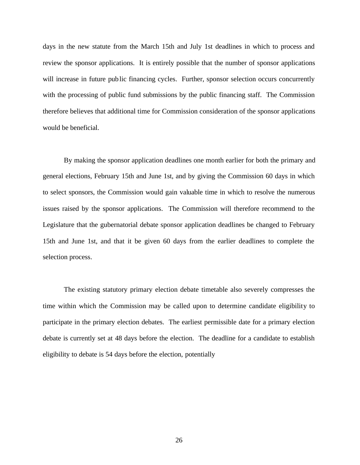days in the new statute from the March 15th and July 1st deadlines in which to process and review the sponsor applications. It is entirely possible that the number of sponsor applications will increase in future public financing cycles. Further, sponsor selection occurs concurrently with the processing of public fund submissions by the public financing staff. The Commission therefore believes that additional time for Commission consideration of the sponsor applications would be beneficial.

By making the sponsor application deadlines one month earlier for both the primary and general elections, February 15th and June 1st, and by giving the Commission 60 days in which to select sponsors, the Commission would gain valuable time in which to resolve the numerous issues raised by the sponsor applications. The Commission will therefore recommend to the Legislature that the gubernatorial debate sponsor application deadlines be changed to February 15th and June 1st, and that it be given 60 days from the earlier deadlines to complete the selection process.

The existing statutory primary election debate timetable also severely compresses the time within which the Commission may be called upon to determine candidate eligibility to participate in the primary election debates. The earliest permissible date for a primary election debate is currently set at 48 days before the election. The deadline for a candidate to establish eligibility to debate is 54 days before the election, potentially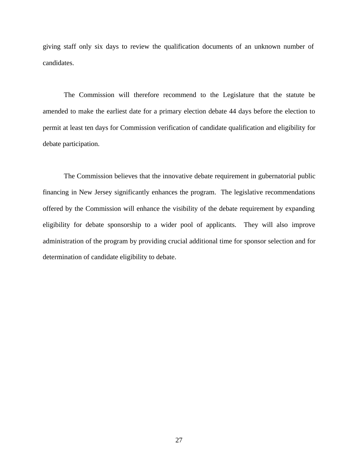giving staff only six days to review the qualification documents of an unknown number of candidates.

The Commission will therefore recommend to the Legislature that the statute be amended to make the earliest date for a primary election debate 44 days before the election to permit at least ten days for Commission verification of candidate qualification and eligibility for debate participation.

The Commission believes that the innovative debate requirement in gubernatorial public financing in New Jersey significantly enhances the program. The legislative recommendations offered by the Commission will enhance the visibility of the debate requirement by expanding eligibility for debate sponsorship to a wider pool of applicants. They will also improve administration of the program by providing crucial additional time for sponsor selection and for determination of candidate eligibility to debate.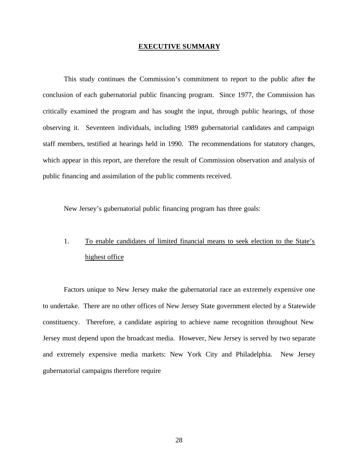#### **EXECUTIVE SUMMARY**

This study continues the Commission's commitment to report to the public after the conclusion of each gubernatorial public financing program. Since 1977, the Commission has critically examined the program and has sought the input, through public hearings, of those observing it. Seventeen individuals, including 1989 gubernatorial candidates and campaign staff members, testified at hearings held in 1990. The recommendations for statutory changes, which appear in this report, are therefore the result of Commission observation and analysis of public financing and assimilation of the public comments received.

New Jersey's gubernatorial public financing program has three goals:

### 1. To enable candidates of limited financial means to seek election to the State's highest office

Factors unique to New Jersey make the gubernatorial race an extremely expensive one to undertake. There are no other offices of New Jersey State government elected by a Statewide constituency. Therefore, a candidate aspiring to achieve name recognition throughout New Jersey must depend upon the broadcast media. However, New Jersey is served by two separate and extremely expensive media markets: New York City and Philadelphia. New Jersey gubernatorial campaigns therefore require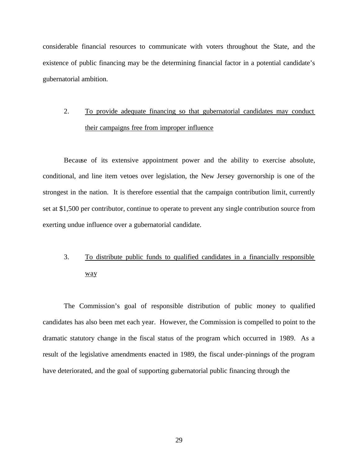considerable financial resources to communicate with voters throughout the State, and the existence of public financing may be the determining financial factor in a potential candidate's gubernatorial ambition.

## 2. To provide adequate financing so that gubernatorial candidates may conduct their campaigns free from improper influence

Because of its extensive appointment power and the ability to exercise absolute, conditional, and line item vetoes over legislation, the New Jersey governorship is one of the strongest in the nation. It is therefore essential that the campaign contribution limit, currently set at \$1,500 per contributor, continue to operate to prevent any single contribution source from exerting undue influence over a gubernatorial candidate.

# 3. To distribute public funds to qualified candidates in a financially responsible way

The Commission's goal of responsible distribution of public money to qualified candidates has also been met each year. However, the Commission is compelled to point to the dramatic statutory change in the fiscal status of the program which occurred in 1989. As a result of the legislative amendments enacted in 1989, the fiscal under-pinnings of the program have deteriorated, and the goal of supporting gubernatorial public financing through the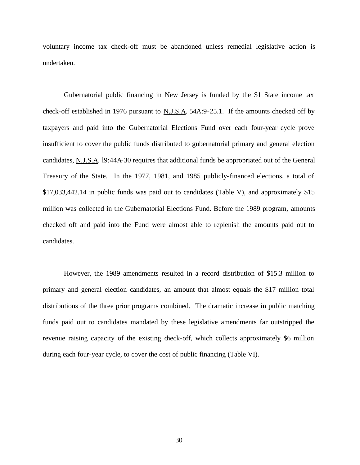voluntary income tax check-off must be abandoned unless remedial legislative action is undertaken.

Gubernatorial public financing in New Jersey is funded by the \$1 State income tax check-off established in 1976 pursuant to N.J.S.A. 54A:9-25.1. If the amounts checked off by taxpayers and paid into the Gubernatorial Elections Fund over each four-year cycle prove insufficient to cover the public funds distributed to gubernatorial primary and general election candidates, N.J.S.A. l9:44A-30 requires that additional funds be appropriated out of the General Treasury of the State. In the 1977, 1981, and 1985 publicly-financed elections, a total of \$17,033,442.14 in public funds was paid out to candidates (Table V), and approximately \$15 million was collected in the Gubernatorial Elections Fund. Before the 1989 program, amounts checked off and paid into the Fund were almost able to replenish the amounts paid out to candidates.

However, the 1989 amendments resulted in a record distribution of \$15.3 million to primary and general election candidates, an amount that almost equals the \$17 million total distributions of the three prior programs combined. The dramatic increase in public matching funds paid out to candidates mandated by these legislative amendments far outstripped the revenue raising capacity of the existing check-off, which collects approximately \$6 million during each four-year cycle, to cover the cost of public financing (Table VI).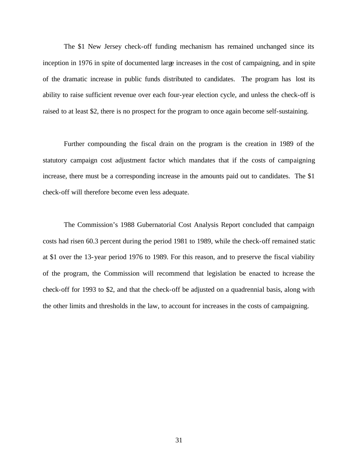The \$1 New Jersey check-off funding mechanism has remained unchanged since its inception in 1976 in spite of documented large increases in the cost of campaigning, and in spite of the dramatic increase in public funds distributed to candidates. The program has lost its ability to raise sufficient revenue over each four-year election cycle, and unless the check-off is raised to at least \$2, there is no prospect for the program to once again become self-sustaining.

Further compounding the fiscal drain on the program is the creation in 1989 of the statutory campaign cost adjustment factor which mandates that if the costs of campaigning increase, there must be a corresponding increase in the amounts paid out to candidates. The \$1 check-off will therefore become even less adequate.

The Commission's 1988 Gubernatorial Cost Analysis Report concluded that campaign costs had risen 60.3 percent during the period 1981 to 1989, while the check-off remained static at \$1 over the 13-year period 1976 to 1989. For this reason, and to preserve the fiscal viability of the program, the Commission will recommend that legislation be enacted to increase the check-off for 1993 to \$2, and that the check-off be adjusted on a quadrennial basis, along with the other limits and thresholds in the law, to account for increases in the costs of campaigning.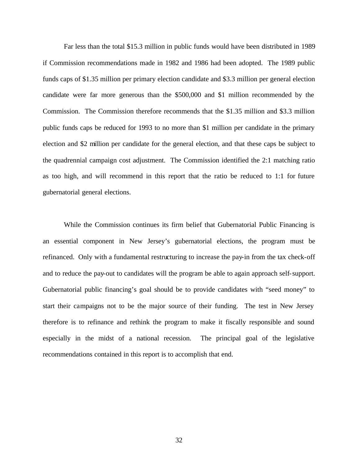Far less than the total \$15.3 million in public funds would have been distributed in 1989 if Commission recommendations made in 1982 and 1986 had been adopted. The 1989 public funds caps of \$1.35 million per primary election candidate and \$3.3 million per general election candidate were far more generous than the \$500,000 and \$1 million recommended by the Commission. The Commission therefore recommends that the \$1.35 million and \$3.3 million public funds caps be reduced for 1993 to no more than \$1 million per candidate in the primary election and \$2 million per candidate for the general election, and that these caps be subject to the quadrennial campaign cost adjustment. The Commission identified the 2:1 matching ratio as too high, and will recommend in this report that the ratio be reduced to 1:1 for future gubernatorial general elections.

While the Commission continues its firm belief that Gubernatorial Public Financing is an essential component in New Jersey's gubernatorial elections, the program must be refinanced. Only with a fundamental restructuring to increase the pay-in from the tax check-off and to reduce the pay-out to candidates will the program be able to again approach self-support. Gubernatorial public financing's goal should be to provide candidates with "seed money" to start their campaigns not to be the major source of their funding. The test in New Jersey therefore is to refinance and rethink the program to make it fiscally responsible and sound especially in the midst of a national recession. The principal goal of the legislative recommendations contained in this report is to accomplish that end.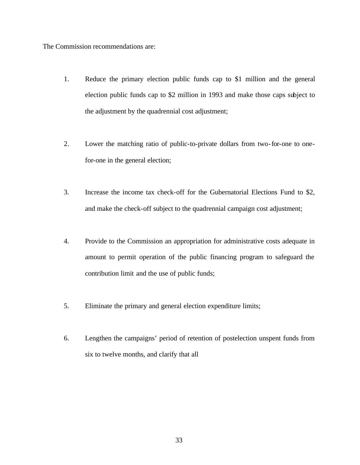The Commission recommendations are:

- 1. Reduce the primary election public funds cap to \$1 million and the general election public funds cap to \$2 million in 1993 and make those caps subject to the adjustment by the quadrennial cost adjustment;
- 2. Lower the matching ratio of public-to-private dollars from two-for-one to onefor-one in the general election;
- 3. Increase the income tax check-off for the Gubernatorial Elections Fund to \$2, and make the check-off subject to the quadrennial campaign cost adjustment;
- 4. Provide to the Commission an appropriation for administrative costs adequate in amount to permit operation of the public financing program to safeguard the contribution limit and the use of public funds;
- 5. Eliminate the primary and general election expenditure limits;
- 6. Lengthen the campaigns' period of retention of postelection unspent funds from six to twelve months, and clarify that all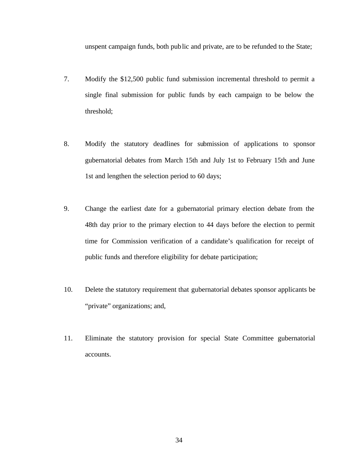unspent campaign funds, both public and private, are to be refunded to the State;

- 7. Modify the \$12,500 public fund submission incremental threshold to permit a single final submission for public funds by each campaign to be below the threshold;
- 8. Modify the statutory deadlines for submission of applications to sponsor gubernatorial debates from March 15th and July 1st to February 15th and June 1st and lengthen the selection period to 60 days;
- 9. Change the earliest date for a gubernatorial primary election debate from the 48th day prior to the primary election to 44 days before the election to permit time for Commission verification of a candidate's qualification for receipt of public funds and therefore eligibility for debate participation;
- 10. Delete the statutory requirement that gubernatorial debates sponsor applicants be "private" organizations; and,
- 11. Eliminate the statutory provision for special State Committee gubernatorial accounts.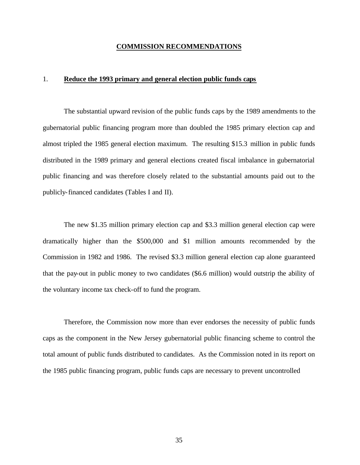#### **COMMISSION RECOMMENDATIONS**

### 1. **Reduce the 1993 primary and general election public funds caps**

The substantial upward revision of the public funds caps by the 1989 amendments to the gubernatorial public financing program more than doubled the 1985 primary election cap and almost tripled the 1985 general election maximum. The resulting \$15.3 million in public funds distributed in the 1989 primary and general elections created fiscal imbalance in gubernatorial public financing and was therefore closely related to the substantial amounts paid out to the publicly-financed candidates (Tables I and II).

The new \$1.35 million primary election cap and \$3.3 million general election cap were dramatically higher than the \$500,000 and \$1 million amounts recommended by the Commission in 1982 and 1986. The revised \$3.3 million general election cap alone guaranteed that the pay-out in public money to two candidates (\$6.6 million) would outstrip the ability of the voluntary income tax check-off to fund the program.

Therefore, the Commission now more than ever endorses the necessity of public funds caps as the component in the New Jersey gubernatorial public financing scheme to control the total amount of public funds distributed to candidates. As the Commission noted in its report on the 1985 public financing program, public funds caps are necessary to prevent uncontrolled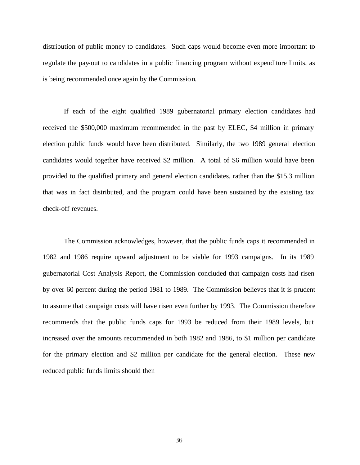distribution of public money to candidates. Such caps would become even more important to regulate the pay-out to candidates in a public financing program without expenditure limits, as is being recommended once again by the Commission.

If each of the eight qualified 1989 gubernatorial primary election candidates had received the \$500,000 maximum recommended in the past by ELEC, \$4 million in primary election public funds would have been distributed. Similarly, the two 1989 general election candidates would together have received \$2 million. A total of \$6 million would have been provided to the qualified primary and general election candidates, rather than the \$15.3 million that was in fact distributed, and the program could have been sustained by the existing tax check-off revenues.

The Commission acknowledges, however, that the public funds caps it recommended in 1982 and 1986 require upward adjustment to be viable for 1993 campaigns. In its 1989 gubernatorial Cost Analysis Report, the Commission concluded that campaign costs had risen by over 60 percent during the period 1981 to 1989. The Commission believes that it is prudent to assume that campaign costs will have risen even further by 1993. The Commission therefore recommends that the public funds caps for 1993 be reduced from their 1989 levels, but increased over the amounts recommended in both 1982 and 1986, to \$1 million per candidate for the primary election and \$2 million per candidate for the general election. These new reduced public funds limits should then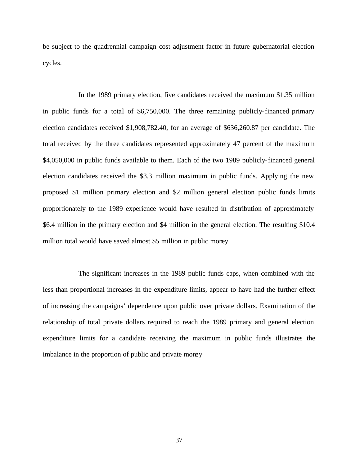be subject to the quadrennial campaign cost adjustment factor in future gubernatorial election cycles.

In the 1989 primary election, five candidates received the maximum \$1.35 million in public funds for a total of \$6,750,000. The three remaining publicly-financed primary election candidates received \$1,908,782.40, for an average of \$636,260.87 per candidate. The total received by the three candidates represented approximately 47 percent of the maximum \$4,050,000 in public funds available to them. Each of the two 1989 publicly-financed general election candidates received the \$3.3 million maximum in public funds. Applying the new proposed \$1 million primary election and \$2 million general election public funds limits proportionately to the 1989 experience would have resulted in distribution of approximately \$6.4 million in the primary election and \$4 million in the general election. The resulting \$10.4 million total would have saved almost \$5 million in public money.

The significant increases in the 1989 public funds caps, when combined with the less than proportional increases in the expenditure limits, appear to have had the further effect of increasing the campaigns' dependence upon public over private dollars. Examination of the relationship of total private dollars required to reach the 1989 primary and general election expenditure limits for a candidate receiving the maximum in public funds illustrates the imbalance in the proportion of public and private money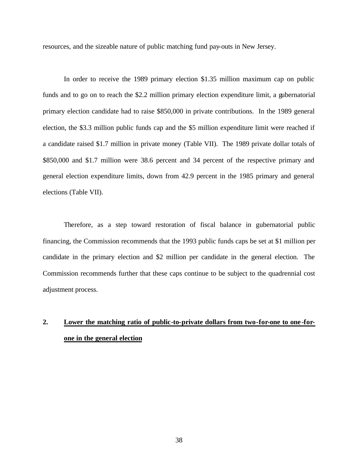resources, and the sizeable nature of public matching fund pay-outs in New Jersey.

In order to receive the 1989 primary election \$1.35 million maximum cap on public funds and to go on to reach the \$2.2 million primary election expenditure limit, a gubernatorial primary election candidate had to raise \$850,000 in private contributions. In the 1989 general election, the \$3.3 million public funds cap and the \$5 million expenditure limit were reached if a candidate raised \$1.7 million in private money (Table VII). The 1989 private dollar totals of \$850,000 and \$1.7 million were 38.6 percent and 34 percent of the respective primary and general election expenditure limits, down from 42.9 percent in the 1985 primary and general elections (Table VII).

Therefore, as a step toward restoration of fiscal balance in gubernatorial public financing, the Commission recommends that the 1993 public funds caps be set at \$1 million per candidate in the primary election and \$2 million per candidate in the general election. The Commission recommends further that these caps continue to be subject to the quadrennial cost adjustment process.

## **2. Lower the matching ratio of public-to-private dollars from two-for-one to one -forone in the general election**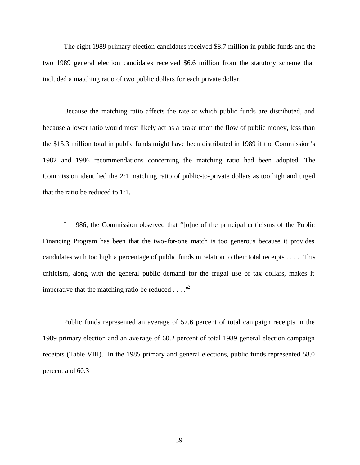The eight 1989 primary election candidates received \$8.7 million in public funds and the two 1989 general election candidates received \$6.6 million from the statutory scheme that included a matching ratio of two public dollars for each private dollar.

Because the matching ratio affects the rate at which public funds are distributed, and because a lower ratio would most likely act as a brake upon the flow of public money, less than the \$15.3 million total in public funds might have been distributed in 1989 if the Commission's 1982 and 1986 recommendations concerning the matching ratio had been adopted. The Commission identified the 2:1 matching ratio of public-to-private dollars as too high and urged that the ratio be reduced to 1:1.

In 1986, the Commission observed that "[o]ne of the principal criticisms of the Public Financing Program has been that the two-for-one match is too generous because it provides candidates with too high a percentage of public funds in relation to their total receipts . . . . This criticism, along with the general public demand for the frugal use of tax dollars, makes it imperative that the matching ratio be reduced . . . .<sup>2</sup>

Public funds represented an average of 57.6 percent of total campaign receipts in the 1989 primary election and an ave rage of 60.2 percent of total 1989 general election campaign receipts (Table VIII). In the 1985 primary and general elections, public funds represented 58.0 percent and 60.3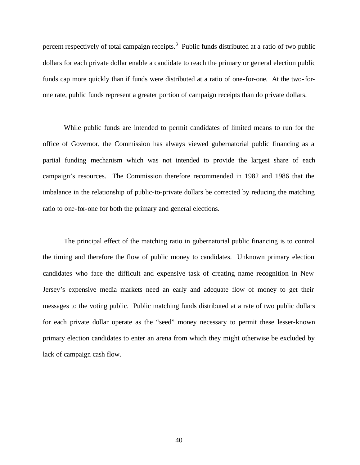percent respectively of total campaign receipts.<sup>3</sup> Public funds distributed at a ratio of two public dollars for each private dollar enable a candidate to reach the primary or general election public funds cap more quickly than if funds were distributed at a ratio of one-for-one. At the two-forone rate, public funds represent a greater portion of campaign receipts than do private dollars.

While public funds are intended to permit candidates of limited means to run for the office of Governor, the Commission has always viewed gubernatorial public financing as a partial funding mechanism which was not intended to provide the largest share of each campaign's resources. The Commission therefore recommended in 1982 and 1986 that the imbalance in the relationship of public-to-private dollars be corrected by reducing the matching ratio to one-for-one for both the primary and general elections.

The principal effect of the matching ratio in gubernatorial public financing is to control the timing and therefore the flow of public money to candidates. Unknown primary election candidates who face the difficult and expensive task of creating name recognition in New Jersey's expensive media markets need an early and adequate flow of money to get their messages to the voting public. Public matching funds distributed at a rate of two public dollars for each private dollar operate as the "seed" money necessary to permit these lesser-known primary election candidates to enter an arena from which they might otherwise be excluded by lack of campaign cash flow.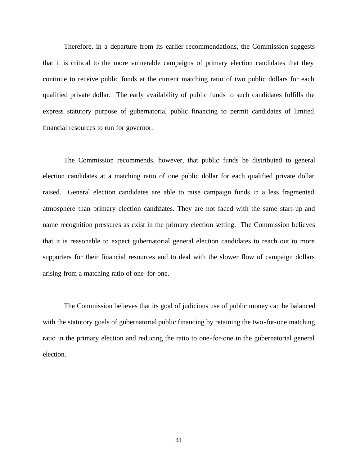Therefore, in a departure from its earlier recommendations, the Commission suggests that it is critical to the more vulnerable campaigns of primary election candidates that they continue to receive public funds at the current matching ratio of two public dollars for each qualified private dollar. The early availability of public funds to such candidates fulfills the express statutory purpose of gubernatorial public financing to permit candidates of limited financial resources to run for governor.

The Commission recommends, however, that public funds be distributed to general election candidates at a matching ratio of one public dollar for each qualified private dollar raised. General election candidates are able to raise campaign funds in a less fragmented atmosphere than primary election candidates. They are not faced with the same start-up and name recognition pressures as exist in the primary election setting. The Commission believes that it is reasonable to expect gubernatorial general election candidates to reach out to more supporters for their financial resources and to deal with the slower flow of campaign dollars arising from a matching ratio of one-for-one.

The Commission believes that its goal of judicious use of public money can be balanced with the statutory goals of gubernatorial public financing by retaining the two-for-one matching ratio in the primary election and reducing the ratio to one-for-one in the gubernatorial general election.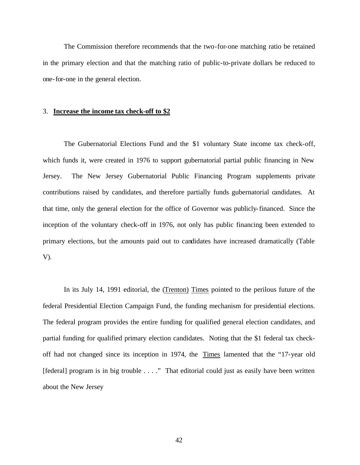The Commission therefore recommends that the two-for-one matching ratio be retained in the primary election and that the matching ratio of public-to-private dollars be reduced to one-for-one in the general election.

### 3. **Increase the income tax check-off to \$2**

The Gubernatorial Elections Fund and the \$1 voluntary State income tax check-off, which funds it, were created in 1976 to support gubernatorial partial public financing in New Jersey. The New Jersey Gubernatorial Public Financing Program supplements private contributions raised by candidates, and therefore partially funds gubernatorial candidates. At that time, only the general election for the office of Governor was publicly-financed. Since the inception of the voluntary check-off in 1976, not only has public financing been extended to primary elections, but the amounts paid out to candidates have increased dramatically (Table V).

In its July 14, 1991 editorial, the (Trenton) Times pointed to the perilous future of the federal Presidential Election Campaign Fund, the funding mechanism for presidential elections. The federal program provides the entire funding for qualified general election candidates, and partial funding for qualified primary election candidates. Noting that the \$1 federal tax checkoff had not changed since its inception in 1974, the Times lamented that the "17-year old [federal] program is in big trouble . . . ." That editorial could just as easily have been written about the New Jersey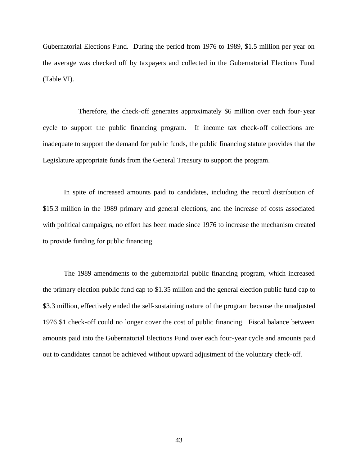Gubernatorial Elections Fund. During the period from 1976 to 1989, \$1.5 million per year on the average was checked off by taxpayers and collected in the Gubernatorial Elections Fund (Table VI).

Therefore, the check-off generates approximately \$6 million over each four-year cycle to support the public financing program. If income tax check-off collections are inadequate to support the demand for public funds, the public financing statute provides that the Legislature appropriate funds from the General Treasury to support the program.

In spite of increased amounts paid to candidates, including the record distribution of \$15.3 million in the 1989 primary and general elections, and the increase of costs associated with political campaigns, no effort has been made since 1976 to increase the mechanism created to provide funding for public financing.

The 1989 amendments to the gubernatorial public financing program, which increased the primary election public fund cap to \$1.35 million and the general election public fund cap to \$3.3 million, effectively ended the self-sustaining nature of the program because the unadjusted 1976 \$1 check-off could no longer cover the cost of public financing. Fiscal balance between amounts paid into the Gubernatorial Elections Fund over each four-year cycle and amounts paid out to candidates cannot be achieved without upward adjustment of the voluntary check-off.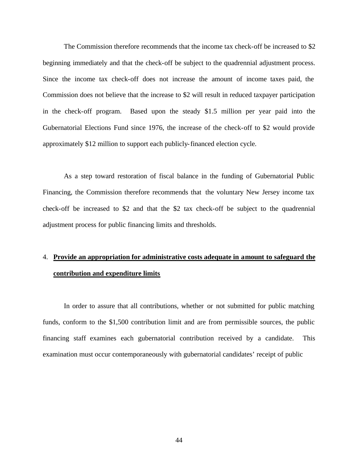The Commission therefore recommends that the income tax check-off be increased to \$2 beginning immediately and that the check-off be subject to the quadrennial adjustment process. Since the income tax check-off does not increase the amount of income taxes paid, the Commission does not believe that the increase to \$2 will result in reduced taxpayer participation in the check-off program. Based upon the steady \$1.5 million per year paid into the Gubernatorial Elections Fund since 1976, the increase of the check-off to \$2 would provide approximately \$12 million to support each publicly-financed election cycle.

As a step toward restoration of fiscal balance in the funding of Gubernatorial Public Financing, the Commission therefore recommends that the voluntary New Jersey income tax check-off be increased to \$2 and that the \$2 tax check-off be subject to the quadrennial adjustment process for public financing limits and thresholds.

# 4. **Provide an appropriation for administrative costs adequate in amount to safeguard the contribution and expenditure limits**

In order to assure that all contributions, whether or not submitted for public matching funds, conform to the \$1,500 contribution limit and are from permissible sources, the public financing staff examines each gubernatorial contribution received by a candidate. This examination must occur contemporaneously with gubernatorial candidates' receipt of public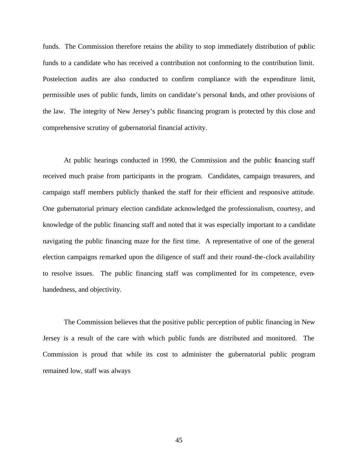funds. The Commission therefore retains the ability to stop immediately distribution of public funds to a candidate who has received a contribution not conforming to the contribution limit. Postelection audits are also conducted to confirm compliance with the expenditure limit, permissible uses of public funds, limits on candidate's personal funds, and other provisions of the law. The integrity of New Jersey's public financing program is protected by this close and comprehensive scrutiny of gubernatorial financial activity.

At public hearings conducted in 1990, the Commission and the public financing staff received much praise from participants in the program. Candidates, campaign treasurers, and campaign staff members publicly thanked the staff for their efficient and responsive attitude. One gubernatorial primary election candidate acknowledged the professionalism, courtesy, and knowledge of the public financing staff and noted that it was especially important to a candidate navigating the public financing maze for the first time. A representative of one of the general election campaigns remarked upon the diligence of staff and their round-the-clock availability to resolve issues. The public financing staff was complimented for its competence, evenhandedness, and objectivity.

The Commission believes that the positive public perception of public financing in New Jersey is a result of the care with which public funds are distributed and monitored. The Commission is proud that while its cost to administer the gubernatorial public program remained low, staff was always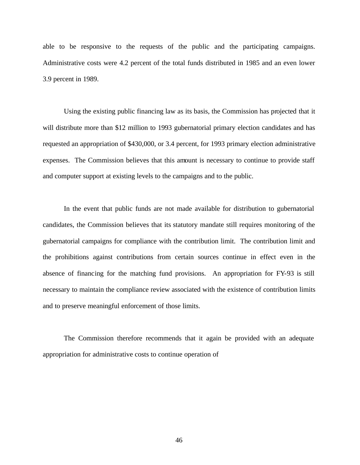able to be responsive to the requests of the public and the participating campaigns. Administrative costs were 4.2 percent of the total funds distributed in 1985 and an even lower 3.9 percent in 1989.

Using the existing public financing law as its basis, the Commission has projected that it will distribute more than \$12 million to 1993 gubernatorial primary election candidates and has requested an appropriation of \$430,000, or 3.4 percent, for 1993 primary election administrative expenses. The Commission believes that this amount is necessary to continue to provide staff and computer support at existing levels to the campaigns and to the public.

In the event that public funds are not made available for distribution to gubernatorial candidates, the Commission believes that its statutory mandate still requires monitoring of the gubernatorial campaigns for compliance with the contribution limit. The contribution limit and the prohibitions against contributions from certain sources continue in effect even in the absence of financing for the matching fund provisions. An appropriation for FY-93 is still necessary to maintain the compliance review associated with the existence of contribution limits and to preserve meaningful enforcement of those limits.

The Commission therefore recommends that it again be provided with an adequate appropriation for administrative costs to continue operation of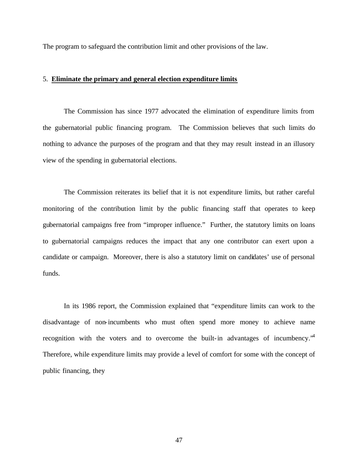The program to safeguard the contribution limit and other provisions of the law.

### 5. **Eliminate the primary and general election expenditure limits**

The Commission has since 1977 advocated the elimination of expenditure limits from the gubernatorial public financing program. The Commission believes that such limits do nothing to advance the purposes of the program and that they may result instead in an illusory view of the spending in gubernatorial elections.

The Commission reiterates its belief that it is not expenditure limits, but rather careful monitoring of the contribution limit by the public financing staff that operates to keep gubernatorial campaigns free from "improper influence." Further, the statutory limits on loans to gubernatorial campaigns reduces the impact that any one contributor can exert upon a candidate or campaign. Moreover, there is also a statutory limit on candidates' use of personal funds.

In its 1986 report, the Commission explained that "expenditure limits can work to the disadvantage of non-incumbents who must often spend more money to achieve name recognition with the voters and to overcome the built-in advantages of incumbency.<sup>4</sup> Therefore, while expenditure limits may provide a level of comfort for some with the concept of public financing, they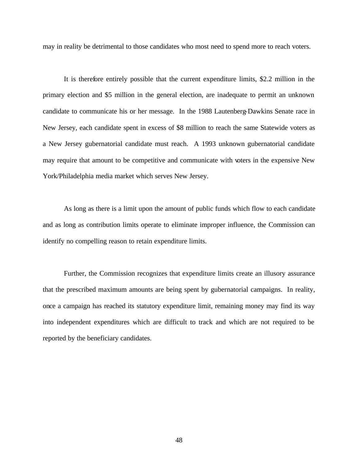may in reality be detrimental to those candidates who most need to spend more to reach voters.

It is therefore entirely possible that the current expenditure limits, \$2.2 million in the primary election and \$5 million in the general election, are inadequate to permit an unknown candidate to communicate his or her message. In the 1988 Lautenberg-Dawkins Senate race in New Jersey, each candidate spent in excess of \$8 million to reach the same Statewide voters as a New Jersey gubernatorial candidate must reach. A 1993 unknown gubernatorial candidate may require that amount to be competitive and communicate with voters in the expensive New York/Philadelphia media market which serves New Jersey.

As long as there is a limit upon the amount of public funds which flow to each candidate and as long as contribution limits operate to eliminate improper influence, the Commission can identify no compelling reason to retain expenditure limits.

Further, the Commission recognizes that expenditure limits create an illusory assurance that the prescribed maximum amounts are being spent by gubernatorial campaigns. In reality, once a campaign has reached its statutory expenditure limit, remaining money may find its way into independent expenditures which are difficult to track and which are not required to be reported by the beneficiary candidates.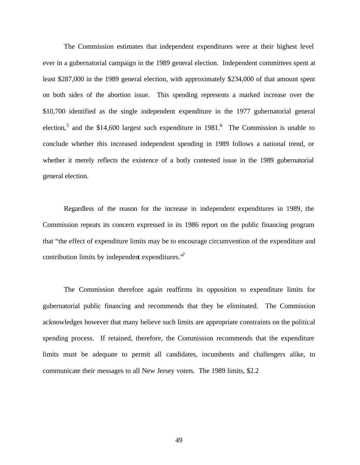The Commission estimates that independent expenditures were at their highest level ever in a gubernatorial campaign in the 1989 general election. Independent committees spent at least \$287,000 in the 1989 general election, with approximately \$234,000 of that amount spent on both sides of the abortion issue. This spending represents a marked increase over the \$10,700 identified as the single independent expenditure in the 1977 gubernatorial general election,<sup>5</sup> and the \$14,600 largest such expenditure in  $1981$ .<sup>6</sup> The Commission is unable to conclude whether this increased independent spending in 1989 follows a national trend, or whether it merely reflects the existence of a hotly contested issue in the 1989 gubernatorial general election.

Regardless of the reason for the increase in independent expenditures in 1989, the Commission repeats its concern expressed in its 1986 report on the public financing program that "the effect of expenditure limits may be to encourage circumvention of the expenditure and contribution limits by independent expenditures.<sup>"7</sup>

The Commission therefore again reaffirms its opposition to expenditure limits for gubernatorial public financing and recommends that they be eliminated. The Commission acknowledges however that many believe such limits are appropriate constraints on the political spending process. If retained, therefore, the Commission recommends that the expenditure limits must be adequate to permit all candidates, incumbents and challengers alike, to communicate their messages to all New Jersey voters. The 1989 limits, \$2.2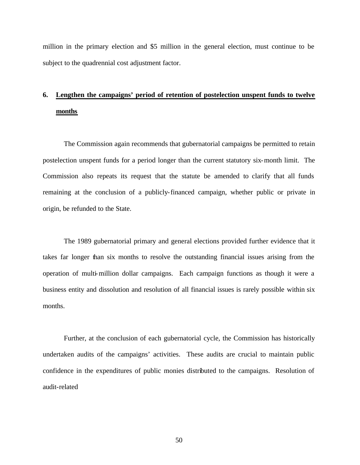million in the primary election and \$5 million in the general election, must continue to be subject to the quadrennial cost adjustment factor.

# **6. Lengthen the campaigns' period of retention of postelection unspent funds to twelve months**

The Commission again recommends that gubernatorial campaigns be permitted to retain postelection unspent funds for a period longer than the current statutory six-month limit. The Commission also repeats its request that the statute be amended to clarify that all funds remaining at the conclusion of a publicly-financed campaign, whether public or private in origin, be refunded to the State.

The 1989 gubernatorial primary and general elections provided further evidence that it takes far longer than six months to resolve the outstanding financial issues arising from the operation of multi-million dollar campaigns. Each campaign functions as though it were a business entity and dissolution and resolution of all financial issues is rarely possible within six months.

Further, at the conclusion of each gubernatorial cycle, the Commission has historically undertaken audits of the campaigns' activities. These audits are crucial to maintain public confidence in the expenditures of public monies distributed to the campaigns. Resolution of audit-related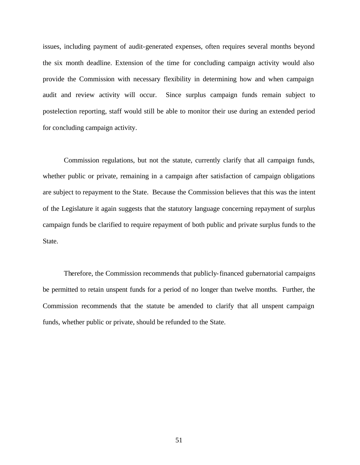issues, including payment of audit-generated expenses, often requires several months beyond the six month deadline. Extension of the time for concluding campaign activity would also provide the Commission with necessary flexibility in determining how and when campaign audit and review activity will occur. Since surplus campaign funds remain subject to postelection reporting, staff would still be able to monitor their use during an extended period for concluding campaign activity.

Commission regulations, but not the statute, currently clarify that all campaign funds, whether public or private, remaining in a campaign after satisfaction of campaign obligations are subject to repayment to the State. Because the Commission believes that this was the intent of the Legislature it again suggests that the statutory language concerning repayment of surplus campaign funds be clarified to require repayment of both public and private surplus funds to the State.

Therefore, the Commission recommends that publicly-financed gubernatorial campaigns be permitted to retain unspent funds for a period of no longer than twelve months. Further, the Commission recommends that the statute be amended to clarify that all unspent campaign funds, whether public or private, should be refunded to the State.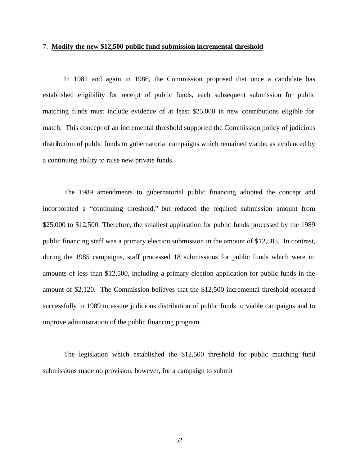#### 7. **Modify the new \$12,500 public fund submission incremental threshold**

In 1982 and again in 1986, the Commission proposed that once a candidate has established eligibility for receipt of public funds, each subsequent submission for public matching funds must include evidence of at least \$25,000 in new contributions eligible for match. This concept of an incremental threshold supported the Commission policy of judicious distribution of public funds to gubernatorial campaigns which remained viable, as evidenced by a continuing ability to raise new private funds.

The 1989 amendments to gubernatorial public financing adopted the concept and incorporated a "continuing threshold," but reduced the required submission amount from \$25,000 to \$12,500. Therefore, the smallest application for public funds processed by the 1989 public financing staff was a primary election submission in the amount of \$12,585. In contrast, during the 1985 campaigns, staff processed 18 submissions for public funds which were in amounts of less than \$12,500, including a primary election application for public funds in the amount of \$2,120. The Commission believes that the \$12,500 incremental threshold operated successfully in 1989 to assure judicious distribution of public funds to viable campaigns and to improve administration of the public financing program.

The legislation which established the \$12,500 threshold for public matching fund submissions made no provision, however, for a campaign to submit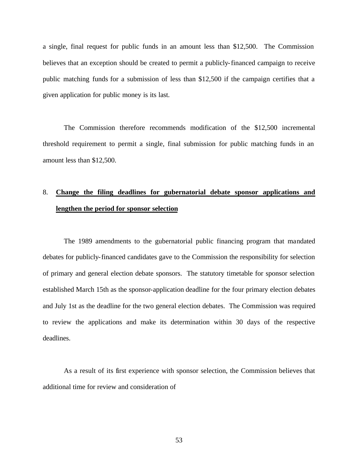a single, final request for public funds in an amount less than \$12,500. The Commission believes that an exception should be created to permit a publicly-financed campaign to receive public matching funds for a submission of less than \$12,500 if the campaign certifies that a given application for public money is its last.

The Commission therefore recommends modification of the \$12,500 incremental threshold requirement to permit a single, final submission for public matching funds in an amount less than \$12,500.

# 8. **Change the filing deadlines for gubernatorial debate sponsor applications and lengthen the period for sponsor selection**

The 1989 amendments to the gubernatorial public financing program that mandated debates for publicly-financed candidates gave to the Commission the responsibility for selection of primary and general election debate sponsors. The statutory timetable for sponsor selection established March 15th as the sponsor-application deadline for the four primary election debates and July 1st as the deadline for the two general election debates. The Commission was required to review the applications and make its determination within 30 days of the respective deadlines.

As a result of its first experience with sponsor selection, the Commission believes that additional time for review and consideration of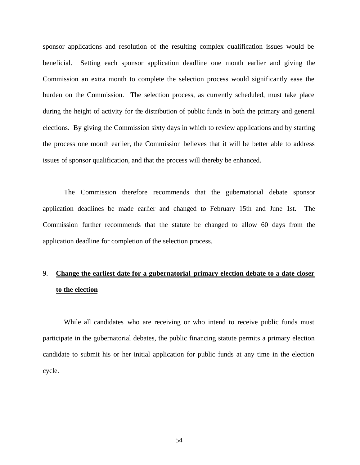sponsor applications and resolution of the resulting complex qualification issues would be beneficial. Setting each sponsor application deadline one month earlier and giving the Commission an extra month to complete the selection process would significantly ease the burden on the Commission. The selection process, as currently scheduled, must take place during the height of activity for the distribution of public funds in both the primary and general elections. By giving the Commission sixty days in which to review applications and by starting the process one month earlier, the Commission believes that it will be better able to address issues of sponsor qualification, and that the process will thereby be enhanced.

The Commission therefore recommends that the gubernatorial debate sponsor application deadlines be made earlier and changed to February 15th and June 1st. The Commission further recommends that the statute be changed to allow 60 days from the application deadline for completion of the selection process.

# 9. **Change the earliest date for a gubernatorial primary election debate to a date closer to the election**

While all candidates who are receiving or who intend to receive public funds must participate in the gubernatorial debates, the public financing statute permits a primary election candidate to submit his or her initial application for public funds at any time in the election cycle.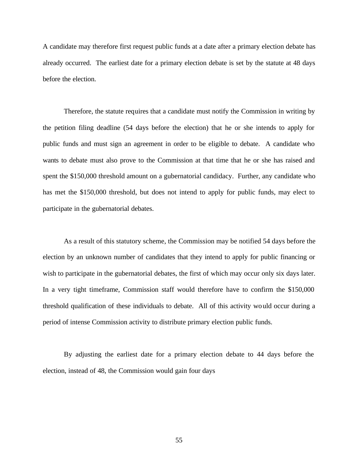A candidate may therefore first request public funds at a date after a primary election debate has already occurred. The earliest date for a primary election debate is set by the statute at 48 days before the election.

Therefore, the statute requires that a candidate must notify the Commission in writing by the petition filing deadline (54 days before the election) that he or she intends to apply for public funds and must sign an agreement in order to be eligible to debate. A candidate who wants to debate must also prove to the Commission at that time that he or she has raised and spent the \$150,000 threshold amount on a gubernatorial candidacy. Further, any candidate who has met the \$150,000 threshold, but does not intend to apply for public funds, may elect to participate in the gubernatorial debates.

As a result of this statutory scheme, the Commission may be notified 54 days before the election by an unknown number of candidates that they intend to apply for public financing or wish to participate in the gubernatorial debates, the first of which may occur only six days later. In a very tight timeframe, Commission staff would therefore have to confirm the \$150,000 threshold qualification of these individuals to debate. All of this activity would occur during a period of intense Commission activity to distribute primary election public funds.

By adjusting the earliest date for a primary election debate to 44 days before the election, instead of 48, the Commission would gain four days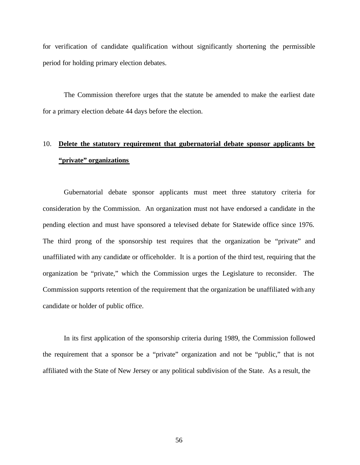for verification of candidate qualification without significantly shortening the permissible period for holding primary election debates.

The Commission therefore urges that the statute be amended to make the earliest date for a primary election debate 44 days before the election.

# 10. **Delete the statutory requirement that gubernatorial debate sponsor applicants be "private" organizations**

Gubernatorial debate sponsor applicants must meet three statutory criteria for consideration by the Commission. An organization must not have endorsed a candidate in the pending election and must have sponsored a televised debate for Statewide office since 1976. The third prong of the sponsorship test requires that the organization be "private" and unaffiliated with any candidate or officeholder. It is a portion of the third test, requiring that the organization be "private," which the Commission urges the Legislature to reconsider. The Commission supports retention of the requirement that the organization be unaffiliated with any candidate or holder of public office.

In its first application of the sponsorship criteria during 1989, the Commission followed the requirement that a sponsor be a "private" organization and not be "public," that is not affiliated with the State of New Jersey or any political subdivision of the State. As a result, the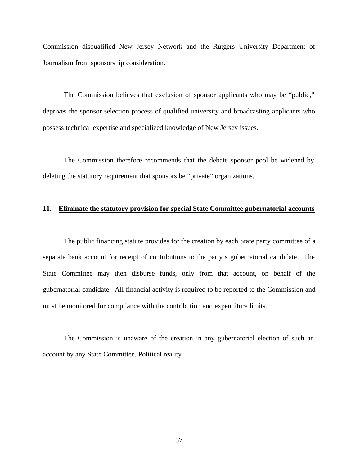Commission disqualified New Jersey Network and the Rutgers University Department of Journalism from sponsorship consideration.

The Commission believes that exclusion of sponsor applicants who may be "public," deprives the sponsor selection process of qualified university and broadcasting applicants who possess technical expertise and specialized knowledge of New Jersey issues.

The Commission therefore recommends that the debate sponsor pool be widened by deleting the statutory requirement that sponsors be "private" organizations.

## **11. Eliminate the statutory provision for special State Committee gubernatorial accounts**

The public financing statute provides for the creation by each State party committee of a separate bank account for receipt of contributions to the party's gubernatorial candidate. The State Committee may then disburse funds, only from that account, on behalf of the gubernatorial candidate. All financial activity is required to be reported to the Commission and must be monitored for compliance with the contribution and expenditure limits.

The Commission is unaware of the creation in any gubernatorial election of such an account by any State Committee. Political reality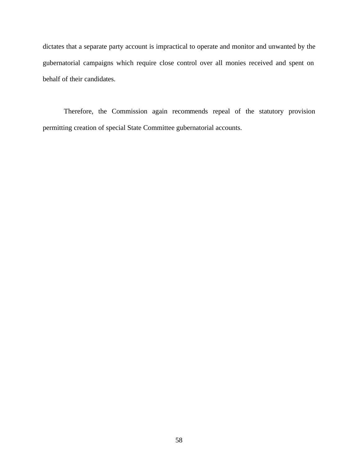dictates that a separate party account is impractical to operate and monitor and unwanted by the gubernatorial campaigns which require close control over all monies received and spent on behalf of their candidates.

Therefore, the Commission again recommends repeal of the statutory provision permitting creation of special State Committee gubernatorial accounts.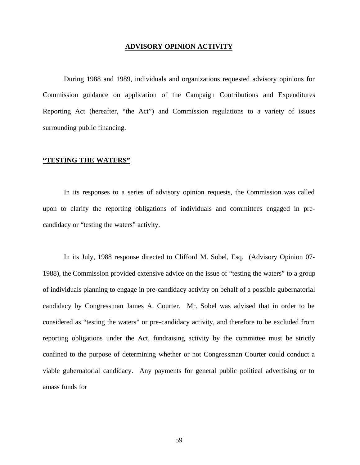#### **ADVISORY OPINION ACTIVITY**

During 1988 and 1989, individuals and organizations requested advisory opinions for Commission guidance on application of the Campaign Contributions and Expenditures Reporting Act (hereafter, "the Act") and Commission regulations to a variety of issues surrounding public financing.

### **"TESTING THE WATERS"**

In its responses to a series of advisory opinion requests, the Commission was called upon to clarify the reporting obligations of individuals and committees engaged in precandidacy or "testing the waters" activity.

In its July, 1988 response directed to Clifford M. Sobel, Esq. (Advisory Opinion 07- 1988), the Commission provided extensive advice on the issue of "testing the waters" to a group of individuals planning to engage in pre-candidacy activity on behalf of a possible gubernatorial candidacy by Congressman James A. Courter. Mr. Sobel was advised that in order to be considered as "testing the waters" or pre-candidacy activity, and therefore to be excluded from reporting obligations under the Act, fundraising activity by the committee must be strictly confined to the purpose of determining whether or not Congressman Courter could conduct a viable gubernatorial candidacy. Any payments for general public political advertising or to amass funds for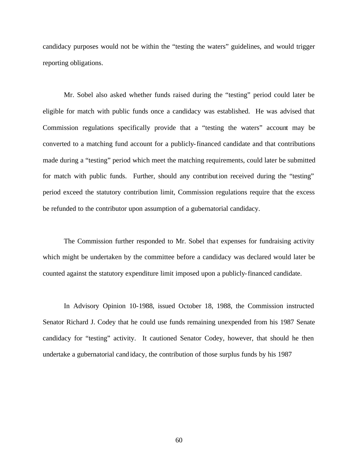candidacy purposes would not be within the "testing the waters" guidelines, and would trigger reporting obligations.

Mr. Sobel also asked whether funds raised during the "testing" period could later be eligible for match with public funds once a candidacy was established. He was advised that Commission regulations specifically provide that a "testing the waters" account may be converted to a matching fund account for a publicly-financed candidate and that contributions made during a "testing" period which meet the matching requirements, could later be submitted for match with public funds. Further, should any contribution received during the "testing" period exceed the statutory contribution limit, Commission regulations require that the excess be refunded to the contributor upon assumption of a gubernatorial candidacy.

The Commission further responded to Mr. Sobel that expenses for fundraising activity which might be undertaken by the committee before a candidacy was declared would later be counted against the statutory expenditure limit imposed upon a publicly-financed candidate.

In Advisory Opinion 10-1988, issued October 18, 1988, the Commission instructed Senator Richard J. Codey that he could use funds remaining unexpended from his 1987 Senate candidacy for "testing" activity. It cautioned Senator Codey, however, that should he then undertake a gubernatorial candidacy, the contribution of those surplus funds by his 1987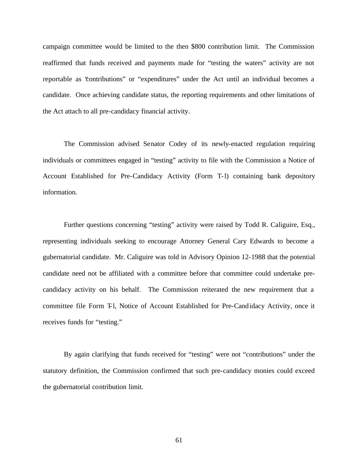campaign committee would be limited to the then \$800 contribution limit. The Commission reaffirmed that funds received and payments made for "testing the waters" activity are not reportable as "contributions" or "expenditures" under the Act until an individual becomes a candidate. Once achieving candidate status, the reporting requirements and other limitations of the Act attach to all pre-candidacy financial activity.

The Commission advised Senator Codey of its newly-enacted regulation requiring individuals or committees engaged in "testing" activity to file with the Commission a Notice of Account Established for Pre-Candidacy Activity (Form T-l) containing bank depository information.

Further questions concerning "testing" activity were raised by Todd R. Caliguire, Esq., representing individuals seeking to encourage Attorney General Cary Edwards to become a gubernatorial candidate. Mr. Caliguire was told in Advisory Opinion 12-1988 that the potential candidate need not be affiliated with a committee before that committee could undertake precandidacy activity on his behalf. The Commission reiterated the new requirement that a committee file Form T-l, Notice of Account Established for Pre-Candidacy Activity, once it receives funds for "testing."

By again clarifying that funds received for "testing" were not "contributions" under the statutory definition, the Commission confirmed that such pre-candidacy monies could exceed the gubernatorial contribution limit.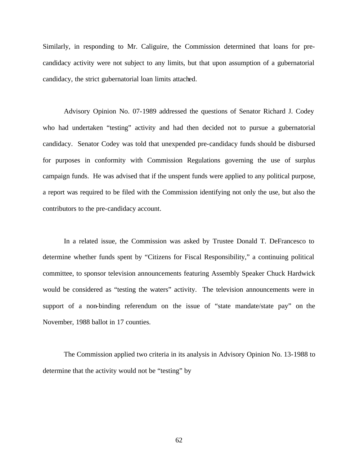Similarly, in responding to Mr. Caliguire, the Commission determined that loans for precandidacy activity were not subject to any limits, but that upon assumption of a gubernatorial candidacy, the strict gubernatorial loan limits attached.

Advisory Opinion No. 07-1989 addressed the questions of Senator Richard J. Codey who had undertaken "testing" activity and had then decided not to pursue a gubernatorial candidacy. Senator Codey was told that unexpended pre-candidacy funds should be disbursed for purposes in conformity with Commission Regulations governing the use of surplus campaign funds. He was advised that if the unspent funds were applied to any political purpose, a report was required to be filed with the Commission identifying not only the use, but also the contributors to the pre-candidacy account.

In a related issue, the Commission was asked by Trustee Donald T. DeFrancesco to determine whether funds spent by "Citizens for Fiscal Responsibility," a continuing political committee, to sponsor television announcements featuring Assembly Speaker Chuck Hardwick would be considered as "testing the waters" activity. The television announcements were in support of a non-binding referendum on the issue of "state mandate/state pay" on the November, 1988 ballot in 17 counties.

The Commission applied two criteria in its analysis in Advisory Opinion No. 13-1988 to determine that the activity would not be "testing" by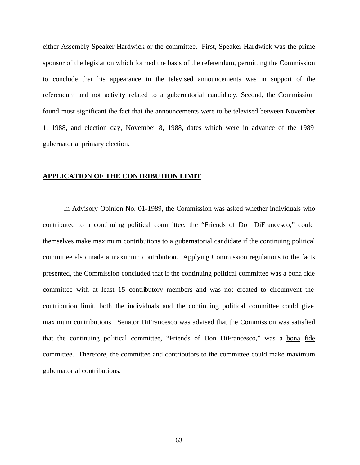either Assembly Speaker Hardwick or the committee. First, Speaker Hardwick was the prime sponsor of the legislation which formed the basis of the referendum, permitting the Commission to conclude that his appearance in the televised announcements was in support of the referendum and not activity related to a gubernatorial candidacy. Second, the Commission found most significant the fact that the announcements were to be televised between November 1, 1988, and election day, November 8, 1988, dates which were in advance of the 1989 gubernatorial primary election.

#### **APPLICATION OF THE CONTRIBUTION LIMIT**

In Advisory Opinion No. 01-1989, the Commission was asked whether individuals who contributed to a continuing political committee, the "Friends of Don DiFrancesco," could themselves make maximum contributions to a gubernatorial candidate if the continuing political committee also made a maximum contribution. Applying Commission regulations to the facts presented, the Commission concluded that if the continuing political committee was a bona fide committee with at least 15 contributory members and was not created to circumvent the contribution limit, both the individuals and the continuing political committee could give maximum contributions. Senator DiFrancesco was advised that the Commission was satisfied that the continuing political committee, "Friends of Don DiFrancesco," was a bona fide committee. Therefore, the committee and contributors to the committee could make maximum gubernatorial contributions.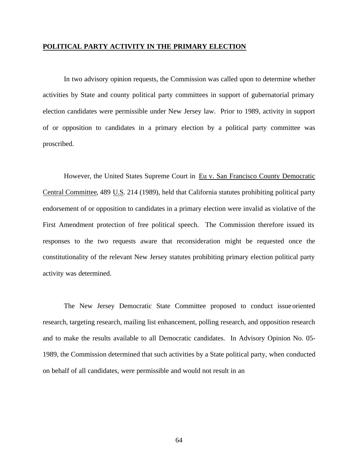#### **POLITICAL PARTY ACTIVITY IN THE PRIMARY ELECTION**

In two advisory opinion requests, the Commission was called upon to determine whether activities by State and county political party committees in support of gubernatorial primary election candidates were permissible under New Jersey law. Prior to 1989, activity in support of or opposition to candidates in a primary election by a political party committee was proscribed.

However, the United States Supreme Court in Eu v. San Francisco County Democratic Central Committee, 489 U.S. 214 (1989), held that California statutes prohibiting political party endorsement of or opposition to candidates in a primary election were invalid as violative of the First Amendment protection of free political speech. The Commission therefore issued its responses to the two requests aware that reconsideration might be requested once the constitutionality of the relevant New Jersey statutes prohibiting primary election political party activity was determined.

The New Jersey Democratic State Committee proposed to conduct issueoriented research, targeting research, mailing list enhancement, polling research, and opposition research and to make the results available to all Democratic candidates. In Advisory Opinion No. 05- 1989, the Commission determined that such activities by a State political party, when conducted on behalf of all candidates, were permissible and would not result in an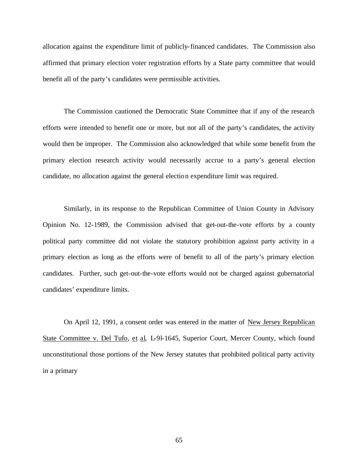allocation against the expenditure limit of publicly-financed candidates. The Commission also affirmed that primary election voter registration efforts by a State party committee that would benefit all of the party's candidates were permissible activities.

The Commission cautioned the Democratic State Committee that if any of the research efforts were intended to benefit one or more, but not all of the party's candidates, the activity would then be improper. The Commission also acknowledged that while some benefit from the primary election research activity would necessarily accrue to a party's general election candidate, no allocation against the general election expenditure limit was required.

Similarly, in its response to the Republican Committee of Union County in Advisory Opinion No. 12-1989, the Commission advised that get-out-the-vote efforts by a county political party committee did not violate the statutory prohibition against party activity in a primary election as long as the efforts were of benefit to all of the party's primary election candidates. Further, such get-out-the-vote efforts would not be charged against gubernatorial candidates' expenditure limits.

On April 12, 1991, a consent order was entered in the matter of New Jersey Republican State Committee v. Del Tufo, et al, L-9l-1645, Superior Court, Mercer County, which found unconstitutional those portions of the New Jersey statutes that prohibited political party activity in a primary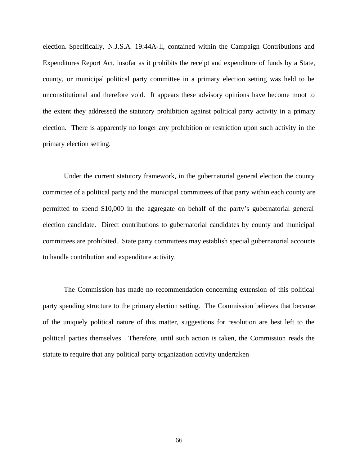election. Specifically, N.J.S.A. 19:44A-ll, contained within the Campaign Contributions and Expenditures Report Act, insofar as it prohibits the receipt and expenditure of funds by a State, county, or municipal political party committee in a primary election setting was held to be unconstitutional and therefore void. It appears these advisory opinions have become moot to the extent they addressed the statutory prohibition against political party activity in a primary election. There is apparently no longer any prohibition or restriction upon such activity in the primary election setting.

Under the current statutory framework, in the gubernatorial general election the county committee of a political party and the municipal committees of that party within each county are permitted to spend \$10,000 in the aggregate on behalf of the party's gubernatorial general election candidate. Direct contributions to gubernatorial candidates by county and municipal committees are prohibited. State party committees may establish special gubernatorial accounts to handle contribution and expenditure activity.

The Commission has made no recommendation concerning extension of this political party spending structure to the primary election setting. The Commission believes that because of the uniquely political nature of this matter, suggestions for resolution are best left to the political parties themselves. Therefore, until such action is taken, the Commission reads the statute to require that any political party organization activity undertaken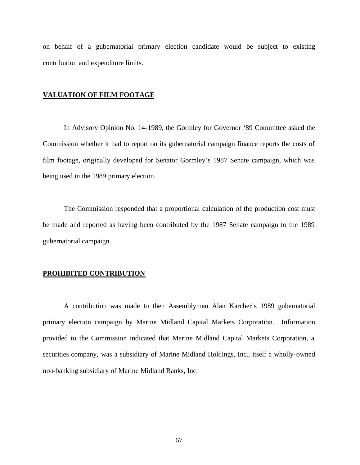on behalf of a gubernatorial primary election candidate would be subject to existing contribution and expenditure limits.

#### **VALUATION OF FILM FOOTAGE**

In Advisory Opinion No. 14-1989, the Gormley for Governor '89 Committee asked the Commission whether it had to report on its gubernatorial campaign finance reports the costs of film footage, originally developed for Senator Gormley's 1987 Senate campaign, which was being used in the 1989 primary election.

The Commission responded that a proportional calculation of the production cost must be made and reported as having been contributed by the 1987 Senate campaign to the 1989 gubernatorial campaign.

#### **PROHIBITED CONTRIBUTION**

A contribution was made to then Assemblyman Alan Karcher's 1989 gubernatorial primary election campaign by Marine Midland Capital Markets Corporation. Information provided to the Commission indicated that Marine Midland Capital Markets Corporation, a securities company, was a subsidiary of Marine Midland Holdings, Inc., itself a wholly-owned non-banking subsidiary of Marine Midland Banks, Inc.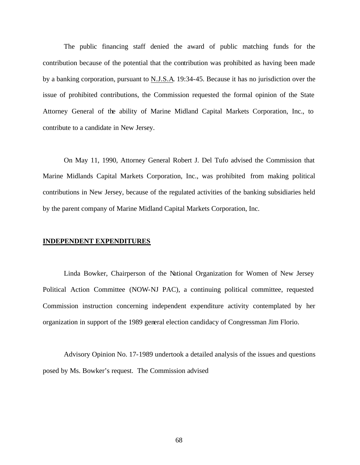The public financing staff denied the award of public matching funds for the contribution because of the potential that the contribution was prohibited as having been made by a banking corporation, pursuant to N.J.S.A. 19:34-45. Because it has no jurisdiction over the issue of prohibited contributions, the Commission requested the formal opinion of the State Attorney General of the ability of Marine Midland Capital Markets Corporation, Inc., to contribute to a candidate in New Jersey.

On May 11, 1990, Attorney General Robert J. Del Tufo advised the Commission that Marine Midlands Capital Markets Corporation, Inc., was prohibited from making political contributions in New Jersey, because of the regulated activities of the banking subsidiaries held by the parent company of Marine Midland Capital Markets Corporation, Inc.

#### **INDEPENDENT EXPENDITURES**

Linda Bowker, Chairperson of the National Organization for Women of New Jersey Political Action Committee (NOW-NJ PAC), a continuing political committee, requested Commission instruction concerning independent expenditure activity contemplated by her organization in support of the 1989 general election candidacy of Congressman Jim Florio.

Advisory Opinion No. 17-1989 undertook a detailed analysis of the issues and questions posed by Ms. Bowker's request. The Commission advised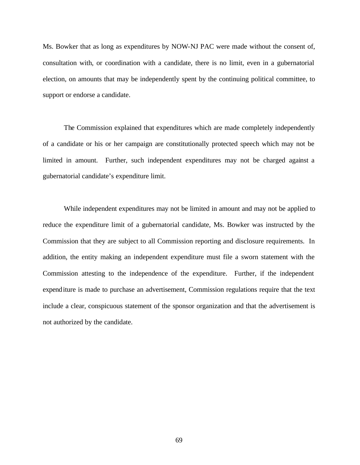Ms. Bowker that as long as expenditures by NOW-NJ PAC were made without the consent of, consultation with, or coordination with a candidate, there is no limit, even in a gubernatorial election, on amounts that may be independently spent by the continuing political committee, to support or endorse a candidate.

The Commission explained that expenditures which are made completely independently of a candidate or his or her campaign are constitutionally protected speech which may not be limited in amount. Further, such independent expenditures may not be charged against a gubernatorial candidate's expenditure limit.

While independent expenditures may not be limited in amount and may not be applied to reduce the expenditure limit of a gubernatorial candidate, Ms. Bowker was instructed by the Commission that they are subject to all Commission reporting and disclosure requirements. In addition, the entity making an independent expenditure must file a sworn statement with the Commission attesting to the independence of the expenditure. Further, if the independent expenditure is made to purchase an advertisement, Commission regulations require that the text include a clear, conspicuous statement of the sponsor organization and that the advertisement is not authorized by the candidate.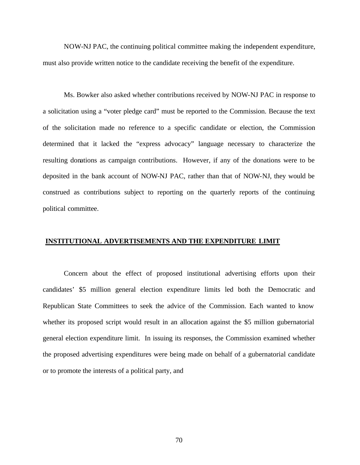NOW-NJ PAC, the continuing political committee making the independent expenditure, must also provide written notice to the candidate receiving the benefit of the expenditure.

Ms. Bowker also asked whether contributions received by NOW-NJ PAC in response to a solicitation using a "voter pledge card" must be reported to the Commission. Because the text of the solicitation made no reference to a specific candidate or election, the Commission determined that it lacked the "express advocacy" language necessary to characterize the resulting donations as campaign contributions. However, if any of the donations were to be deposited in the bank account of NOW-NJ PAC, rather than that of NOW-NJ, they would be construed as contributions subject to reporting on the quarterly reports of the continuing political committee.

#### **INSTITUTIONAL ADVERTISEMENTS AND THE EXPENDITURE LIMIT**

Concern about the effect of proposed institutional advertising efforts upon their candidates' \$5 million general election expenditure limits led both the Democratic and Republican State Committees to seek the advice of the Commission. Each wanted to know whether its proposed script would result in an allocation against the \$5 million gubernatorial general election expenditure limit. In issuing its responses, the Commission examined whether the proposed advertising expenditures were being made on behalf of a gubernatorial candidate or to promote the interests of a political party, and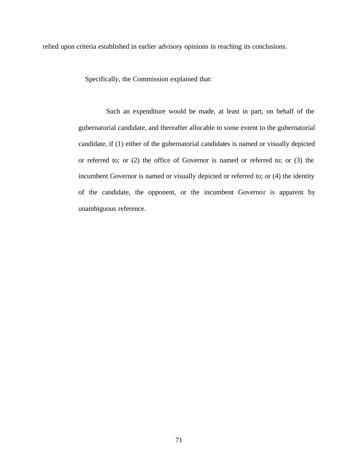relied upon criteria established in earlier advisory opinions in reaching its conclusions.

Specifically, the Commission explained that:

Such an expenditure would be made, at least in part, on behalf of the gubernatorial candidate, and thereafter allocable to some extent to the gubernatorial candidate, if (1) either of the gubernatorial candidates is named or visually depicted or referred to; or (2) the office of Governor is named or referred to; or (3) the incumbent Governor is named or visually depicted or referred to; or (4) the identity of the candidate, the opponent, or the incumbent Governor is apparent by unambiguous reference.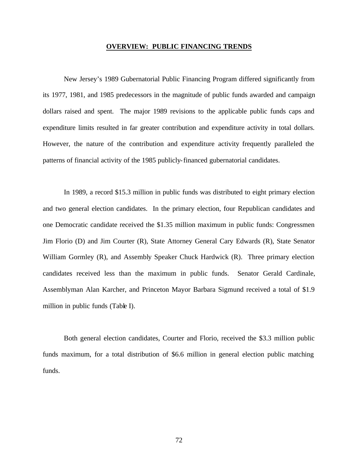#### **OVERVIEW: PUBLIC FINANCING TRENDS**

New Jersey's 1989 Gubernatorial Public Financing Program differed significantly from its 1977, 1981, and 1985 predecessors in the magnitude of public funds awarded and campaign dollars raised and spent. The major 1989 revisions to the applicable public funds caps and expenditure limits resulted in far greater contribution and expenditure activity in total dollars. However, the nature of the contribution and expenditure activity frequently paralleled the patterns of financial activity of the 1985 publicly-financed gubernatorial candidates.

In 1989, a record \$15.3 million in public funds was distributed to eight primary election and two general election candidates. In the primary election, four Republican candidates and one Democratic candidate received the \$1.35 million maximum in public funds: Congressmen Jim Florio (D) and Jim Courter (R), State Attorney General Cary Edwards (R), State Senator William Gormley (R), and Assembly Speaker Chuck Hardwick (R). Three primary election candidates received less than the maximum in public funds. Senator Gerald Cardinale, Assemblyman Alan Karcher, and Princeton Mayor Barbara Sigmund received a total of \$1.9 million in public funds (Table I).

Both general election candidates, Courter and Florio, received the \$3.3 million public funds maximum, for a total distribution of \$6.6 million in general election public matching funds.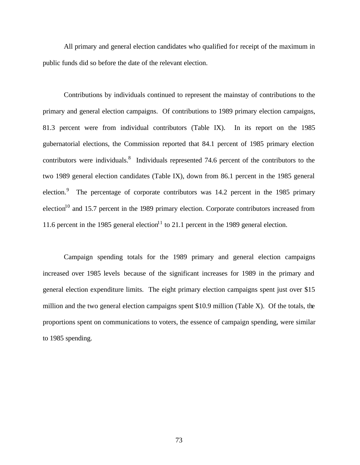All primary and general election candidates who qualified for receipt of the maximum in public funds did so before the date of the relevant election.

Contributions by individuals continued to represent the mainstay of contributions to the primary and general election campaigns. Of contributions to 1989 primary election campaigns, 81.3 percent were from individual contributors (Table IX). In its report on the 1985 gubernatorial elections, the Commission reported that 84.1 percent of 1985 primary election contributors were individuals.<sup>8</sup> Individuals represented 74.6 percent of the contributors to the two 1989 general election candidates (Table IX), down from 86.1 percent in the 1985 general election.<sup>9</sup> The percentage of corporate contributors was 14.2 percent in the 1985 primary election<sup>10</sup> and 15.7 percent in the 1989 primary election. Corporate contributors increased from 11.6 percent in the 1985 general election<sup>11</sup> to 21.1 percent in the 1989 general election.

Campaign spending totals for the 1989 primary and general election campaigns increased over 1985 levels because of the significant increases for 1989 in the primary and general election expenditure limits. The eight primary election campaigns spent just over \$15 million and the two general election campaigns spent \$10.9 million (Table X). Of the totals, the proportions spent on communications to voters, the essence of campaign spending, were similar to 1985 spending.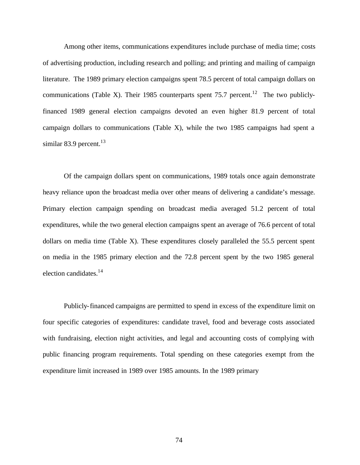Among other items, communications expenditures include purchase of media time; costs of advertising production, including research and polling; and printing and mailing of campaign literature. The 1989 primary election campaigns spent 78.5 percent of total campaign dollars on communications (Table X). Their 1985 counterparts spent  $75.7$  percent.<sup>12</sup> The two publiclyfinanced 1989 general election campaigns devoted an even higher 81.9 percent of total campaign dollars to communications (Table X), while the two 1985 campaigns had spent a similar 83.9 percent. $13$ 

Of the campaign dollars spent on communications, 1989 totals once again demonstrate heavy reliance upon the broadcast media over other means of delivering a candidate's message. Primary election campaign spending on broadcast media averaged 51.2 percent of total expenditures, while the two general election campaigns spent an average of 76.6 percent of total dollars on media time (Table X). These expenditures closely paralleled the 55.5 percent spent on media in the 1985 primary election and the 72.8 percent spent by the two 1985 general election candidates.<sup>14</sup>

Publicly-financed campaigns are permitted to spend in excess of the expenditure limit on four specific categories of expenditures: candidate travel, food and beverage costs associated with fundraising, election night activities, and legal and accounting costs of complying with public financing program requirements. Total spending on these categories exempt from the expenditure limit increased in 1989 over 1985 amounts. In the 1989 primary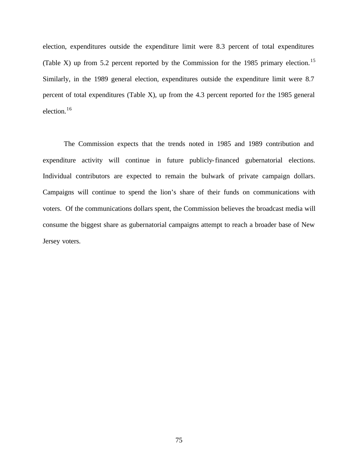election, expenditures outside the expenditure limit were 8.3 percent of total expenditures (Table X) up from 5.2 percent reported by the Commission for the 1985 primary election.<sup>15</sup> Similarly, in the 1989 general election, expenditures outside the expenditure limit were 8.7 percent of total expenditures (Table X), up from the 4.3 percent reported for the 1985 general election.<sup>16</sup>

The Commission expects that the trends noted in 1985 and 1989 contribution and expenditure activity will continue in future publicly-financed gubernatorial elections. Individual contributors are expected to remain the bulwark of private campaign dollars. Campaigns will continue to spend the lion's share of their funds on communications with voters. Of the communications dollars spent, the Commission believes the broadcast media will consume the biggest share as gubernatorial campaigns attempt to reach a broader base of New Jersey voters.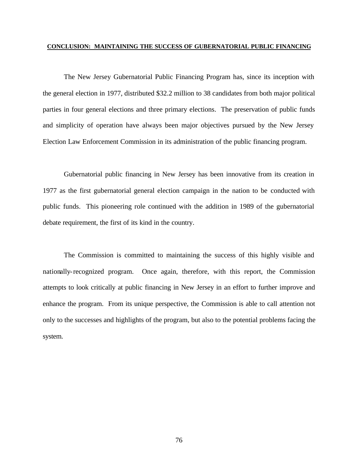#### **CONCLUSION: MAINTAINING THE SUCCESS OF GUBERNATORIAL PUBLIC FINANCING**

The New Jersey Gubernatorial Public Financing Program has, since its inception with the general election in 1977, distributed \$32.2 million to 38 candidates from both major political parties in four general elections and three primary elections. The preservation of public funds and simplicity of operation have always been major objectives pursued by the New Jersey Election Law Enforcement Commission in its administration of the public financing program.

Gubernatorial public financing in New Jersey has been innovative from its creation in 1977 as the first gubernatorial general election campaign in the nation to be conducted with public funds. This pioneering role continued with the addition in 1989 of the gubernatorial debate requirement, the first of its kind in the country.

The Commission is committed to maintaining the success of this highly visible and nationally-recognized program. Once again, therefore, with this report, the Commission attempts to look critically at public financing in New Jersey in an effort to further improve and enhance the program. From its unique perspective, the Commission is able to call attention not only to the successes and highlights of the program, but also to the potential problems facing the system.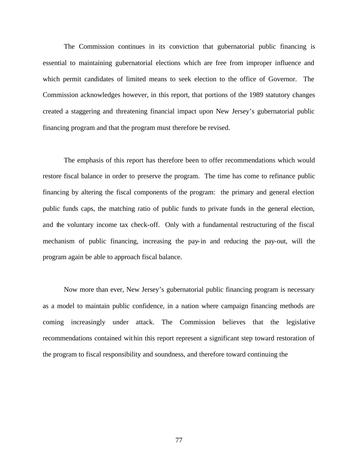The Commission continues in its conviction that gubernatorial public financing is essential to maintaining gubernatorial elections which are free from improper influence and which permit candidates of limited means to seek election to the office of Governor. The Commission acknowledges however, in this report, that portions of the 1989 statutory changes created a staggering and threatening financial impact upon New Jersey's gubernatorial public financing program and that the program must therefore be revised.

The emphasis of this report has therefore been to offer recommendations which would restore fiscal balance in order to preserve the program. The time has come to refinance public financing by altering the fiscal components of the program: the primary and general election public funds caps, the matching ratio of public funds to private funds in the general election, and the voluntary income tax check-off. Only with a fundamental restructuring of the fiscal mechanism of public financing, increasing the pay-in and reducing the pay-out, will the program again be able to approach fiscal balance.

Now more than ever, New Jersey's gubernatorial public financing program is necessary as a model to maintain public confidence, in a nation where campaign financing methods are coming increasingly under attack. The Commission believes that the legislative recommendations contained within this report represent a significant step toward restoration of the program to fiscal responsibility and soundness, and therefore toward continuing the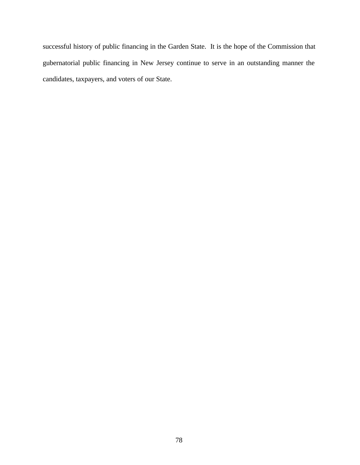successful history of public financing in the Garden State. It is the hope of the Commission that gubernatorial public financing in New Jersey continue to serve in an outstanding manner the candidates, taxpayers, and voters of our State.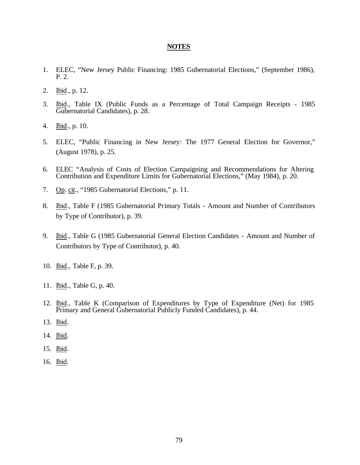#### **NOTES**

- 1. ELEC, "New Jersey Public Financing: 1985 Gubernatorial Elections," (September 1986), P. 2.
- 2. Ibid., p. 12.
- 3. Ibid., Table IX (Public Funds as a Percentage of Total Campaign Receipts 1985 Gubernatorial Candidates), p. 28.
- 4. Ibid., p. 10.
- 5. ELEC, "Public Financing in New Jersey: The 1977 General Election for Governor," (August 1978), p. 25.
- 6. ELEC "Analysis of Costs of Election Campaigning and Recommendations for Altering Contribution and Expenditure Limits for Gubernatorial Elections," (May 1984), p. 20.
- 7. Op. cit., "1985 Gubernatorial Elections," p. 11.
- 8. Ibid., Table F (1985 Gubernatorial Primary Totals Amount and Number of Contributors by Type of Contributor), p. 39.
- 9. Ibid., Table G (1985 Gubernatorial General Election Candidates Amount and Number of Contributors by Type of Contributor), p. 40.
- 10. Ibid., Table F, p. 39.
- 11. Ibid., Table G, p. 40.
- 12. Ibid., Table K (Comparison of Expenditures by Type of Expenditure (Net) for 1985 Primary and General Gubernatorial Publicly Funded Candidates), p. 44.
- 13. Ibid.
- 14. Ibid.
- 15. Ibid.
- 16. Ibid.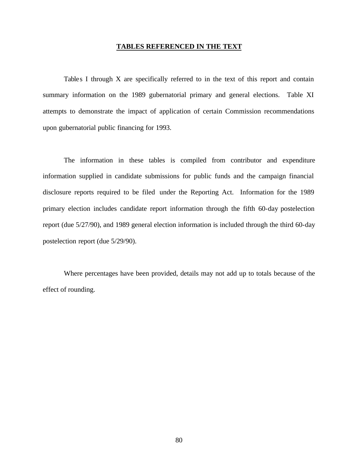#### **TABLES REFERENCED IN THE TEXT**

Tables I through X are specifically referred to in the text of this report and contain summary information on the 1989 gubernatorial primary and general elections. Table XI attempts to demonstrate the impact of application of certain Commission recommendations upon gubernatorial public financing for 1993.

The information in these tables is compiled from contributor and expenditure information supplied in candidate submissions for public funds and the campaign financial disclosure reports required to be filed under the Reporting Act. Information for the 1989 primary election includes candidate report information through the fifth 60-day postelection report (due 5/27/90), and 1989 general election information is included through the third 60-day postelection report (due 5/29/90).

Where percentages have been provided, details may not add up to totals because of the effect of rounding.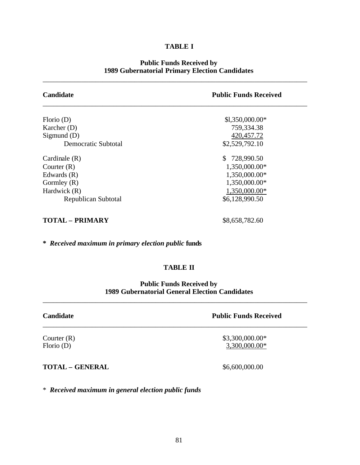# **TABLE I**

#### **Public Funds Received by 1989 Gubernatorial Primary Election Candidates**

\_\_\_\_\_\_\_\_\_\_\_\_\_\_\_\_\_\_\_\_\_\_\_\_\_\_\_\_\_\_\_\_\_\_\_\_\_\_\_\_\_\_\_\_\_\_\_\_\_\_\_\_\_\_\_\_\_\_\_\_\_\_\_\_\_\_\_\_\_\_\_\_\_\_\_

| <b>Candidate</b>           | <b>Public Funds Received</b> |  |  |
|----------------------------|------------------------------|--|--|
| Florio $(D)$               | $$1,350,000.00*$             |  |  |
| Karcher $(D)$              | 759,334.38                   |  |  |
| Sigmund $(D)$              | 420, 457. 72                 |  |  |
| <b>Democratic Subtotal</b> | \$2,529,792.10               |  |  |
| Cardinale $(R)$            | 728,990.50<br>S.             |  |  |
| Courter $(R)$              | 1,350,000.00*                |  |  |
| Edwards $(R)$              | 1,350,000.00*                |  |  |
| Gormley $(R)$              | 1,350,000.00*                |  |  |
| Hardwick $(R)$             | 1,350,000.00*                |  |  |
| Republican Subtotal        | \$6,128,990.50               |  |  |
| <b>TOTAL – PRIMARY</b>     | \$8,658,782.60               |  |  |

**\*** *Received maximum in primary election public* **funds**

#### **TABLE II**

#### **Public Funds Received by 1989 Gubernatorial General Election Candidates**

\_\_\_\_\_\_\_\_\_\_\_\_\_\_\_\_\_\_\_\_\_\_\_\_\_\_\_\_\_\_\_\_\_\_\_\_\_\_\_\_\_\_\_\_\_\_\_\_\_\_\_\_\_\_\_\_\_\_\_\_\_\_\_\_\_\_\_\_\_\_\_\_\_\_\_

| Candidate     | <b>Public Funds Received</b> |
|---------------|------------------------------|
| Courter $(R)$ | $$3,300,000.00*$             |
| Florio (D)    | 3,300,000.00*                |

# **TOTAL – GENERAL \$6,600,000.00**

\* *Received maximum in general election public funds*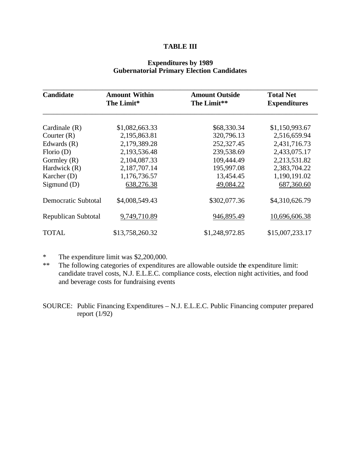#### **TABLE III**

#### **Expenditures by 1989 Gubernatorial Primary Election Candidates**

| <b>Candidate</b>    | <b>Amount Within</b><br>The Limit* | <b>Amount Outside</b><br>The Limit** | <b>Total Net</b><br><b>Expenditures</b> |
|---------------------|------------------------------------|--------------------------------------|-----------------------------------------|
|                     |                                    |                                      |                                         |
| Cardinale $(R)$     | \$1,082,663.33                     | \$68,330.34                          | \$1,150,993.67                          |
| Courter $(R)$       | 2,195,863.81                       | 320,796.13                           | 2,516,659.94                            |
| Edwards $(R)$       | 2,179,389.28                       | 252,327.45                           | 2,431,716.73                            |
| Florio (D)          | 2,193,536.48                       | 239,538.69                           | 2,433,075.17                            |
| Gormley $(R)$       | 2,104,087.33                       | 109,444.49                           | 2,213,531.82                            |
| Hardwick (R)        | 2,187,707.14                       | 195,997.08                           | 2,383,704.22                            |
| Karcher $(D)$       | 1,176,736.57                       | 13,454.45                            | 1,190,191.02                            |
| Sigmund $(D)$       | 638,276.38                         | 49,084.22                            | 687,360.60                              |
| Democratic Subtotal | \$4,008,549.43                     | \$302,077.36                         | \$4,310,626.79                          |
| Republican Subtotal | 9,749,710.89                       | 946,895.49                           | 10,696,606.38                           |
| <b>TOTAL</b>        | \$13,758,260.32                    | \$1,248,972.85                       | \$15,007,233.17                         |

<sup>\*</sup> The expenditure limit was \$2,200,000.

<sup>\*\*</sup> The following categories of expenditures are allowable outside the expenditure limit: candidate travel costs, N.J. E.L.E.C. compliance costs, election night activities, and food and beverage costs for fundraising events

SOURCE: Public Financing Expenditures – N.J. E.L.E.C. Public Financing computer prepared report (1/92)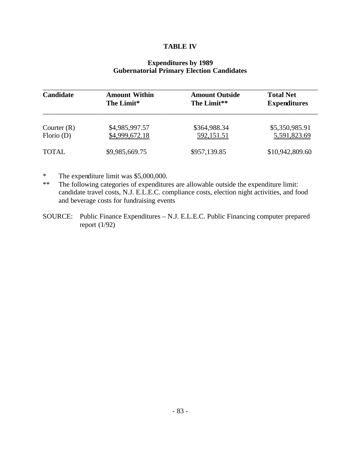#### **TABLE IV**

#### **Expenditures by 1989 Gubernatorial Primary Election Candidates**

| <b>Candidate</b> | <b>Amount Within</b> | <b>Amount Outside</b> | <b>Total Net</b>    |
|------------------|----------------------|-----------------------|---------------------|
|                  | The Limit*           | The Limit**           | <b>Expenditures</b> |
| Courter $(R)$    | \$4,985,997.57       | \$364,988.34          | \$5,350,985.91      |
| Florio $(D)$     | \$4,999,672.18       | 592,151.51            | 5,591,823.69        |
| <b>TOTAL</b>     | \$9,985,669.75       | \$957,139.85          | \$10,942,809.60     |

- \* The expenditure limit was \$5,000,000.
- \*\* The following categories of expenditures are allowable outside the expenditure limit: candidate travel costs, N.J. E.L.E.C. compliance costs, election night activities, and food and beverage costs for fundraising events
- SOURCE: Public Finance Expenditures N.J. E.L.E.C. Public Financing computer prepared report (1/92)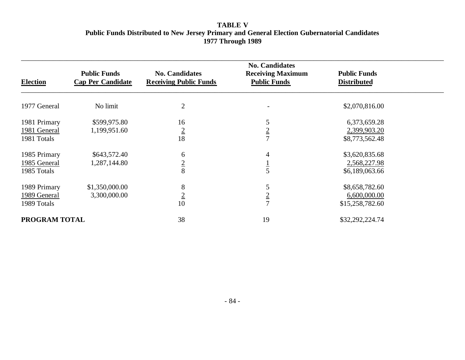## **TABLE V Public Funds Distributed to New Jersey Primary and General Election Gubernatorial Candidates 1977 Through 1989**

|                 |                                                 |                                                        | <b>No. Candidates</b>                           |                                           |
|-----------------|-------------------------------------------------|--------------------------------------------------------|-------------------------------------------------|-------------------------------------------|
| <b>Election</b> | <b>Public Funds</b><br><b>Cap Per Candidate</b> | <b>No. Candidates</b><br><b>Receiving Public Funds</b> | <b>Receiving Maximum</b><br><b>Public Funds</b> | <b>Public Funds</b><br><b>Distributed</b> |
| 1977 General    | No limit                                        | $\overline{2}$                                         |                                                 | \$2,070,816.00                            |
| 1981 Primary    | \$599,975.80                                    | 16                                                     | 5                                               | 6,373,659.28                              |
| 1981 General    | 1,199,951.60                                    | $\overline{2}$                                         | $\frac{2}{7}$                                   | 2,399,903.20                              |
| 1981 Totals     |                                                 | 18                                                     |                                                 | \$8,773,562.48                            |
| 1985 Primary    | \$643,572.40                                    | 6                                                      | 4                                               | \$3,620,835.68                            |
| 1985 General    | 1,287,144.80                                    |                                                        |                                                 | 2,568,227.98                              |
| 1985 Totals     |                                                 | $\frac{2}{8}$                                          | $\frac{1}{5}$                                   | \$6,189,063.66                            |
| 1989 Primary    | \$1,350,000.00                                  | 8                                                      | 5                                               | \$8,658,782.60                            |
| 1989 General    | 3,300,000.00                                    | $\overline{2}$                                         | $rac{2}{7}$                                     | 6,600,000.00                              |
| 1989 Totals     |                                                 | 10                                                     |                                                 | \$15,258,782.60                           |
| PROGRAM TOTAL   |                                                 | 38                                                     | 19                                              | \$32,292,224.74                           |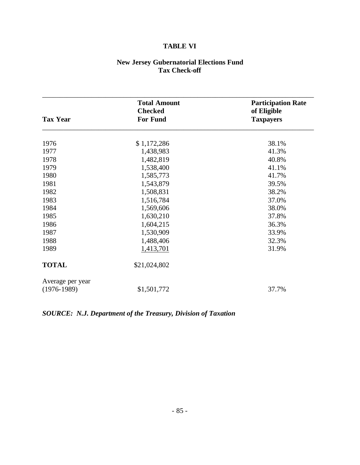## **TABLE VI**

#### **New Jersey Gubernatorial Elections Fund Tax Check-off**

|                  | <b>Total Amount</b><br><b>Checked</b> | <b>Participation Rate</b><br>of Eligible |
|------------------|---------------------------------------|------------------------------------------|
| <b>Tax Year</b>  | <b>For Fund</b>                       | <b>Taxpayers</b>                         |
| 1976             | \$1,172,286                           | 38.1%                                    |
| 1977             | 1,438,983                             | 41.3%                                    |
| 1978             | 1,482,819                             | 40.8%                                    |
| 1979             | 1,538,400                             | 41.1%                                    |
| 1980             | 1,585,773                             | 41.7%                                    |
| 1981             | 1,543,879                             | 39.5%                                    |
| 1982             | 1,508,831                             | 38.2%                                    |
| 1983             | 1,516,784                             | 37.0%                                    |
| 1984             | 1,569,606                             | 38.0%                                    |
| 1985             | 1,630,210                             | 37.8%                                    |
| 1986             | 1,604,215                             | 36.3%                                    |
| 1987             | 1,530,909                             | 33.9%                                    |
| 1988             | 1,488,406                             | 32.3%                                    |
| 1989             | 1,413,701                             | 31.9%                                    |
| <b>TOTAL</b>     | \$21,024,802                          |                                          |
| Average per year |                                       |                                          |
| $(1976 - 1989)$  | \$1,501,772                           | 37.7%                                    |

*SOURCE: N.J. Department of the Treasury, Division of Taxation*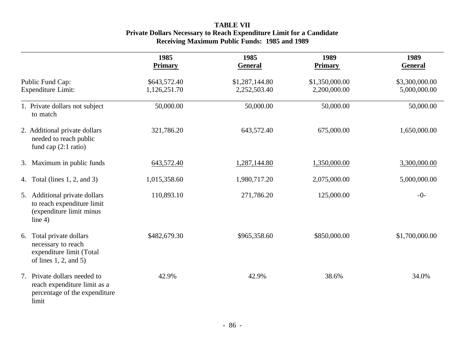# **TABLE VII Private Dollars Necessary to Reach Expenditure Limit for a Candidate Receiving Maximum Public Funds: 1985 and 1989**

|                                                                                                           | 1985<br><b>Primary</b>       | 1985<br><b>General</b>         | 1989<br><b>Primary</b>         | 1989<br><b>General</b>         |
|-----------------------------------------------------------------------------------------------------------|------------------------------|--------------------------------|--------------------------------|--------------------------------|
| Public Fund Cap:<br><b>Expenditure Limit:</b>                                                             | \$643,572.40<br>1,126,251.70 | \$1,287,144.80<br>2,252,503.40 | \$1,350,000.00<br>2,200,000.00 | \$3,300,000.00<br>5,000,000.00 |
| 1. Private dollars not subject<br>to match                                                                | 50,000.00                    | 50,000.00                      | 50,000.00                      | 50,000.00                      |
| 2. Additional private dollars<br>needed to reach public<br>fund cap $(2:1$ ratio)                         | 321,786.20                   | 643,572.40                     | 675,000.00                     | 1,650,000.00                   |
| 3. Maximum in public funds                                                                                | 643,572.40                   | 1,287,144.80                   | 1,350,000.00                   | 3,300,000.00                   |
| Total (lines $1, 2$ , and $3$ )<br>4.                                                                     | 1,015,358.60                 | 1,980,717.20                   | 2,075,000.00                   | 5,000,000.00                   |
| 5. Additional private dollars<br>to reach expenditure limit<br>(expenditure limit minus<br>line $4$ )     | 110,893.10                   | 271,786.20                     | 125,000.00                     | $-0-$                          |
| 6. Total private dollars<br>necessary to reach<br>expenditure limit (Total<br>of lines $1, 2$ , and $5$ ) | \$482,679.30                 | \$965,358.60                   | \$850,000.00                   | \$1,700,000.00                 |
| 7. Private dollars needed to<br>reach expenditure limit as a<br>percentage of the expenditure<br>limit    | 42.9%                        | 42.9%                          | 38.6%                          | 34.0%                          |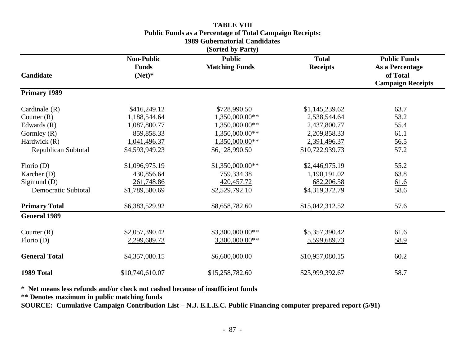|                                                                                                                           |                                                                                                                | (Sorted by Party)                                                                                                           |                                                                                                                     |                                                                                |
|---------------------------------------------------------------------------------------------------------------------------|----------------------------------------------------------------------------------------------------------------|-----------------------------------------------------------------------------------------------------------------------------|---------------------------------------------------------------------------------------------------------------------|--------------------------------------------------------------------------------|
| <b>Candidate</b>                                                                                                          | <b>Non-Public</b><br><b>Funds</b><br>$(Net)*$                                                                  | <b>Public</b><br><b>Matching Funds</b>                                                                                      | <b>Total</b><br><b>Receipts</b>                                                                                     | <b>Public Funds</b><br>As a Percentage<br>of Total<br><b>Campaign Receipts</b> |
| <b>Primary 1989</b>                                                                                                       |                                                                                                                |                                                                                                                             |                                                                                                                     |                                                                                |
| Cardinale $(R)$<br>Courter $(R)$<br>Edwards $(R)$<br>Gormley $(R)$<br>Hardwick (R)<br>Republican Subtotal<br>Florio $(D)$ | \$416,249.12<br>1,188,544.64<br>1,087,800.77<br>859,858.33<br>1,041,496.37<br>\$4,593,949.23<br>\$1,096,975.19 | \$728,990.50<br>1,350,000.00**<br>1,350,000.00**<br>1,350,000.00**<br>1,350,000.00**<br>\$6,128,990.50<br>$$1,350,000.00**$ | \$1,145,239.62<br>2,538,544.64<br>2,437,800.77<br>2,209,858.33<br>2,391,496.37<br>\$10,722,939.73<br>\$2,446,975.19 | 63.7<br>53.2<br>55.4<br>61.1<br>56.5<br>57.2<br>55.2                           |
| Karcher (D)<br>Sigmund $(D)$<br>Democratic Subtotal<br><b>Primary Total</b>                                               | 430,856.64<br>261,748.86<br>\$1,789,580.69<br>\$6,383,529.92                                                   | 759,334.38<br>420, 457. 72<br>\$2,529,792.10<br>\$8,658,782.60                                                              | 1,190,191.02<br>682,206.58<br>\$4,319,372.79<br>\$15,042,312.52                                                     | 63.8<br>61.6<br>58.6<br>57.6                                                   |
| <b>General 1989</b>                                                                                                       |                                                                                                                |                                                                                                                             |                                                                                                                     |                                                                                |
| Courter $(R)$<br>Florio $(D)$                                                                                             | \$2,057,390.42<br>2,299,689.73                                                                                 | \$3,300,000.00**<br>3,300,000.00**                                                                                          | \$5,357,390.42<br>5,599,689.73                                                                                      | 61.6<br><u>58.9</u>                                                            |
| <b>General Total</b>                                                                                                      | \$4,357,080.15                                                                                                 | \$6,600,000.00                                                                                                              | \$10,957,080.15                                                                                                     | 60.2                                                                           |
| 1989 Total                                                                                                                | \$10,740,610.07                                                                                                | \$15,258,782.60                                                                                                             | \$25,999,392.67                                                                                                     | 58.7                                                                           |

# **TABLE VIII Public Funds as a Percentage of Total Campaign Receipts: 1989 Gubernatorial Candidates**

**\* Net means less refunds and/or check not cashed because of insufficient funds**

**\*\* Denotes maximum in public matching funds**

**SOURCE: Cumulative Campaign Contribution List – N.J. E.L.E.C. Public Financing computer prepared report (5/91)**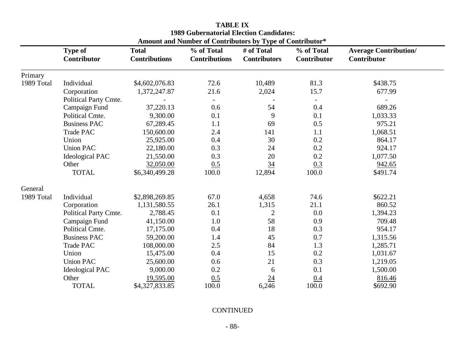|            | <b>Type of</b><br><b>Contributor</b> | <b>Total</b><br><b>Contributions</b> | % of Total<br><b>Contributions</b> | # of Total<br><b>Contributors</b> | % of Total<br>Contributor | <b>Average Contribution/</b><br><b>Contributor</b> |
|------------|--------------------------------------|--------------------------------------|------------------------------------|-----------------------------------|---------------------------|----------------------------------------------------|
| Primary    |                                      |                                      |                                    |                                   |                           |                                                    |
| 1989 Total | Individual                           | \$4,602,076.83                       | 72.6                               | 10,489                            | 81.3                      | \$438.75                                           |
|            | Corporation                          | 1,372,247.87                         | 21.6                               | 2,024                             | 15.7                      | 677.99                                             |
|            | Political Party Cmte.                |                                      |                                    |                                   |                           |                                                    |
|            | Campaign Fund                        | 37,220.13                            | 0.6                                | 54                                | 0.4                       | 689.26                                             |
|            | Political Cmte.                      | 9,300.00                             | 0.1                                | 9                                 | 0.1                       | 1,033.33                                           |
|            | <b>Business PAC</b>                  | 67,289.45                            | 1.1                                | 69                                | 0.5                       | 975.21                                             |
|            | <b>Trade PAC</b>                     | 150,600.00                           | 2.4                                | 141                               | 1.1                       | 1,068.51                                           |
|            | Union                                | 25,925.00                            | 0.4                                | 30                                | 0.2                       | 864.17                                             |
|            | <b>Union PAC</b>                     | 22,180.00                            | 0.3                                | 24                                | 0.2                       | 924.17                                             |
|            | <b>Ideological PAC</b>               | 21,550.00                            | 0.3                                | 20                                | 0.2                       | 1,077.50                                           |
|            | Other                                | 32,050.00                            | 0.5                                | 34                                | 0.3                       | 942.65                                             |
|            | <b>TOTAL</b>                         | \$6,340,499.28                       | 100.0                              | 12,894                            | 100.0                     | \$491.74                                           |
| General    |                                      |                                      |                                    |                                   |                           |                                                    |
| 1989 Total | Individual                           | \$2,898,269.85                       | 67.0                               | 4,658                             | 74.6                      | \$622.21                                           |
|            | Corporation                          | 1,131,580.55                         | 26.1                               | 1,315                             | 21.1                      | 860.52                                             |
|            | Political Party Cmte.                | 2,788.45                             | 0.1                                | $\overline{2}$                    | 0.0                       | 1,394.23                                           |
|            | Campaign Fund                        | 41,150.00                            | 1.0                                | 58                                | 0.9                       | 709.48                                             |
|            | Political Cmte.                      | 17,175.00                            | 0.4                                | 18                                | 0.3                       | 954.17                                             |
|            | <b>Business PAC</b>                  | 59,200.00                            | 1.4                                | 45                                | 0.7                       | 1,315.56                                           |
|            | <b>Trade PAC</b>                     | 108,000.00                           | 2.5                                | 84                                | 1.3                       | 1,285.71                                           |
|            | Union                                | 15,475.00                            | 0.4                                | 15                                | 0.2                       | 1,031.67                                           |
|            | <b>Union PAC</b>                     | 25,600.00                            | 0.6                                | 21                                | 0.3                       | 1,219.05                                           |
|            | <b>Ideological PAC</b>               | 9,000.00                             | 0.2                                | 6                                 | 0.1                       | 1,500.00                                           |
|            | Other                                | 19,595.00                            | 0.5                                | $\underline{24}$                  | 0.4                       | 816.46                                             |
|            | <b>TOTAL</b>                         | \$4,327,833.85                       | 100.0                              | 6,246                             | 100.0                     | \$692.90                                           |

#### **TABLE IX 1989 Gubernatorial Election Candidates: Amount and Number of Contributors by Type of Contributor\***

# CONTINUED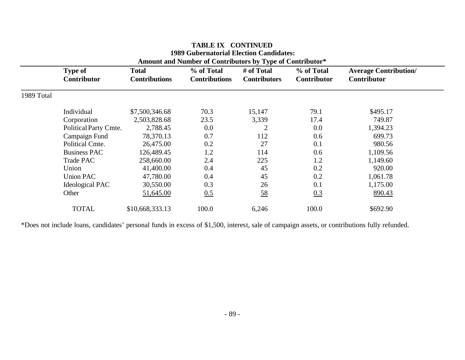|            | Amount and Number of Contributors by Type of Contributor* |                                      |                                    |                                   |                           |                                             |  |  |  |
|------------|-----------------------------------------------------------|--------------------------------------|------------------------------------|-----------------------------------|---------------------------|---------------------------------------------|--|--|--|
|            | <b>Type of</b><br>Contributor                             | <b>Total</b><br><b>Contributions</b> | % of Total<br><b>Contributions</b> | # of Total<br><b>Contributors</b> | % of Total<br>Contributor | <b>Average Contribution/</b><br>Contributor |  |  |  |
| 1989 Total |                                                           |                                      |                                    |                                   |                           |                                             |  |  |  |
|            | Individual                                                | \$7,500,346.68                       | 70.3                               | 15,147                            | 79.1                      | \$495.17                                    |  |  |  |
|            | Corporation                                               | 2,503,828.68                         | 23.5                               | 3,339                             | 17.4                      | 749.87                                      |  |  |  |
|            | Political Party Cmte.                                     | 2,788.45                             | 0.0                                | 2                                 | 0.0                       | 1,394.23                                    |  |  |  |
|            | Campaign Fund                                             | 78,370.13                            | 0.7                                | 112                               | 0.6                       | 699.73                                      |  |  |  |
|            | Political Cmte.                                           | 26,475.00                            | 0.2                                | 27                                | 0.1                       | 980.56                                      |  |  |  |
|            | <b>Business PAC</b>                                       | 126,489.45                           | 1.2                                | 114                               | 0.6                       | 1,109.56                                    |  |  |  |
|            | <b>Trade PAC</b>                                          | 258,660.00                           | 2.4                                | 225                               | 1.2                       | 1,149.60                                    |  |  |  |
|            | Union                                                     | 41,400.00                            | 0.4                                | 45                                | 0.2                       | 920.00                                      |  |  |  |
|            | <b>Union PAC</b>                                          | 47,780.00                            | 0.4                                | 45                                | 0.2                       | 1,061.78                                    |  |  |  |
|            | Ideological PAC                                           | 30,550.00                            | 0.3                                | 26                                | 0.1                       | 1,175.00                                    |  |  |  |
|            | Other                                                     | 51,645.00                            | 0.5                                | <u>58</u>                         | 0.3                       | 890.43                                      |  |  |  |
|            | <b>TOTAL</b>                                              | \$10,668,333.13                      | 100.0                              | 6,246                             | 100.0                     | \$692.90                                    |  |  |  |

#### **TABLE IX CONTINUED 1989 Gubernatorial Election Candidates:**

\*Does not include loans, candidates' personal funds in excess of \$1,500, interest, sale of campaign assets, or contributions fully refunded.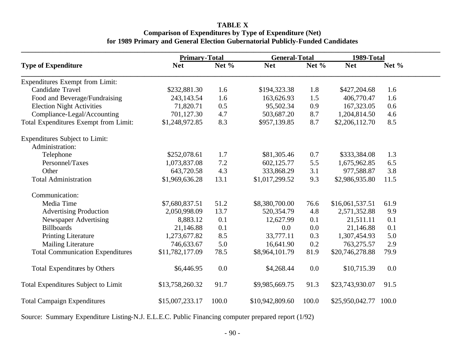# **TABLE X**

# **Comparison of Expenditures by Type of Expenditure (Net) for 1989 Primary and General Election Gubernatorial Publicly-Funded Candidates**

|                                                   | <b>Primary-Total</b> |       | <b>General-Total</b> |         | <b>1989-Total</b> |       |
|---------------------------------------------------|----------------------|-------|----------------------|---------|-------------------|-------|
| <b>Type of Expenditure</b>                        | <b>Net</b>           | Net % | <b>Net</b>           | Net $%$ | <b>Net</b>        | Net % |
| <b>Expenditures Exempt from Limit:</b>            |                      |       |                      |         |                   |       |
| <b>Candidate Travel</b>                           | \$232,881.30         | 1.6   | \$194,323.38         | 1.8     | \$427,204.68      | 1.6   |
| Food and Beverage/Fundraising                     | 243,143.54           | 1.6   | 163,626.93           | 1.5     | 406,770.47        | 1.6   |
| <b>Election Night Activities</b>                  | 71,820.71            | 0.5   | 95,502.34            | 0.9     | 167,323.05        | 0.6   |
| Compliance-Legal/Accounting                       | 701,127.30           | 4.7   | 503,687.20           | 8.7     | 1,204,814.50      | 4.6   |
| Total Expenditures Exempt from Limit:             | \$1,248,972.85       | 8.3   | \$957,139.85         | 8.7     | \$2,206,112.70    | 8.5   |
| Expenditures Subject to Limit:<br>Administration: |                      |       |                      |         |                   |       |
| Telephone                                         | \$252,078.61         | 1.7   | \$81,305.46          | 0.7     | \$333,384.08      | 1.3   |
| Personnel/Taxes                                   | 1,073,837.08         | 7.2   | 602,125.77           | 5.5     | 1,675,962.85      | 6.5   |
| Other                                             | 643,720.58           | 4.3   | 333,868.29           | 3.1     | 977,588.87        | 3.8   |
| <b>Total Administration</b>                       | \$1,969,636.28       | 13.1  | \$1,017,299.52       | 9.3     | \$2,986,935.80    | 11.5  |
| Communication:                                    |                      |       |                      |         |                   |       |
| Media Time                                        | \$7,680,837.51       | 51.2  | \$8,380,700.00       | 76.6    | \$16,061,537.51   | 61.9  |
| <b>Advertising Production</b>                     | 2,050,998.09         | 13.7  | 520,354.79           | 4.8     | 2,571,352.88      | 9.9   |
| <b>Newspaper Advertising</b>                      | 8,883.12             | 0.1   | 12,627.99            | 0.1     | 21,511.11         | 0.1   |
| <b>Billboards</b>                                 | 21,146.88            | 0.1   | 0.0                  | 0.0     | 21,146.88         | 0.1   |
| <b>Printing Literature</b>                        | 1,273,677.82         | 8.5   | 33,777.11            | 0.3     | 1,307,454.93      | 5.0   |
| <b>Mailing Literature</b>                         | 746,633.67           | 5.0   | 16,641.90            | 0.2     | 763,275.57        | 2.9   |
| <b>Total Communication Expenditures</b>           | \$11,782,177.09      | 78.5  | \$8,964,101.79       | 81.9    | \$20,746,278.88   | 79.9  |
| <b>Total Expenditures by Others</b>               | \$6,446.95           | 0.0   | \$4,268.44           | 0.0     | \$10,715.39       | 0.0   |
| Total Expenditures Subject to Limit               | \$13,758,260.32      | 91.7  | \$9,985,669.75       | 91.3    | \$23,743,930.07   | 91.5  |
| <b>Total Campaign Expenditures</b>                | \$15,007,233.17      | 100.0 | \$10,942,809.60      | 100.0   | \$25,950,042.77   | 100.0 |

Source: Summary Expenditure Listing-N.J. E.L.E.C. Public Financing computer prepared report (1/92)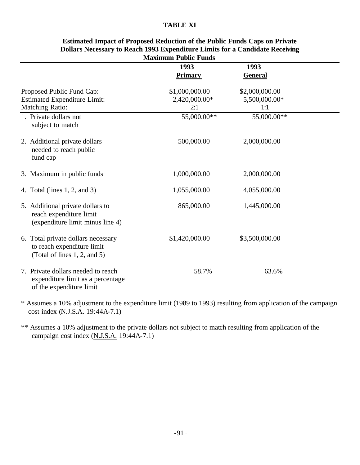#### **TABLE XI**

|                                                                                                     | <b>Maximum Public Funds</b>            |                                        |  |
|-----------------------------------------------------------------------------------------------------|----------------------------------------|----------------------------------------|--|
|                                                                                                     | 1993                                   | 1993                                   |  |
|                                                                                                     | <b>Primary</b>                         | <b>General</b>                         |  |
| Proposed Public Fund Cap:<br><b>Estimated Expenditure Limit:</b><br><b>Matching Ratio:</b>          | \$1,000,000.00<br>2,420,000.00*<br>2:1 | \$2,000,000.00<br>5,500,000.00*<br>1:1 |  |
| 1. Private dollars not<br>subject to match                                                          | 55,000.00**                            | 55,000.00**                            |  |
| 2. Additional private dollars<br>needed to reach public<br>fund cap                                 | 500,000.00                             | 2,000,000.00                           |  |
| 3. Maximum in public funds                                                                          | 1,000,000.00                           | 2,000,000.00                           |  |
| 4. Total (lines 1, 2, and 3)                                                                        | 1,055,000.00                           | 4,055,000.00                           |  |
| 5. Additional private dollars to<br>reach expenditure limit<br>(expenditure limit minus line 4)     | 865,000.00                             | 1,445,000.00                           |  |
| 6. Total private dollars necessary<br>to reach expenditure limit<br>(Total of lines 1, 2, and 5)    | \$1,420,000.00                         | \$3,500,000.00                         |  |
| 7. Private dollars needed to reach<br>expenditure limit as a percentage<br>of the expenditure limit | 58.7%                                  | 63.6%                                  |  |

# **Estimated Impact of Proposed Reduction of the Public Funds Caps on Private Dollars Necessary to Reach 1993 Expenditure Limits for a Candidate Receiving**

\* Assumes a 10% adjustment to the expenditure limit (1989 to 1993) resulting from application of the campaign cost index (N.J.S.A. 19:44A-7.1)

\*\* Assumes a 10% adjustment to the private dollars not subject to match resulting from application of the campaign cost index (N.J.S.A. 19:44A-7.1)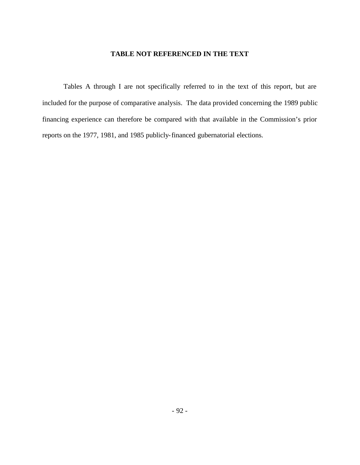#### **TABLE NOT REFERENCED IN THE TEXT**

Tables A through I are not specifically referred to in the text of this report, but are included for the purpose of comparative analysis. The data provided concerning the 1989 public financing experience can therefore be compared with that available in the Commission's prior reports on the 1977, 1981, and 1985 publicly-financed gubernatorial elections.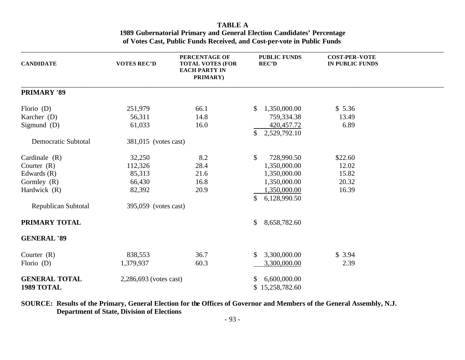#### **TABLE A**

#### **1989 Gubernatorial Primary and General Election Candidates' Percentage of Votes Cast, Public Funds Received, and Cost-per-vote in Public Funds**

| <b>CANDIDATE</b>           | <b>VOTES REC'D</b>     | PERCENTAGE OF<br><b>TOTAL VOTES (FOR</b><br><b>EACH PARTY IN</b><br>PRIMARY) | <b>PUBLIC FUNDS</b><br><b>REC'D</b> |               | <b>COST-PER-VOTE</b><br>IN PUBLIC FUNDS |  |
|----------------------------|------------------------|------------------------------------------------------------------------------|-------------------------------------|---------------|-----------------------------------------|--|
| <b>PRIMARY '89</b>         |                        |                                                                              |                                     |               |                                         |  |
| Florio $(D)$               | 251,979                | 66.1                                                                         | $\boldsymbol{\mathsf{S}}$           | 1,350,000.00  | \$5.36                                  |  |
| Karcher (D)                | 56,311                 | 14.8                                                                         |                                     | 759,334.38    | 13.49                                   |  |
| Sigmund (D)                | 61,033                 | 16.0                                                                         |                                     | 420, 457. 72  | 6.89                                    |  |
|                            |                        |                                                                              | $\mathcal{S}$                       | 2,529,792.10  |                                         |  |
| <b>Democratic Subtotal</b> | 381,015 (votes cast)   |                                                                              |                                     |               |                                         |  |
| Cardinale $(R)$            | 32,250                 | 8.2                                                                          | $\mathbb{S}$                        | 728,990.50    | \$22.60                                 |  |
| Courter $(R)$              | 112,326                | 28.4                                                                         |                                     | 1,350,000.00  | 12.02                                   |  |
| Edwards $(R)$              | 85,313                 | 21.6                                                                         |                                     | 1,350,000.00  | 15.82                                   |  |
| Gormley (R)                | 66,430                 | 16.8                                                                         |                                     | 1,350,000.00  | 20.32                                   |  |
| Hardwick (R)               | 82,392                 | 20.9                                                                         |                                     | 1,350,000.00  | 16.39                                   |  |
|                            |                        |                                                                              | $\mathbb{S}$                        | 6,128,990.50  |                                         |  |
| <b>Republican Subtotal</b> | 395,059 (votes cast)   |                                                                              |                                     |               |                                         |  |
| PRIMARY TOTAL              |                        |                                                                              | \$                                  | 8,658,782.60  |                                         |  |
| <b>GENERAL '89</b>         |                        |                                                                              |                                     |               |                                         |  |
| Courter $(R)$              | 838,553                | 36.7                                                                         | $\boldsymbol{\mathsf{S}}$           | 3,300,000.00  | \$3.94                                  |  |
| Florio $(D)$               | 1,379,937              | 60.3                                                                         |                                     | 3,300,000.00  | 2.39                                    |  |
| <b>GENERAL TOTAL</b>       | 2,286,693 (votes cast) |                                                                              | \$                                  | 6,600,000.00  |                                         |  |
| 1989 TOTAL                 |                        |                                                                              | \$                                  | 15,258,782.60 |                                         |  |

**SOURCE: Results of the Primary, General Election for the Offices of Governor and Members of the General Assembly, N.J. Department of State, Division of Elections**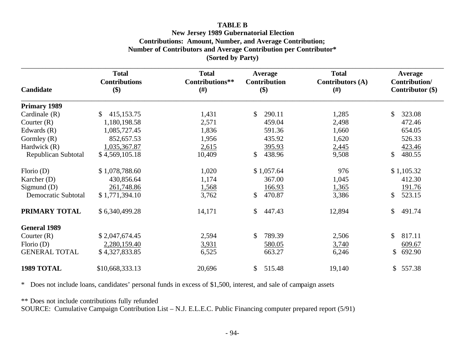#### **TABLE B**

#### **New Jersey 1989 Gubernatorial Election Contributions: Amount, Number, and Average Contribution; Number of Contributors and Average Contribution per Contributor\* (Sorted by Party)**

|                      | <b>Total</b>         | <b>Total</b>    | <b>Average</b>          | <b>Total</b>            | Average                  |
|----------------------|----------------------|-----------------|-------------------------|-------------------------|--------------------------|
|                      | <b>Contributions</b> | Contributions** | <b>Contribution</b>     | <b>Contributors (A)</b> | Contribution/            |
| Candidate            | \$)                  | #)              | \$)                     | #)                      | Contributor (\$)         |
| <b>Primary 1989</b>  |                      |                 |                         |                         |                          |
| Cardinale $(R)$      | \$<br>415, 153. 75   | 1,431           | $\mathbb{S}$<br>290.11  | 1,285                   | \$<br>323.08             |
| Courter $(R)$        | 1,180,198.58         | 2,571           | 459.04                  | 2,498                   | 472.46                   |
| Edwards $(R)$        | 1,085,727.45         | 1,836           | 591.36                  | 1,660                   | 654.05                   |
| Gormley $(R)$        | 852,657.53           | 1,956           | 435.92                  | 1,620                   | 526.33                   |
| Hardwick (R)         | 1,035,367.87         | 2,615           | 395.93                  | 2,445                   | 423.46                   |
| Republican Subtotal  | \$4,569,105.18       | 10,409          | \$<br>438.96            | 9,508                   | \$<br>480.55             |
| Florio $(D)$         | \$1,078,788.60       | 1,020           | \$1,057.64              | 976                     | \$1,105.32               |
| Karcher (D)          | 430,856.64           | 1,174           | 367.00                  | 1,045                   | 412.30                   |
| Sigmund $(D)$        | 261,748.86           | 1,568           | 166.93                  | 1,365                   | 191.76                   |
| Democratic Subtotal  | \$1,771,394.10       | 3,762           | \$<br>470.87            | 3,386                   | \$<br>523.15             |
| PRIMARY TOTAL        | \$6,340,499.28       | 14,171          | \$<br>447.43            | 12,894                  | \$<br>491.74             |
| <b>General 1989</b>  |                      |                 |                         |                         |                          |
| Courter $(R)$        | \$2,047,674.45       | 2,594           | $\mathcal{S}$<br>789.39 | 2,506                   | $\mathbb{S}$<br>817.11   |
| Florio $(D)$         | 2,280,159.40         | 3,931           | 580.05                  | 3,740                   | 609.67                   |
| <b>GENERAL TOTAL</b> | \$4,327,833.85       | 6,525           | 663.27                  | 6,246                   | 692.90<br>$\mathbb{S}^-$ |
| 1989 TOTAL           | \$10,668,333.13      | 20,696          | \$<br>515.48            | 19,140                  | $\mathbb{S}^-$<br>557.38 |

\* Does not include loans, candidates' personal funds in excess of \$1,500, interest, and sale of campaign assets

\*\* Does not include contributions fully refunded

SOURCE: Cumulative Campaign Contribution List – N.J. E.L.E.C. Public Financing computer prepared report (5/91)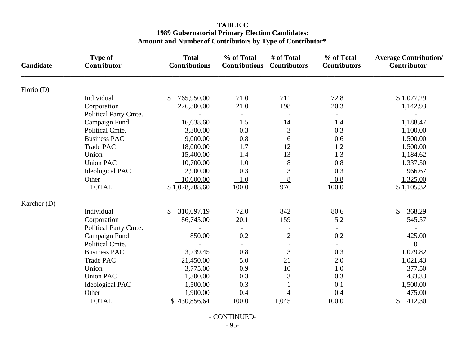# **TABLE C 1989 Gubernatorial Primary Election Candidates: Amount and Number of Contributors by Type of Contributor\***

| <b>Candidate</b> | <b>Type of</b><br>Contributor | <b>Total</b><br><b>Contributions</b> | % of Total<br><b>Contributions</b> | # of Total<br><b>Contributors</b> | % of Total<br><b>Contributors</b> | <b>Average Contribution/</b><br>Contributor |
|------------------|-------------------------------|--------------------------------------|------------------------------------|-----------------------------------|-----------------------------------|---------------------------------------------|
| Florio (D)       |                               |                                      |                                    |                                   |                                   |                                             |
|                  | Individual                    | 765,950.00<br>\$                     | 71.0                               | 711                               | 72.8                              | \$1,077.29                                  |
|                  | Corporation                   | 226,300.00                           | 21.0                               | 198                               | 20.3                              | 1,142.93                                    |
|                  | Political Party Cmte.         |                                      | $\blacksquare$                     |                                   | $\overline{a}$                    |                                             |
|                  | Campaign Fund                 | 16,638.60                            | 1.5                                | 14                                | 1.4                               | 1,188.47                                    |
|                  | Political Cmte.               | 3,300.00                             | 0.3                                | 3                                 | 0.3                               | 1,100.00                                    |
|                  | <b>Business PAC</b>           | 9,000.00                             | 0.8                                | 6                                 | 0.6                               | 1,500.00                                    |
|                  | <b>Trade PAC</b>              | 18,000.00                            | 1.7                                | 12                                | 1.2                               | 1,500.00                                    |
|                  | Union                         | 15,400.00                            | 1.4                                | 13                                | 1.3                               | 1,184.62                                    |
|                  | <b>Union PAC</b>              | 10,700.00                            | 1.0                                | 8                                 | 0.8                               | 1,337.50                                    |
|                  | <b>Ideological PAC</b>        | 2,900.00                             | 0.3                                | 3                                 | 0.3                               | 966.67                                      |
|                  | Other                         | 10,600.00                            | 1.0                                | $\frac{8}{5}$                     | 0.8                               | 1,325.00                                    |
|                  | <b>TOTAL</b>                  | \$1,078,788.60                       | 100.0                              | 976                               | 100.0                             | \$1,105.32                                  |
| Karcher (D)      |                               |                                      |                                    |                                   |                                   |                                             |
|                  | Individual                    | 310,097.19<br>\$                     | 72.0                               | 842                               | 80.6                              | \$<br>368.29                                |
|                  | Corporation                   | 86,745.00                            | 20.1                               | 159                               | 15.2                              | 545.57                                      |
|                  | Political Party Cmte.         |                                      | $\overline{\phantom{a}}$           |                                   | $\sim$                            |                                             |
|                  | Campaign Fund                 | 850.00                               | 0.2                                | $\mathfrak{2}$                    | 0.2                               | 425.00                                      |
|                  | Political Cmte.               |                                      |                                    |                                   |                                   | $\theta$                                    |
|                  | <b>Business PAC</b>           | 3,239.45                             | 0.8                                | 3                                 | 0.3                               | 1,079.82                                    |
|                  | <b>Trade PAC</b>              | 21,450.00                            | 5.0                                | 21                                | 2.0                               | 1,021.43                                    |
|                  | Union                         | 3,775.00                             | 0.9                                | 10                                | 1.0                               | 377.50                                      |
|                  | <b>Union PAC</b>              | 1,300.00                             | 0.3                                | 3                                 | 0.3                               | 433.33                                      |
|                  | <b>Ideological PAC</b>        | 1,500.00                             | 0.3                                |                                   | 0.1                               | 1,500.00                                    |
|                  | Other                         | 1,900.00                             | 0.4                                | 4                                 | 0.4                               | 475.00                                      |
|                  | <b>TOTAL</b>                  | \$430,856.64                         | 100.0                              | 1,045                             | 100.0                             | \$<br>412.30                                |

- CONTINUED-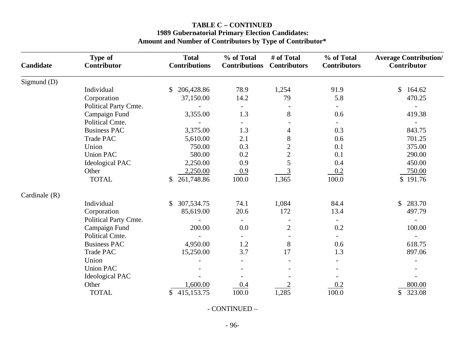# **TABLE C – CONTINUED 1989 Gubernatorial Primary Election Candidates: Amount and Number of Contributors by Type of Contributor\***

| Candidate     | Type of<br>Contributor | <b>Total</b><br><b>Contributions</b> | % of Total<br><b>Contributions</b> | # of Total<br><b>Contributors</b> | % of Total<br><b>Contributors</b> | <b>Average Contribution/</b><br>Contributor |
|---------------|------------------------|--------------------------------------|------------------------------------|-----------------------------------|-----------------------------------|---------------------------------------------|
| Sigmund (D)   |                        |                                      |                                    |                                   |                                   |                                             |
|               | Individual             | 206,428.86<br>\$                     | 78.9                               | 1,254                             | 91.9                              | $\mathbb{S}$<br>164.62                      |
|               | Corporation            | 37,150.00                            | 14.2                               | 79                                | 5.8                               | 470.25                                      |
|               | Political Party Cmte.  |                                      | $\overline{\phantom{a}}$           |                                   |                                   |                                             |
|               | Campaign Fund          | 3,355.00                             | 1.3                                | 8                                 | 0.6                               | 419.38                                      |
|               | Political Cmte.        |                                      |                                    |                                   |                                   |                                             |
|               | <b>Business PAC</b>    | 3,375.00                             | 1.3                                | 4                                 | 0.3                               | 843.75                                      |
|               | <b>Trade PAC</b>       | 5,610.00                             | 2.1                                | 8                                 | 0.6                               | 701.25                                      |
|               | Union                  | 750.00                               | 0.3                                | $\overline{c}$                    | 0.1                               | 375.00                                      |
|               | <b>Union PAC</b>       | 580.00                               | 0.2                                | $\overline{2}$                    | 0.1                               | 290.00                                      |
|               | <b>Ideological PAC</b> | 2,250.00                             | 0.9                                | 5                                 | 0.4                               | 450.00                                      |
|               | Other                  | 2,250.00                             | 0.9                                | $\overline{3}$                    | 0.2                               | 750.00                                      |
|               | <b>TOTAL</b>           | 261,748.86<br>\$                     | 100.0                              | 1,365                             | 100.0                             | \$191.76                                    |
| Cardinale (R) |                        |                                      |                                    |                                   |                                   |                                             |
|               | Individual             | 307,534.75<br>\$                     | 74.1                               | 1,084                             | 84.4                              | $\mathbb{S}$<br>283.70                      |
|               | Corporation            | 85,619.00                            | 20.6                               | 172                               | 13.4                              | 497.79                                      |
|               | Political Party Cmte.  |                                      | $\overline{\phantom{a}}$           |                                   | $\overline{\phantom{0}}$          |                                             |
|               | Campaign Fund          | 200.00                               | 0.0                                | $\overline{2}$                    | 0.2                               | 100.00                                      |
|               | Political Cmte.        |                                      |                                    |                                   |                                   |                                             |
|               | <b>Business PAC</b>    | 4,950.00                             | 1.2                                | 8                                 | 0.6                               | 618.75                                      |
|               | <b>Trade PAC</b>       | 15,250.00                            | 3.7                                | 17                                | 1.3                               | 897.06                                      |
|               | Union                  |                                      | $\overline{\phantom{a}}$           |                                   |                                   |                                             |
|               | <b>Union PAC</b>       |                                      |                                    |                                   |                                   |                                             |
|               | <b>Ideological PAC</b> |                                      |                                    |                                   |                                   |                                             |
|               | Other                  | 1,600.00                             | 0.4                                |                                   | 0.2                               | 800.00                                      |
|               | <b>TOTAL</b>           | 415,153.75<br>\$                     | 100.0                              | 1,285                             | 100.0                             | \$323.08                                    |

- CONTINUED –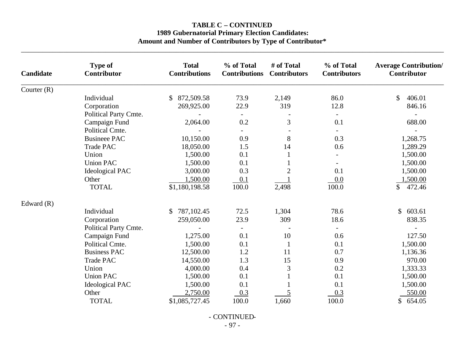# **TABLE C – CONTINUED 1989 Gubernatorial Primary Election Candidates: Amount and Number of Contributors by Type of Contributor\***

\_\_\_\_\_\_\_\_\_\_\_\_\_\_\_\_\_\_\_\_\_\_\_\_\_\_\_\_\_\_\_\_\_\_\_\_\_\_\_\_\_\_\_\_\_\_\_\_\_\_\_\_\_\_\_\_\_\_\_\_\_\_\_\_\_\_\_\_\_\_\_\_\_\_\_\_\_\_\_\_\_\_\_\_\_\_\_\_\_\_\_\_\_\_\_\_\_\_\_\_\_\_\_\_\_\_\_\_\_\_\_\_\_\_\_\_\_\_\_\_

| Candidate     | <b>Type of</b><br>Contributor | <b>Total</b><br><b>Contributions</b> | % of Total<br><b>Contributions</b> | # of Total<br><b>Contributors</b> | % of Total<br><b>Contributors</b> | <b>Average Contribution/</b><br>Contributor |
|---------------|-------------------------------|--------------------------------------|------------------------------------|-----------------------------------|-----------------------------------|---------------------------------------------|
| Courter $(R)$ |                               |                                      |                                    |                                   |                                   |                                             |
|               | Individual                    | \$<br>872,509.58                     | 73.9                               | 2,149                             | 86.0                              | \$<br>406.01                                |
|               | Corporation                   | 269,925.00                           | 22.9                               | 319                               | 12.8                              | 846.16                                      |
|               | Political Party Cmte.         |                                      |                                    |                                   |                                   |                                             |
|               | Campaign Fund                 | 2,064.00                             | 0.2                                | 3                                 | 0.1                               | 688.00                                      |
|               | Political Cmte.               |                                      | $\overline{\phantom{a}}$           |                                   | $\overline{\phantom{a}}$          |                                             |
|               | <b>Busineee PAC</b>           | 10,150.00                            | 0.9                                | 8                                 | 0.3                               | 1,268.75                                    |
|               | <b>Trade PAC</b>              | 18,050.00                            | 1.5                                | 14                                | 0.6                               | 1,289.29                                    |
|               | Union                         | 1,500.00                             | 0.1                                |                                   | $\overline{\phantom{a}}$          | 1,500.00                                    |
|               | <b>Union PAC</b>              | 1,500.00                             | 0.1                                |                                   |                                   | 1,500.00                                    |
|               | <b>Ideological PAC</b>        | 3,000.00                             | 0.3                                | $\overline{2}$                    | 0.1                               | 1,500.00                                    |
|               | Other                         | 1,500.00                             | 0.1                                |                                   | 0.0                               | 1,500.00                                    |
|               | <b>TOTAL</b>                  | \$1,180,198.58                       | 100.0                              | 2,498                             | 100.0                             | 472.46<br>\$                                |
| Edward $(R)$  |                               |                                      |                                    |                                   |                                   |                                             |
|               | Individual                    | 787,102.45<br>\$                     | 72.5                               | 1,304                             | 78.6                              | 603.61<br>$\mathbb{S}$                      |
|               | Corporation                   | 259,050.00                           | 23.9                               | 309                               | 18.6                              | 838.35                                      |
|               | Political Party Cmte.         |                                      | $\blacksquare$                     |                                   |                                   |                                             |
|               | Campaign Fund                 | 1,275.00                             | 0.1                                | 10                                | 0.6                               | 127.50                                      |
|               | Political Cmte.               | 1,500.00                             | 0.1                                |                                   | 0.1                               | 1,500.00                                    |
|               | <b>Business PAC</b>           | 12,500.00                            | 1.2                                | 11                                | 0.7                               | 1,136.36                                    |
|               | <b>Trade PAC</b>              | 14,550.00                            | 1.3                                | 15                                | 0.9                               | 970.00                                      |
|               | Union                         | 4,000.00                             | 0.4                                | 3                                 | 0.2                               | 1,333.33                                    |
|               | <b>Union PAC</b>              | 1,500.00                             | 0.1                                |                                   | 0.1                               | 1,500.00                                    |
|               | <b>Ideological PAC</b>        | 1,500.00                             | 0.1                                |                                   | 0.1                               | 1,500.00                                    |
|               | Other                         | 2,750.00                             | 0.3                                | 5                                 | 0.3                               | 550.00                                      |
|               | <b>TOTAL</b>                  | \$1,085,727.45                       | 100.0                              | 1,660                             | 100.0                             | \$654.05                                    |

- CONTINUED-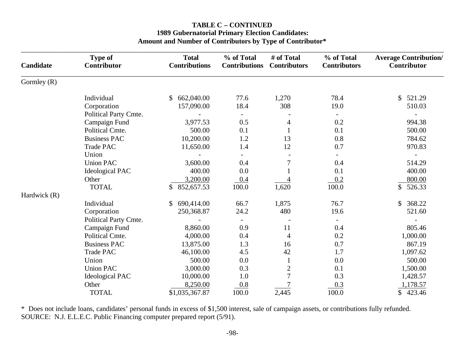#### **TABLE C – CONTINUED 1989 Gubernatorial Primary Election Candidates: Amount and Number of Contributors by Type of Contributor\***

| <b>Candidate</b> | <b>Type of</b><br>Contributor | <b>Total</b><br><b>Contributions</b> | % of Total<br><b>Contributions</b> | # of Total<br><b>Contributors</b> | % of Total<br><b>Contributors</b> | <b>Average Contribution/</b><br>Contributor |
|------------------|-------------------------------|--------------------------------------|------------------------------------|-----------------------------------|-----------------------------------|---------------------------------------------|
| Gormley $(R)$    |                               |                                      |                                    |                                   |                                   |                                             |
|                  | Individual                    | 662,040.00<br>\$                     | 77.6                               | 1,270                             | 78.4                              | 521.29<br>$\mathbb{S}$                      |
|                  | Corporation                   | 157,090.00                           | 18.4                               | 308                               | 19.0                              | 510.03                                      |
|                  | Political Party Cmte.         |                                      | $\overline{\phantom{a}}$           |                                   | $\overline{\phantom{0}}$          |                                             |
|                  | Campaign Fund                 | 3,977.53                             | 0.5                                | 4                                 | 0.2                               | 994.38                                      |
|                  | Political Cmte.               | 500.00                               | 0.1                                |                                   | 0.1                               | 500.00                                      |
|                  | <b>Business PAC</b>           | 10,200.00                            | 1.2                                | 13                                | 0.8                               | 784.62                                      |
|                  | <b>Trade PAC</b>              | 11,650.00                            | 1.4                                | 12                                | 0.7                               | 970.83                                      |
|                  | Union                         |                                      | $\overline{\phantom{a}}$           |                                   | $\overline{\phantom{0}}$          |                                             |
|                  | <b>Union PAC</b>              | 3,600.00                             | 0.4                                | 7                                 | 0.4                               | 514.29                                      |
|                  | <b>Ideological PAC</b>        | 400.00                               | 0.0                                |                                   | 0.1                               | 400.00                                      |
|                  | Other                         | 3,200.00                             | 0.4                                |                                   | 0.2                               | 800.00                                      |
|                  | <b>TOTAL</b>                  | 852,657.53<br>\$                     | 100.0                              | 1,620                             | 100.0                             | \$<br>526.33                                |
| Hardwick (R)     |                               |                                      |                                    |                                   |                                   |                                             |
|                  | Individual                    | 690,414.00<br>\$                     | 66.7                               | 1,875                             | 76.7                              | 368.22<br>\$                                |
|                  | Corporation                   | 250,368.87                           | 24.2                               | 480                               | 19.6                              | 521.60                                      |
|                  | Political Party Cmte.         |                                      | $\blacksquare$                     |                                   | $\overline{\phantom{a}}$          |                                             |
|                  | Campaign Fund                 | 8,860.00                             | 0.9                                | 11                                | 0.4                               | 805.46                                      |
|                  | Political Cmte.               | 4,000.00                             | 0.4                                | 4                                 | 0.2                               | 1,000.00                                    |
|                  | <b>Business PAC</b>           | 13,875.00                            | 1.3                                | 16                                | 0.7                               | 867.19                                      |
|                  | <b>Trade PAC</b>              | 46,100.00                            | 4.5                                | 42                                | 1.7                               | 1,097.62                                    |
|                  | Union                         | 500.00                               | 0.0                                | $\mathbf{1}$                      | 0.0                               | 500.00                                      |
|                  | <b>Union PAC</b>              | 3,000.00                             | 0.3                                | $\overline{2}$                    | 0.1                               | 1,500.00                                    |
|                  | <b>Ideological PAC</b>        | 10,000.00                            | 1.0                                |                                   | 0.3                               | 1,428.57                                    |
|                  | Other                         | 8,250.00                             | 0.8                                |                                   | 0.3                               | 1,178.57                                    |
|                  | <b>TOTAL</b>                  | \$1,035,367.87                       | 100.0                              | 2,445                             | 100.0                             | \$423.46                                    |

\* Does not include loans, candidates' personal funds in excess of \$1,500 interest, sale of campaign assets, or contributions fully refunded. SOURCE: N.J. E.L.E.C. Public Financing computer prepared report (5/91).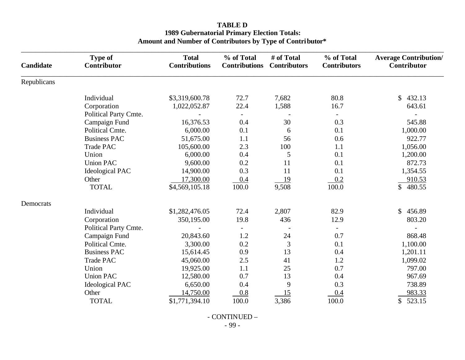# **TABLE D 1989 Gubernatorial Primary Election Totals: Amount and Number of Contributors by Type of Contributor\***

| Candidate   | <b>Type of</b><br>Contributor | <b>Total</b><br><b>Contributions</b> | % of Total<br><b>Contributions</b> | # of Total<br><b>Contributors</b> | % of Total<br><b>Contributors</b> | <b>Average Contribution/</b><br>Contributor |
|-------------|-------------------------------|--------------------------------------|------------------------------------|-----------------------------------|-----------------------------------|---------------------------------------------|
| Republicans |                               |                                      |                                    |                                   |                                   |                                             |
|             | Individual                    | \$3,319,600.78                       | 72.7                               | 7,682                             | 80.8                              | $\mathbb{S}^-$<br>432.13                    |
|             | Corporation                   | 1,022,052.87                         | 22.4                               | 1,588                             | 16.7                              | 643.61                                      |
|             | Political Party Cmte.         |                                      |                                    |                                   |                                   |                                             |
|             | Campaign Fund                 | 16,376.53                            | 0.4                                | 30                                | 0.3                               | 545.88                                      |
|             | Political Cmte.               | 6,000.00                             | 0.1                                | 6                                 | 0.1                               | 1,000.00                                    |
|             | <b>Business PAC</b>           | 51,675.00                            | 1.1                                | 56                                | 0.6                               | 922.77                                      |
|             | <b>Trade PAC</b>              | 105,600.00                           | 2.3                                | 100                               | 1.1                               | 1,056.00                                    |
|             | Union                         | 6,000.00                             | 0.4                                | 5                                 | 0.1                               | 1,200.00                                    |
|             | <b>Union PAC</b>              | 9,600.00                             | 0.2                                | 11                                | 0.1                               | 872.73                                      |
|             | <b>Ideological PAC</b>        | 14,900.00                            | 0.3                                | 11                                | 0.1                               | 1,354.55                                    |
|             | Other                         | 17,300.00                            | 0.4                                | 19                                | 0.2                               | 910.53                                      |
|             | <b>TOTAL</b>                  | \$4,569,105.18                       | 100.0                              | 9,508                             | 100.0                             | \$480.55                                    |
| Democrats   |                               |                                      |                                    |                                   |                                   |                                             |
|             | Individual                    | \$1,282,476.05                       | 72.4                               | 2,807                             | 82.9                              | $\mathbb{S}^-$<br>456.89                    |
|             | Corporation                   | 350,195.00                           | 19.8                               | 436                               | 12.9                              | 803.20                                      |
|             | Political Party Cmte.         |                                      |                                    |                                   |                                   |                                             |
|             | Campaign Fund                 | 20,843.60                            | 1.2                                | 24                                | 0.7                               | 868.48                                      |
|             | Political Cmte.               | 3,300.00                             | 0.2                                | 3                                 | 0.1                               | 1,100.00                                    |
|             | <b>Business PAC</b>           | 15,614.45                            | 0.9                                | 13                                | 0.4                               | 1,201.11                                    |
|             | <b>Trade PAC</b>              | 45,060.00                            | 2.5                                | 41                                | 1.2                               | 1,099.02                                    |
|             | Union                         | 19,925.00                            | 1.1                                | 25                                | 0.7                               | 797.00                                      |
|             | <b>Union PAC</b>              | 12,580.00                            | 0.7                                | 13                                | 0.4                               | 967.69                                      |
|             | <b>Ideological PAC</b>        | 6,650.00                             | 0.4                                | 9                                 | 0.3                               | 738.89                                      |
|             | Other                         | 14,750.00                            | 0.8                                | 15                                | 0.4                               | 983.33                                      |
|             | <b>TOTAL</b>                  | \$1,771,394.10                       | 100.0                              | 3,386                             | 100.0                             | \$523.15                                    |

- CONTINUED –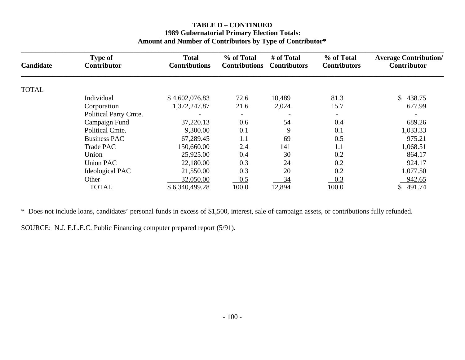#### **TABLE D – CONTINUED 1989 Gubernatorial Primary Election Totals: Amount and Number of Contributors by Type of Contributor\***

| <b>Candidate</b> | <b>Type of</b><br><b>Contributor</b> | <b>Total</b><br><b>Contributions</b> | % of Total<br><b>Contributions</b> | # of Total<br><b>Contributors</b> | % of Total<br><b>Contributors</b> | <b>Average Contribution/</b><br>Contributor |
|------------------|--------------------------------------|--------------------------------------|------------------------------------|-----------------------------------|-----------------------------------|---------------------------------------------|
|                  |                                      |                                      |                                    |                                   |                                   |                                             |
| <b>TOTAL</b>     | Individual                           | \$4,602,076.83                       | 72.6                               | 10,489                            | 81.3                              | 438.75<br>$\mathbb{S}^-$                    |
|                  | Corporation                          | 1,372,247.87                         | 21.6                               | 2,024                             | 15.7                              | 677.99                                      |
|                  | Political Party Cmte.                |                                      |                                    |                                   | $\overline{\phantom{0}}$          |                                             |
|                  | Campaign Fund                        | 37,220.13                            | 0.6                                | 54                                | 0.4                               | 689.26                                      |
|                  | Political Cmte.                      | 9,300.00                             | 0.1                                | 9                                 | 0.1                               | 1,033.33                                    |
|                  | <b>Business PAC</b>                  | 67,289.45                            | 1.1                                | 69                                | 0.5                               | 975.21                                      |
|                  | <b>Trade PAC</b>                     | 150,660.00                           | 2.4                                | 141                               | 1.1                               | 1,068.51                                    |
|                  | Union                                | 25,925.00                            | 0.4                                | 30                                | 0.2                               | 864.17                                      |
|                  | <b>Union PAC</b>                     | 22,180.00                            | 0.3                                | 24                                | 0.2                               | 924.17                                      |
|                  | <b>Ideological PAC</b>               | 21,550.00                            | 0.3                                | 20                                | 0.2                               | 1,077.50                                    |
|                  | Other                                | 32,050.00                            | 0.5                                | 34                                | 0.3                               | 942.65                                      |
|                  | <b>TOTAL</b>                         | \$6,340,499.28                       | 100.0                              | 12,894                            | 100.0                             | \$491.74                                    |

\* Does not include loans, candidates' personal funds in excess of \$1,500, interest, sale of campaign assets, or contributions fully refunded.

SOURCE: N.J. E.L.E.C. Public Financing computer prepared report (5/91).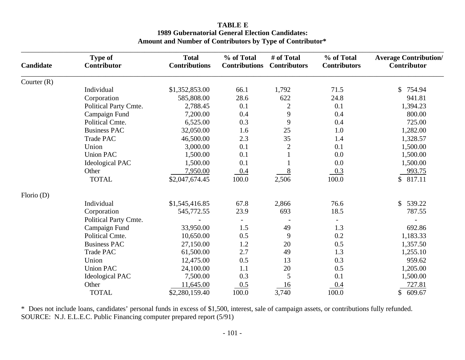#### **TABLE E 1989 Gubernatorial General Election Candidates: Amount and Number of Contributors by Type of Contributor\***

| <b>Candidate</b> | Type of<br>Contributor | <b>Total</b><br><b>Contributions</b> | % of Total<br><b>Contributions</b> | # of Total<br><b>Contributors</b> | % of Total<br><b>Contributors</b> | <b>Average Contribution/</b><br>Contributor |
|------------------|------------------------|--------------------------------------|------------------------------------|-----------------------------------|-----------------------------------|---------------------------------------------|
| Courter $(R)$    |                        |                                      |                                    |                                   |                                   |                                             |
|                  | Individual             | \$1,352,853.00                       | 66.1                               | 1,792                             | 71.5                              | 754.94<br>$\mathbb{S}$                      |
|                  | Corporation            | 585,808.00                           | 28.6                               | 622                               | 24.8                              | 941.81                                      |
|                  | Political Party Cmte.  | 2,788.45                             | 0.1                                | $\overline{2}$                    | 0.1                               | 1,394.23                                    |
|                  | Campaign Fund          | 7,200.00                             | 0.4                                | 9                                 | 0.4                               | 800.00                                      |
|                  | Political Cmte.        | 6,525.00                             | 0.3                                | 9                                 | 0.4                               | 725.00                                      |
|                  | <b>Business PAC</b>    | 32,050.00                            | 1.6                                | 25                                | 1.0                               | 1,282.00                                    |
|                  | <b>Trade PAC</b>       | 46,500.00                            | 2.3                                | 35                                | 1.4                               | 1,328.57                                    |
|                  | Union                  | 3,000.00                             | 0.1                                | $\mathbf{2}$                      | 0.1                               | 1,500.00                                    |
|                  | <b>Union PAC</b>       | 1,500.00                             | 0.1                                |                                   | 0.0                               | 1,500.00                                    |
|                  | <b>Ideological PAC</b> | 1,500.00                             | 0.1                                |                                   | 0.0                               | 1,500.00                                    |
|                  | Other                  | 7,950.00                             | 0.4                                | 8                                 | 0.3                               | 993.75                                      |
|                  | <b>TOTAL</b>           | \$2,047,674.45                       | 100.0                              | 2,506                             | 100.0                             | \$817.11                                    |
| Florio $(D)$     |                        |                                      |                                    |                                   |                                   |                                             |
|                  | Individual             | \$1,545,416.85                       | 67.8                               | 2,866                             | 76.6                              | 539.22<br>$\mathbb{S}$                      |
|                  | Corporation            | 545,772.55                           | 23.9                               | 693                               | 18.5                              | 787.55                                      |
|                  | Political Party Cmte.  |                                      | $\overline{\phantom{a}}$           |                                   | $\qquad \qquad -$                 |                                             |
|                  | Campaign Fund          | 33,950.00                            | 1.5                                | 49                                | 1.3                               | 692.86                                      |
|                  | Political Cmte.        | 10,650.00                            | 0.5                                | 9                                 | 0.2                               | 1,183.33                                    |
|                  | <b>Business PAC</b>    | 27,150.00                            | 1.2                                | 20                                | 0.5                               | 1,357.50                                    |
|                  | <b>Trade PAC</b>       | 61,500.00                            | 2.7                                | 49                                | 1.3                               | 1,255.10                                    |
|                  | Union                  | 12,475.00                            | 0.5                                | 13                                | 0.3                               | 959.62                                      |
|                  | <b>Union PAC</b>       | 24,100.00                            | 1.1                                | 20                                | 0.5                               | 1,205.00                                    |
|                  | <b>Ideological PAC</b> | 7,500.00                             | 0.3                                | 5                                 | 0.1                               | 1,500.00                                    |
|                  | Other                  | 11,645.00                            | 0.5                                | 16                                | 0.4                               | 727.81                                      |
|                  | <b>TOTAL</b>           | \$2,280,159.40                       | 100.0                              | 3,740                             | 100.0                             | \$609.67                                    |

\* Does not include loans, candidates' personal funds in excess of \$1,500, interest, sale of campaign assets, or contributions fully refunded. SOURCE: N.J. E.L.E.C. Public Financing computer prepared report (5/91)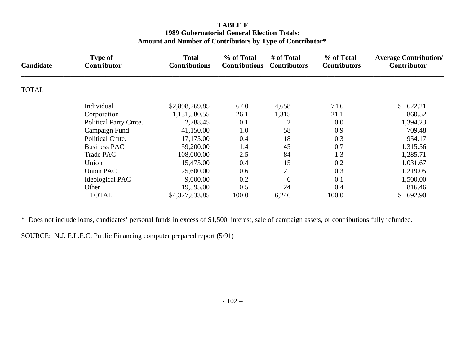## **TABLE F 1989 Gubernatorial General Election Totals: Amount and Number of Contributors by Type of Contributor\***

|                  | <b>Type of</b>         | <b>Total</b>         | % of Total           | # of Total          | % of Total          | <b>Average Contribution/</b> |
|------------------|------------------------|----------------------|----------------------|---------------------|---------------------|------------------------------|
| <b>Candidate</b> | Contributor            | <b>Contributions</b> | <b>Contributions</b> | <b>Contributors</b> | <b>Contributors</b> | Contributor                  |
| <b>TOTAL</b>     |                        |                      |                      |                     |                     |                              |
|                  | Individual             | \$2,898,269.85       | 67.0                 | 4,658               | 74.6                | 622.21<br>S.                 |
|                  | Corporation            | 1,131,580.55         | 26.1                 | 1,315               | 21.1                | 860.52                       |
|                  | Political Party Cmte.  | 2,788.45             | 0.1                  | $\overline{2}$      | 0.0                 | 1,394.23                     |
|                  | Campaign Fund          | 41,150.00            | 1.0                  | 58                  | 0.9                 | 709.48                       |
|                  | Political Cmte.        | 17,175.00            | 0.4                  | 18                  | 0.3                 | 954.17                       |
|                  | <b>Business PAC</b>    | 59,200.00            | 1.4                  | 45                  | 0.7                 | 1,315.56                     |
|                  | Trade PAC              | 108,000.00           | 2.5                  | 84                  | 1.3                 | 1,285.71                     |
|                  | Union                  | 15,475.00            | 0.4                  | 15                  | 0.2                 | 1,031.67                     |
|                  | <b>Union PAC</b>       | 25,600.00            | 0.6                  | 21                  | 0.3                 | 1,219.05                     |
|                  | <b>Ideological PAC</b> | 9,000.00             | 0.2                  | 6                   | 0.1                 | 1,500.00                     |
|                  | Other                  | 19,595.00            | 0.5                  | 24                  | 0.4                 | 816.46                       |
|                  | <b>TOTAL</b>           | \$4,327,833.85       | 100.0                | 6,246               | 100.0               | 692.90                       |

\* Does not include loans, candidates' personal funds in excess of \$1,500, interest, sale of campaign assets, or contributions fully refunded.

SOURCE: N.J. E.L.E.C. Public Financing computer prepared report (5/91)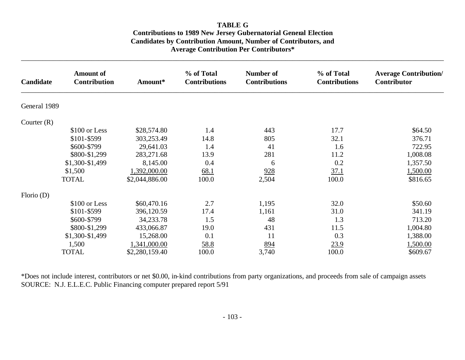#### **TABLE G**

## **Contributions to 1989 New Jersey Gubernatorial General Election Candidates by Contribution Amount, Number of Contributors, and Average Contribution Per Contributors\***

\_\_\_\_\_\_\_\_\_\_\_\_\_\_\_\_\_\_\_\_\_\_\_\_\_\_\_\_\_\_\_\_\_\_\_\_\_\_\_\_\_\_\_\_\_\_\_\_\_\_\_\_\_\_\_\_\_\_\_\_\_\_\_\_\_\_\_\_\_\_\_\_\_\_\_\_\_\_\_\_\_\_\_\_\_\_\_\_\_\_\_\_\_\_\_\_\_\_\_\_\_\_\_\_\_\_\_\_\_\_\_\_\_\_\_\_\_\_\_\_

| Candidate     | <b>Amount of</b><br><b>Contribution</b> | Amount*        | % of Total<br><b>Contributions</b> | <b>Number of</b><br><b>Contributions</b> | % of Total<br><b>Contributions</b> | <b>Average Contribution/</b><br>Contributor |
|---------------|-----------------------------------------|----------------|------------------------------------|------------------------------------------|------------------------------------|---------------------------------------------|
| General 1989  |                                         |                |                                    |                                          |                                    |                                             |
| Courter $(R)$ |                                         |                |                                    |                                          |                                    |                                             |
|               | \$100 or Less                           | \$28,574.80    | 1.4                                | 443                                      | 17.7                               | \$64.50                                     |
|               | \$101-\$599                             | 303,253.49     | 14.8                               | 805                                      | 32.1                               | 376.71                                      |
|               | \$600-\$799                             | 29,641.03      | 1.4                                | 41                                       | 1.6                                | 722.95                                      |
|               | \$800-\$1,299                           | 283,271.68     | 13.9                               | 281                                      | 11.2                               | 1,008.08                                    |
|               | \$1,300-\$1,499                         | 8,145.00       | 0.4                                | 6                                        | 0.2                                | 1,357.50                                    |
|               | \$1,500                                 | 1,392,000.00   | 68.1                               | 928                                      | 37.1                               | 1,500.00                                    |
|               | <b>TOTAL</b>                            | \$2,044,886.00 | 100.0                              | 2,504                                    | 100.0                              | \$816.65                                    |
| Florio $(D)$  |                                         |                |                                    |                                          |                                    |                                             |
|               | \$100 or Less                           | \$60,470.16    | 2.7                                | 1,195                                    | 32.0                               | \$50.60                                     |
|               | \$101-\$599                             | 396,120.59     | 17.4                               | 1,161                                    | 31.0                               | 341.19                                      |
|               | \$600-\$799                             | 34,233.78      | 1.5                                | 48                                       | 1.3                                | 713.20                                      |
|               | \$800-\$1,299                           | 433,066.87     | 19.0                               | 431                                      | 11.5                               | 1,004.80                                    |
|               | \$1,300-\$1,499                         | 15,268.00      | 0.1                                | 11                                       | 0.3                                | 1,388.00                                    |
|               | 1,500                                   | 1,341,000.00   | 58.8                               | 894                                      | 23.9                               | 1,500.00                                    |
|               | <b>TOTAL</b>                            | \$2,280,159.40 | 100.0                              | 3,740                                    | 100.0                              | \$609.67                                    |

\*Does not include interest, contributors or net \$0.00, in-kind contributions from party organizations, and proceeds from sale of campaign assets SOURCE: N.J. E.L.E.C. Public Financing computer prepared report 5/91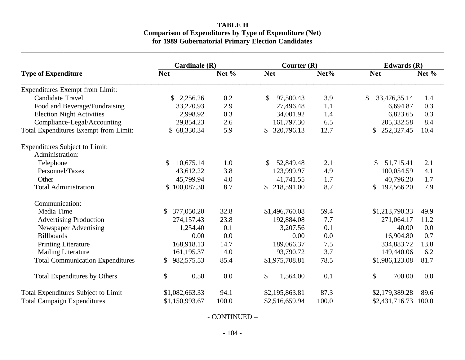# **TABLE H Comparison of Expenditures by Type of Expenditure (Net) for 1989 Gubernatorial Primary Election Candidates**

\_\_\_\_\_\_\_\_\_\_\_\_\_\_\_\_\_\_\_\_\_\_\_\_\_\_\_\_\_\_\_\_\_\_\_\_\_\_\_\_\_\_\_\_\_\_\_\_\_\_\_\_\_\_\_\_\_\_\_\_\_\_\_\_\_\_\_\_\_\_\_\_\_\_\_\_\_\_\_\_\_\_\_\_\_\_\_\_\_\_\_\_\_\_\_\_\_\_\_\_\_\_\_\_\_\_\_\_\_\_\_\_\_\_\_\_\_\_\_\_

|                                         | Cardinale $(R)$            |       | Courter $(R)$              |       | Edwards $(R)$      |         |
|-----------------------------------------|----------------------------|-------|----------------------------|-------|--------------------|---------|
| <b>Type of Expenditure</b>              | <b>Net</b>                 | Net % | <b>Net</b>                 | Net%  | <b>Net</b>         | Net $%$ |
| <b>Expenditures Exempt from Limit:</b>  |                            |       |                            |       |                    |         |
| <b>Candidate Travel</b>                 | 2,256.26<br>$\mathbb{S}^-$ | 0.2   | \$<br>97,500.43            | 3.9   | \$<br>33,476,35.14 | 1.4     |
| Food and Beverage/Fundraising           | 33,220.93                  | 2.9   | 27,496.48                  | 1.1   | 6,694.87           | 0.3     |
| <b>Election Night Activities</b>        | 2,998.92                   | 0.3   | 34,001.92                  | 1.4   | 6,823.65           | 0.3     |
| Compliance-Legal/Accounting             | 29,854.23                  | 2.6   | 161,797.30                 | 6.5   | 205,332.58         | 8.4     |
| Total Expenditures Exempt from Limit:   | \$68,330.34                | 5.9   | \$<br>320,796.13           | 12.7  | \$<br>252,327.45   | 10.4    |
| <b>Expenditures Subject to Limit:</b>   |                            |       |                            |       |                    |         |
| Administration:                         |                            |       |                            |       |                    |         |
| Telephone                               | 10,675.14<br>\$            | 1.0   | \$<br>52,849.48            | 2.1   | 51,715.41<br>\$    | 2.1     |
| Personnel/Taxes                         | 43,612.22                  | 3.8   | 123,999.97                 | 4.9   | 100,054.59         | 4.1     |
| Other                                   | 45,799.94                  | 4.0   | 41,741.55                  | 1.7   | 40,796.20          | 1.7     |
| <b>Total Administration</b>             | \$100,087.30               | 8.7   | 218,591.00<br>$\mathbb{S}$ | 8.7   | \$<br>192,566.20   | 7.9     |
| Communication:                          |                            |       |                            |       |                    |         |
| Media Time                              | \$<br>377,050.20           | 32.8  | \$1,496,760.08             | 59.4  | \$1,213,790.33     | 49.9    |
| <b>Advertising Production</b>           | 274,157.43                 | 23.8  | 192,884.08                 | 7.7   | 271,064.17         | 11.2    |
| Newspaper Advertising                   | 1,254.40                   | 0.1   | 3,207.56                   | 0.1   | 40.00              | 0.0     |
| <b>Billboards</b>                       | 0.00                       | 0.0   | 0.00                       | 0.0   | 16,904.80          | 0.7     |
| <b>Printing Literature</b>              | 168,918.13                 | 14.7  | 189,066.37                 | 7.5   | 334,883.72         | 13.8    |
| <b>Mailing Literature</b>               | 161, 195. 37               | 14.0  | 93,790.72                  | 3.7   | 149,440.06         | 6.2     |
| <b>Total Communication Expenditures</b> | 982,575.53                 | 85.4  | \$1,975,708.81             | 78.5  | \$1,986,123.08     | 81.7    |
| <b>Total Expenditures by Others</b>     | \$<br>0.50                 | 0.0   | \$<br>1,564.00             | 0.1   | \$<br>700.00       | 0.0     |
| Total Expenditures Subject to Limit     | \$1,082,663.33             | 94.1  | \$2,195,863.81             | 87.3  | \$2,179,389.28     | 89.6    |
| <b>Total Campaign Expenditures</b>      | \$1,150,993.67             | 100.0 | \$2,516,659.94             | 100.0 | \$2,431,716.73     | 100.0   |

- CONTINUED –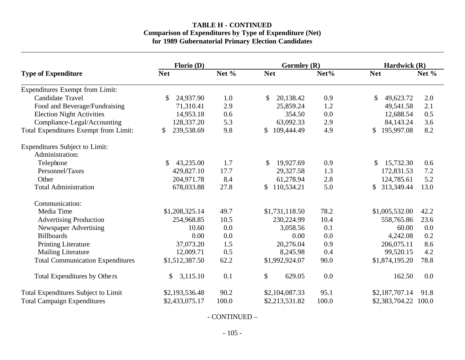# **TABLE H - CONTINUED Comparison of Expenditures by Type of Expenditure (Net) for 1989 Gubernatorial Primary Election Candidates**

\_\_\_\_\_\_\_\_\_\_\_\_\_\_\_\_\_\_\_\_\_\_\_\_\_\_\_\_\_\_\_\_\_\_\_\_\_\_\_\_\_\_\_\_\_\_\_\_\_\_\_\_\_\_\_\_\_\_\_\_\_\_\_\_\_\_\_\_\_\_\_\_\_\_\_\_\_\_\_\_\_\_\_\_\_\_\_\_\_\_\_\_\_\_\_\_\_\_\_\_\_\_\_\_\_\_\_\_\_\_\_\_\_\_\_\_\_\_\_\_

|                                         | Florio(D)                |       | <b>Gormley</b> (R)          |       | Hardwick (R)     |         |
|-----------------------------------------|--------------------------|-------|-----------------------------|-------|------------------|---------|
| <b>Type of Expenditure</b>              | <b>Net</b>               | Net % | <b>Net</b>                  | Net%  | <b>Net</b>       | Net $%$ |
| <b>Expenditures Exempt from Limit:</b>  |                          |       |                             |       |                  |         |
| <b>Candidate Travel</b>                 | \$<br>24,937.90          | 1.0   | \$<br>20,138.42             | 0.9   | \$<br>49,623.72  | 2.0     |
| Food and Beverage/Fundraising           | 71,310.41                | 2.9   | 25,859.24                   | 1.2   | 49,541.58        | 2.1     |
| <b>Election Night Activities</b>        | 14,953.18                | 0.6   | 354.50                      | 0.0   | 12,688.54        | 0.5     |
| Compliance-Legal/Accounting             | 128,337.20               | 5.3   | 63,092.33                   | 2.9   | 84,143.24        | 3.6     |
| Total Expenditures Exempt from Limit:   | 239,538.69               | 9.8   | $\frac{1}{2}$<br>109,444.49 | 4.9   | \$<br>195,997.08 | 8.2     |
| <b>Expenditures Subject to Limit:</b>   |                          |       |                             |       |                  |         |
| Administration:                         |                          |       |                             |       |                  |         |
| Telephone                               | \$<br>43,235.00          | 1.7   | \$<br>19,927.69             | 0.9   | 15,732.30<br>\$  | 0.6     |
| Personnel/Taxes                         | 429,827.10               | 17.7  | 29,327.58                   | 1.3   | 172,831.53       | 7.2     |
| Other                                   | 204,971.78               | 8.4   | 61,278.94                   | 2.8   | 124,785.61       | 5.2     |
| <b>Total Administration</b>             | 678,033.88               | 27.8  | 110,534.21<br>$\frac{1}{2}$ | 5.0   | 313,349.44       | 13.0    |
| Communication:                          |                          |       |                             |       |                  |         |
| Media Time                              | \$1,208,325.14           | 49.7  | \$1,731,118.50              | 78.2  | \$1,005,532.00   | 42.2    |
| <b>Advertising Production</b>           | 254,968.85               | 10.5  | 230,224.99                  | 10.4  | 558,765.86       | 23.6    |
| Newspaper Advertising                   | 10.60                    | 0.0   | 3,058.56                    | 0.1   | 60.00            | 0.0     |
| <b>Billboards</b>                       | 0.00                     | 0.0   | 0.00                        | 0.0   | 4,242.08         | 0.2     |
| <b>Printing Literature</b>              | 37,073.20                | 1.5   | 20,276.04                   | 0.9   | 206,075.11       | 8.6     |
| <b>Mailing Literature</b>               | 12,009.71                | 0.5   | 8,245.98                    | 0.4   | 99,520.15        | 4.2     |
| <b>Total Communication Expenditures</b> | \$1,512,387.50           | 62.2  | \$1,992,924.07              | 90.0  | \$1,874,195.20   | 78.8    |
| Total Expenditures by Others            | 3,115.10<br>$\mathbb{S}$ | 0.1   | \$<br>629.05                | 0.0   | 162.50           | 0.0     |
| Total Expenditures Subject to Limit     | \$2,193,536.48           | 90.2  | \$2,104,087.33              | 95.1  | \$2,187,707.14   | 91.8    |
| <b>Total Campaign Expenditures</b>      | \$2,433,075.17           | 100.0 | \$2,213,531.82              | 100.0 | \$2,383,704.22   | 100.0   |

- CONTINUED –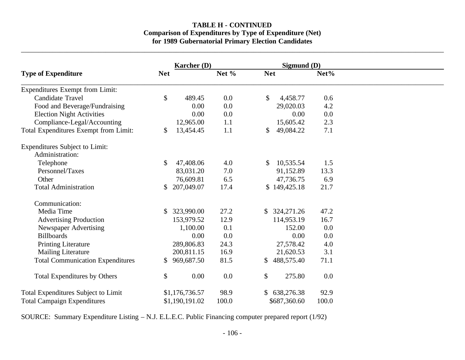# **TABLE H - CONTINUED Comparison of Expenditures by Type of Expenditure (Net) for 1989 Gubernatorial Primary Election Candidates**

\_\_\_\_\_\_\_\_\_\_\_\_\_\_\_\_\_\_\_\_\_\_\_\_\_\_\_\_\_\_\_\_\_\_\_\_\_\_\_\_\_\_\_\_\_\_\_\_\_\_\_\_\_\_\_\_\_\_\_\_\_\_\_\_\_\_\_\_\_\_\_\_\_\_\_\_\_\_\_\_\_\_\_\_\_\_\_\_\_\_\_\_\_\_\_\_\_\_\_\_\_\_\_\_\_\_\_\_\_\_\_\_\_\_\_\_\_\_\_\_

|                                         | Karcher (D) |                |         | Sigmund (D)  |              |       |
|-----------------------------------------|-------------|----------------|---------|--------------|--------------|-------|
| <b>Type of Expenditure</b>              | <b>Net</b>  |                | Net $%$ | <b>Net</b>   |              | Net%  |
| Expenditures Exempt from Limit:         |             |                |         |              |              |       |
| <b>Candidate Travel</b>                 | \$          | 489.45         | 0.0     | \$           | 4,458.77     | 0.6   |
| Food and Beverage/Fundraising           |             | 0.00           | 0.0     |              | 29,020.03    | 4.2   |
| <b>Election Night Activities</b>        |             | 0.00           | 0.0     |              | 0.00         | 0.0   |
| Compliance-Legal/Accounting             |             | 12,965.00      | 1.1     |              | 15,605.42    | 2.3   |
| Total Expenditures Exempt from Limit:   | \$          | 13,454.45      | 1.1     | \$           | 49,084.22    | 7.1   |
| <b>Expenditures Subject to Limit:</b>   |             |                |         |              |              |       |
| Administration:                         |             |                |         |              |              |       |
| Telephone                               | \$          | 47,408.06      | 4.0     |              | 10,535.54    | 1.5   |
| Personnel/Taxes                         |             | 83,031.20      | 7.0     |              | 91,152.89    | 13.3  |
| Other                                   |             | 76,609.81      | 6.5     |              | 47,736.75    | 6.9   |
| <b>Total Administration</b>             |             | 207,049.07     | 17.4    |              | \$149,425.18 | 21.7  |
| Communication:                          |             |                |         |              |              |       |
| Media Time                              | \$          | 323,990.00     | 27.2    | $\mathbb{S}$ | 324, 271. 26 | 47.2  |
| <b>Advertising Production</b>           |             | 153,979.52     | 12.9    |              | 114,953.19   | 16.7  |
| Newspaper Advertising                   |             | 1,100.00       | 0.1     |              | 152.00       | 0.0   |
| <b>Billboards</b>                       |             | 0.00           | 0.0     |              | 0.00         | 0.0   |
| <b>Printing Literature</b>              |             | 289,806.83     | 24.3    |              | 27,578.42    | 4.0   |
| <b>Mailing Literature</b>               |             | 200,811.15     | 16.9    |              | 21,620.53    | 3.1   |
| <b>Total Communication Expenditures</b> | \$          | 969,687.50     | 81.5    | $\mathbb{S}$ | 488,575.40   | 71.1  |
| Total Expenditures by Others            | \$          | 0.00           | 0.0     | \$           | 275.80       | 0.0   |
| Total Expenditures Subject to Limit     |             | \$1,176,736.57 | 98.9    |              | 638,276.38   | 92.9  |
| <b>Total Campaign Expenditures</b>      |             | \$1,190,191.02 | 100.0   |              | \$687,360.60 | 100.0 |

SOURCE: Summary Expenditure Listing – N.J. E.L.E.C. Public Financing computer prepared report (1/92)